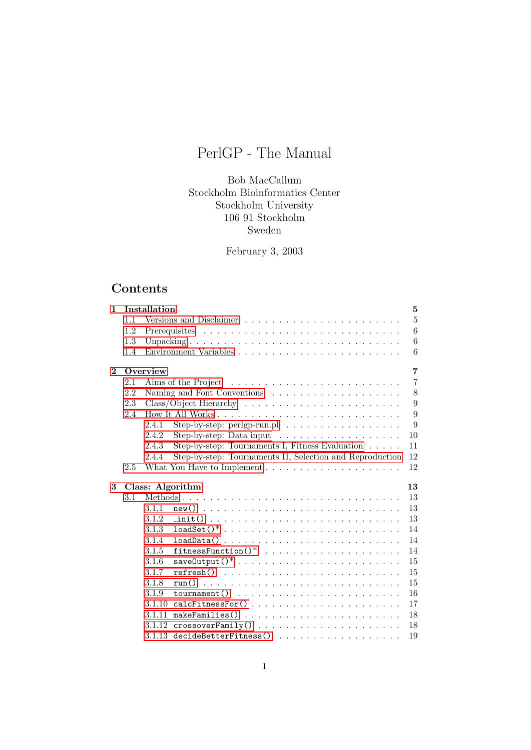# PerlGP - The Manual

Bob MacCallum Stockholm Bioinformatics Center Stockholm University 106 91 Stockholm Sweden

February 3, 2003

# Contents

| 1              |     | Installation |                                                                                          | $\overline{5}$ |
|----------------|-----|--------------|------------------------------------------------------------------------------------------|----------------|
|                | 1.1 |              |                                                                                          | $\overline{5}$ |
|                | 1.2 |              |                                                                                          | 6              |
|                | 1.3 |              |                                                                                          | 6              |
|                | 1.4 |              |                                                                                          | 6              |
| $\overline{2}$ |     | Overview     |                                                                                          | 7              |
|                | 2.1 |              |                                                                                          | $\overline{7}$ |
|                | 2.2 |              |                                                                                          | 8              |
|                | 2.3 |              |                                                                                          | 9              |
|                | 2.4 |              |                                                                                          | 9              |
|                |     | 2.4.1        | Step-by-step: perlgp-run.pl $\ldots \ldots \ldots \ldots \ldots$                         | 9              |
|                |     | 2.4.2        | Step-by-step: Data input $\dots \dots \dots \dots \dots \dots$                           | 10             |
|                |     | 2.4.3        | Step-by-step: Tournaments I, Fitness Evaluation $\dots$ .                                | 11             |
|                |     | 2.4.4        | Step-by-step: Tournaments II, Selection and Reproduction                                 | 12             |
|                | 2.5 |              |                                                                                          | 12             |
| 3              |     |              | Class: Algorithm                                                                         | 13             |
|                | 3.1 |              |                                                                                          | 13             |
|                |     | 3.1.1        |                                                                                          | 13             |
|                |     | 3.1.2        | $\text{init() } \dots \dots \dots \dots \dots \dots \dots \dots \dots \dots \dots$       | 13             |
|                |     | 3.1.3        | $loadSet() *$                                                                            | 14             |
|                |     | 3.1.4        | $loadData()$                                                                             | 14             |
|                |     | 3.1.5        | $fitnessFunction() * \dots * \dots * \dots * \dots * \dots * \dots$                      | 14             |
|                |     | 3.1.6        |                                                                                          | 15             |
|                |     | 3.1.7        | $refresh()$                                                                              | 15             |
|                |     | 3.1.8        |                                                                                          | 15             |
|                |     | 3.1.9        | $\text{tournament}() \dots \dots \dots \dots \dots \dots \dots \dots \dots \dots$        | 16             |
|                |     | 3.1.10       |                                                                                          | 17             |
|                |     | 3.1.11       | $\mathtt{makeFamilies()} \ldots \ldots \ldots \ldots \ldots \ldots \ldots \ldots \ldots$ | 18             |
|                |     |              |                                                                                          |                |
|                |     | 3.1.12       |                                                                                          | 18             |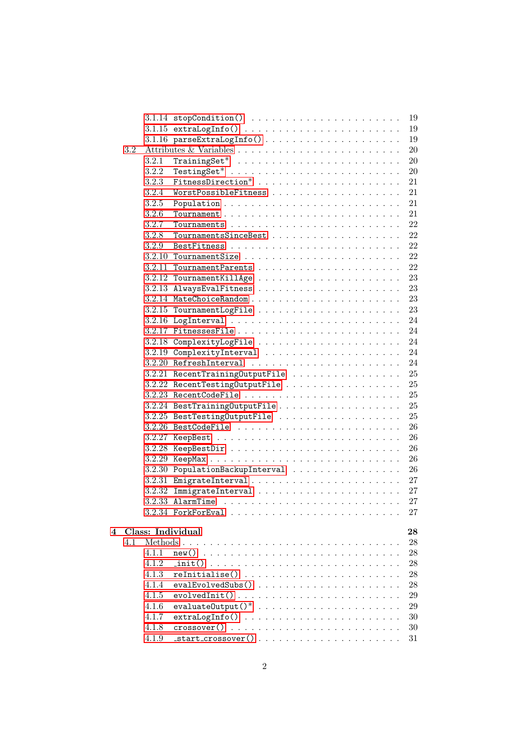|   |     |       | $3.1.14$ stopCondition()<br>19                                                                                      |
|---|-----|-------|---------------------------------------------------------------------------------------------------------------------|
|   |     |       | $3.1.15$ extraLogInfo()<br>19                                                                                       |
|   |     |       | 19                                                                                                                  |
|   | 3.2 |       | 20                                                                                                                  |
|   |     | 3.2.1 | 20                                                                                                                  |
|   |     | 3.2.2 | 20                                                                                                                  |
|   |     | 3.2.3 |                                                                                                                     |
|   |     |       | 21                                                                                                                  |
|   |     | 3.2.4 | 21                                                                                                                  |
|   |     | 3.2.5 | 21                                                                                                                  |
|   |     | 3.2.6 | 21                                                                                                                  |
|   |     | 3.2.7 | 22                                                                                                                  |
|   |     | 3.2.8 | 22                                                                                                                  |
|   |     | 3.2.9 | 22                                                                                                                  |
|   |     |       | 22                                                                                                                  |
|   |     |       | 22                                                                                                                  |
|   |     |       | 23                                                                                                                  |
|   |     |       | 23                                                                                                                  |
|   |     |       | 23                                                                                                                  |
|   |     |       | 23                                                                                                                  |
|   |     |       | 24                                                                                                                  |
|   |     |       | 24                                                                                                                  |
|   |     |       | 24                                                                                                                  |
|   |     |       | 24                                                                                                                  |
|   |     |       | 24                                                                                                                  |
|   |     |       | 25<br>$3.2.21$ RecentTrainingOutputFile                                                                             |
|   |     |       | 25                                                                                                                  |
|   |     |       | 25                                                                                                                  |
|   |     |       | 25                                                                                                                  |
|   |     |       | $3.2.25$ BestTestingOutputFile<br>25                                                                                |
|   |     |       | 26                                                                                                                  |
|   |     |       | 26                                                                                                                  |
|   |     |       | 26                                                                                                                  |
|   |     |       | 26                                                                                                                  |
|   |     |       | 3.2.30 PopulationBackupInterval<br>26                                                                               |
|   |     |       | 27                                                                                                                  |
|   |     |       | 27                                                                                                                  |
|   |     |       | 27<br>$3.2.33$ AlarmTime                                                                                            |
|   |     |       | 27                                                                                                                  |
|   |     |       |                                                                                                                     |
| 4 |     |       | Class: Individual<br>28                                                                                             |
|   | 4.1 |       | 28                                                                                                                  |
|   |     | 4.1.1 | 28                                                                                                                  |
|   |     | 4.1.2 | $\text{init()}$<br>28                                                                                               |
|   |     | 4.1.3 | 28                                                                                                                  |
|   |     | 4.1.4 | 28                                                                                                                  |
|   |     | 4.1.5 | 29                                                                                                                  |
|   |     | 4.1.6 | $evaluateOutput() *$<br>29                                                                                          |
|   |     | 4.1.7 | 30                                                                                                                  |
|   |     | 4.1.8 | $\csc{c}$ $\csc{c}$<br>30                                                                                           |
|   |     | 4.1.9 | $_{{\text{start\_crossover}}}() \n\t\ldots \n\t\ldots \n\t\ldots \n\t\ldots \n\t\ldots \n\t\ldots \n\t\ldots$<br>31 |
|   |     |       |                                                                                                                     |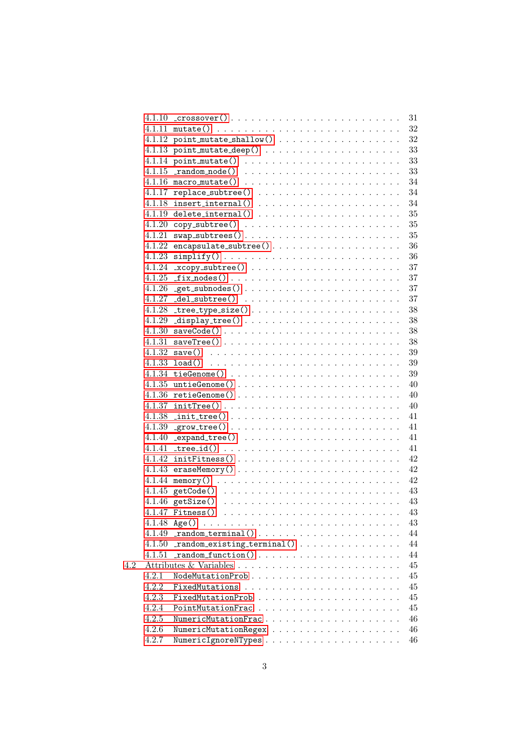|     | 4.1.10 | $\text{crossover}()$<br>31                                                                                                                                                                                                                    |
|-----|--------|-----------------------------------------------------------------------------------------------------------------------------------------------------------------------------------------------------------------------------------------------|
|     |        | 32                                                                                                                                                                                                                                            |
|     |        | 32                                                                                                                                                                                                                                            |
|     | 4.1.13 | 33                                                                                                                                                                                                                                            |
|     |        | 33<br>4.1.14 point_mutate() $\ldots \ldots \ldots \ldots \ldots \ldots \ldots$                                                                                                                                                                |
|     | 4.1.15 | 33<br>$\_random\_node()$                                                                                                                                                                                                                      |
|     |        | 34<br>$4.1.16$ macro_mutate()                                                                                                                                                                                                                 |
|     | 4.1.17 | 34                                                                                                                                                                                                                                            |
|     | 4.1.18 | 34                                                                                                                                                                                                                                            |
|     |        | $35\,$                                                                                                                                                                                                                                        |
|     | 4.1.20 | $35\,$                                                                                                                                                                                                                                        |
|     | 4.1.21 | $35\,$                                                                                                                                                                                                                                        |
|     | 4.1.22 | 36<br>$encapsulate\_subtree()$                                                                                                                                                                                                                |
|     | 4.1.23 | 36<br>$simplify() \ldots \ldots \ldots \ldots \ldots \ldots \ldots \ldots \ldots$                                                                                                                                                             |
|     | 4.1.24 | 37                                                                                                                                                                                                                                            |
|     | 4.1.25 | 37                                                                                                                                                                                                                                            |
|     | 4.1.26 | 37                                                                                                                                                                                                                                            |
|     | 4.1.27 | $37\,$                                                                                                                                                                                                                                        |
|     | 4.1.28 | $tree_type_size()$<br>$38\,$                                                                                                                                                                                                                  |
|     | 4.1.29 | $38\,$                                                                                                                                                                                                                                        |
|     | 4.1.30 | $38\,$                                                                                                                                                                                                                                        |
|     |        | $38\,$                                                                                                                                                                                                                                        |
|     |        | $39\,$                                                                                                                                                                                                                                        |
|     |        | $4.1.33$ load()<br>$39\,$                                                                                                                                                                                                                     |
|     |        | $39\,$                                                                                                                                                                                                                                        |
|     | 4.1.35 | 40                                                                                                                                                                                                                                            |
|     |        | 40                                                                                                                                                                                                                                            |
|     | 4.1.37 | 40                                                                                                                                                                                                                                            |
|     |        | $4.1.38$ init_tree()<br>41                                                                                                                                                                                                                    |
|     | 4.1.39 | 41                                                                                                                                                                                                                                            |
|     | 4.1.40 | 41                                                                                                                                                                                                                                            |
|     | 4.1.41 | 41                                                                                                                                                                                                                                            |
|     | 4.1.42 | $initFitness() \ldots \ldots \ldots \ldots \ldots \ldots \ldots \ldots \ldots$<br>42                                                                                                                                                          |
|     | 4.1.43 | 42                                                                                                                                                                                                                                            |
|     |        | 42                                                                                                                                                                                                                                            |
|     |        | 43                                                                                                                                                                                                                                            |
|     |        | $4.1.46$ getSize()<br>43                                                                                                                                                                                                                      |
|     |        | $43\,$                                                                                                                                                                                                                                        |
|     | 4.1.48 | 43<br>Age()<br>the contract of the contract of the contract of the contract of the contract of the contract of the contract of the contract of the contract of the contract of the contract of the contract of the contract of the contract o |
|     | 4.1.49 | 44                                                                                                                                                                                                                                            |
|     | 4.1.50 | 44                                                                                                                                                                                                                                            |
|     | 4.1.51 | 44                                                                                                                                                                                                                                            |
| 4.2 |        | 45                                                                                                                                                                                                                                            |
|     | 4.2.1  | NodeMutationProb<br>45                                                                                                                                                                                                                        |
|     | 4.2.2  | 45                                                                                                                                                                                                                                            |
|     | 4.2.3  | 45                                                                                                                                                                                                                                            |
|     | 4.2.4  | PointMutationFrac<br>45                                                                                                                                                                                                                       |
|     | 4.2.5  | NumericMutationFrac<br>46                                                                                                                                                                                                                     |
|     | 4.2.6  | 46                                                                                                                                                                                                                                            |
|     | 4.2.7  | 46                                                                                                                                                                                                                                            |
|     |        |                                                                                                                                                                                                                                               |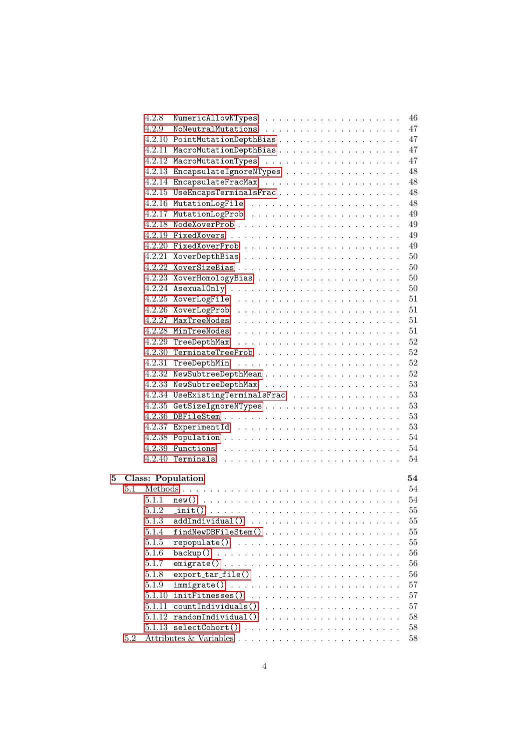|   |     | 4.2.8  | 46                                    |
|---|-----|--------|---------------------------------------|
|   |     |        | 47                                    |
|   |     |        | 47                                    |
|   |     |        | 47                                    |
|   |     |        | 47                                    |
|   |     |        | 48<br>4.2.13 EncapsulateIgnoreNTypes  |
|   |     |        | 48                                    |
|   |     |        | 48<br>4.2.15 UseEncapsTerminalsFrac   |
|   |     |        | 48                                    |
|   |     |        | 49                                    |
|   |     |        | 49                                    |
|   |     |        | 49                                    |
|   |     |        | 49                                    |
|   |     |        | 50                                    |
|   |     |        | 50                                    |
|   |     |        | 50                                    |
|   |     |        | 50                                    |
|   |     |        | 51                                    |
|   |     |        | 51                                    |
|   |     |        | 51                                    |
|   |     |        | 51                                    |
|   |     |        | 52                                    |
|   |     |        | 52                                    |
|   |     |        | 52                                    |
|   |     |        | 52                                    |
|   |     |        | 53                                    |
|   |     |        | 53<br>4.2.34 UseExistingTerminalsFrac |
|   |     |        | 53                                    |
|   |     |        | 53                                    |
|   |     |        | 53                                    |
|   |     |        | 54                                    |
|   |     |        | 54                                    |
|   |     |        | 54                                    |
|   |     |        |                                       |
| 5 |     |        | 54<br><b>Class: Population</b>        |
|   | 5.1 |        |                                       |
|   |     | 5.1.1  |                                       |
|   |     |        |                                       |
|   |     | 5.1.3  | 55                                    |
|   |     | 5.1.4  | 55                                    |
|   |     | 5.1.5  | 55                                    |
|   |     | 5.1.6  | 56<br>$\texttt{backup}()$             |
|   |     | 5.1.7  | 56                                    |
|   |     | 5.1.8  | 56                                    |
|   |     | 5.1.9  | 57                                    |
|   |     | 5.1.10 | initFitnesses()<br>57                 |
|   |     | 5.1.11 | 57                                    |
|   |     | 5.1.12 | 58                                    |
|   |     |        | 58                                    |
|   | 5.2 |        | 58                                    |
|   |     |        |                                       |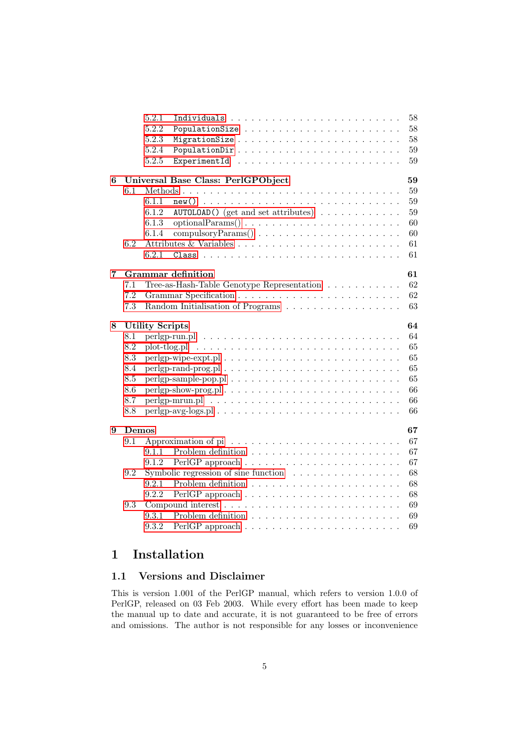|   |                              | 5.2.1                           |                                                                            |  |  | 58 |  |  |  |  |  |
|---|------------------------------|---------------------------------|----------------------------------------------------------------------------|--|--|----|--|--|--|--|--|
|   |                              | 5.2.2                           |                                                                            |  |  | 58 |  |  |  |  |  |
|   |                              | 5.2.3                           |                                                                            |  |  | 58 |  |  |  |  |  |
|   |                              | 5.2.4                           | PopulationDir                                                              |  |  | 59 |  |  |  |  |  |
|   |                              | 5.2.5                           |                                                                            |  |  | 59 |  |  |  |  |  |
| 6 |                              |                                 | Universal Base Class: PerlGPObject                                         |  |  | 59 |  |  |  |  |  |
|   | 6.1                          |                                 |                                                                            |  |  | 59 |  |  |  |  |  |
|   |                              | 6.1.1                           |                                                                            |  |  | 59 |  |  |  |  |  |
|   |                              | 6.1.2                           | $\texttt{AUTOLOAD}()$ (get and set attributes)                             |  |  | 59 |  |  |  |  |  |
|   |                              | 6.1.3                           | $optionalParams() \ldots \ldots \ldots \ldots \ldots \ldots \ldots \ldots$ |  |  | 60 |  |  |  |  |  |
|   |                              | 6.1.4                           |                                                                            |  |  | 60 |  |  |  |  |  |
|   | 6.2                          |                                 |                                                                            |  |  | 61 |  |  |  |  |  |
|   |                              | 6.2.1                           |                                                                            |  |  | 61 |  |  |  |  |  |
| 7 |                              | 61<br><b>Grammar</b> definition |                                                                            |  |  |    |  |  |  |  |  |
|   | 7.1                          |                                 | Tree-as-Hash-Table Genotype Representation                                 |  |  | 62 |  |  |  |  |  |
|   | 7.2                          |                                 |                                                                            |  |  | 62 |  |  |  |  |  |
|   | 7.3                          |                                 | Random Initialisation of Programs                                          |  |  | 63 |  |  |  |  |  |
| 8 | 64<br><b>Utility Scripts</b> |                                 |                                                                            |  |  |    |  |  |  |  |  |
|   | 8.1                          |                                 |                                                                            |  |  | 64 |  |  |  |  |  |
|   | 8.2                          |                                 |                                                                            |  |  | 65 |  |  |  |  |  |
|   | 8.3                          |                                 |                                                                            |  |  | 65 |  |  |  |  |  |
|   | 8.4                          |                                 |                                                                            |  |  | 65 |  |  |  |  |  |
|   | 8.5                          |                                 |                                                                            |  |  | 65 |  |  |  |  |  |
|   | 8.6                          |                                 |                                                                            |  |  | 66 |  |  |  |  |  |
|   | 8.7                          |                                 |                                                                            |  |  | 66 |  |  |  |  |  |
|   | 8.8                          |                                 |                                                                            |  |  | 66 |  |  |  |  |  |
| 9 | Demos                        |                                 |                                                                            |  |  | 67 |  |  |  |  |  |
|   | 9.1                          |                                 |                                                                            |  |  | 67 |  |  |  |  |  |
|   |                              | 9.1.1                           |                                                                            |  |  | 67 |  |  |  |  |  |
|   |                              | 9.1.2                           | PerlGP approach $\ldots \ldots \ldots \ldots \ldots \ldots \ldots \ldots$  |  |  | 67 |  |  |  |  |  |
|   | 9.2                          |                                 | Symbolic regression of sine function $\ldots \ldots \ldots \ldots \ldots$  |  |  | 68 |  |  |  |  |  |
|   |                              | 9.2.1                           | Problem definition $\ldots \ldots \ldots \ldots \ldots \ldots \ldots$      |  |  | 68 |  |  |  |  |  |
|   |                              | 9.2.2                           | PerlGP approach $\ldots \ldots \ldots \ldots \ldots \ldots \ldots \ldots$  |  |  | 68 |  |  |  |  |  |
|   | 9.3                          |                                 |                                                                            |  |  | 69 |  |  |  |  |  |
|   |                              | 9.3.1                           |                                                                            |  |  | 69 |  |  |  |  |  |
|   |                              | 9.3.2                           | PerlGP approach $\ldots \ldots \ldots \ldots \ldots \ldots \ldots \ldots$  |  |  | 69 |  |  |  |  |  |

# <span id="page-4-0"></span>1 Installation

## <span id="page-4-1"></span>1.1 Versions and Disclaimer

This is version 1.001 of the PerlGP manual, which refers to version 1.0.0 of PerlGP, released on 03 Feb 2003. While every effort has been made to keep the manual up to date and accurate, it is not guaranteed to be free of errors and omissions. The author is not responsible for any losses or inconvenience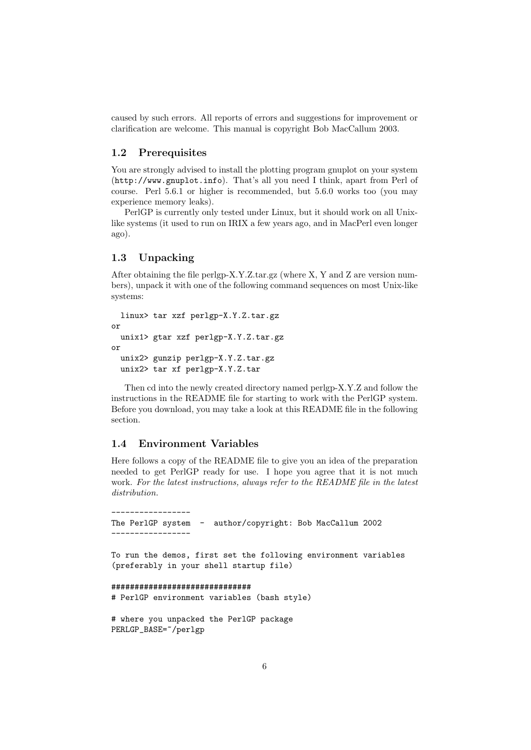caused by such errors. All reports of errors and suggestions for improvement or clarification are welcome. This manual is copyright Bob MacCallum 2003.

### <span id="page-5-0"></span>1.2 Prerequisites

You are strongly advised to install the plotting program gnuplot on your system (http://www.gnuplot.info). That's all you need I think, apart from Perl of course. Perl 5.6.1 or higher is recommended, but 5.6.0 works too (you may experience memory leaks).

PerlGP is currently only tested under Linux, but it should work on all Unixlike systems (it used to run on IRIX a few years ago, and in MacPerl even longer ago).

### <span id="page-5-1"></span>1.3 Unpacking

After obtaining the file perlgp-X.Y.Z.tar.gz (where X, Y and Z are version numbers), unpack it with one of the following command sequences on most Unix-like systems:

```
linux> tar xzf perlgp-X.Y.Z.tar.gz
or
  unix1> gtar xzf perlgp-X.Y.Z.tar.gz
or
 unix2> gunzip perlgp-X.Y.Z.tar.gz
 unix2> tar xf perlgp-X.Y.Z.tar
```
Then cd into the newly created directory named perlgp-X.Y.Z and follow the instructions in the README file for starting to work with the PerlGP system. Before you download, you may take a look at this README file in the following section.

### <span id="page-5-2"></span>1.4 Environment Variables

Here follows a copy of the README file to give you an idea of the preparation needed to get PerlGP ready for use. I hope you agree that it is not much work. For the latest instructions, always refer to the README file in the latest distribution.

```
-----------------
The PerlGP system - author/copyright: Bob MacCallum 2002
-----------------
To run the demos, first set the following environment variables
(preferably in your shell startup file)
##############################
# PerlGP environment variables (bash style)
# where you unpacked the PerlGP package
PERLGP_BASE=~/perlgp
```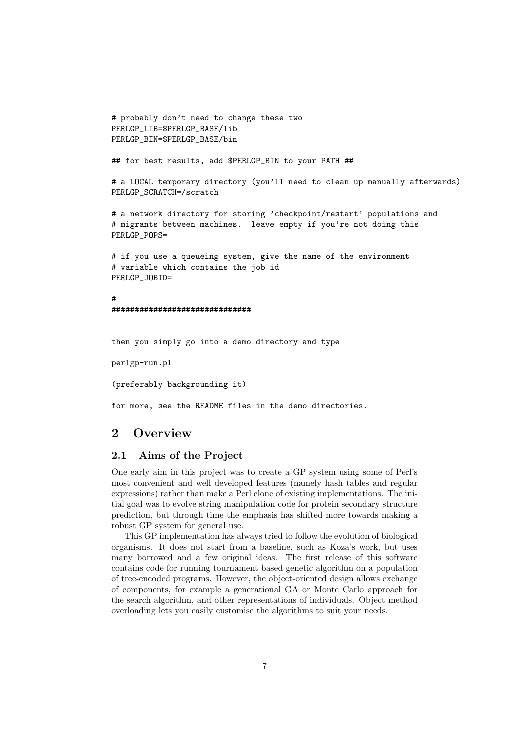```
# probably don't need to change these two
PERLGP_LIB=$PERLGP_BASE/lib
PERLGP_BIN=$PERLGP_BASE/bin
## for best results, add $PERLGP_BIN to your PATH ##
# a LOCAL temporary directory (you'll need to clean up manually afterwards)
PERLGP_SCRATCH=/scratch
# a network directory for storing 'checkpoint/restart' populations and
# migrants between machines. leave empty if you're not doing this
PERLGP_POPS=
# if you use a queueing system, give the name of the environment
# variable which contains the job id
PERLGP_JOBID=
#
##############################
```
then you simply go into a demo directory and type

perlgp-run.pl

(preferably backgrounding it)

for more, see the README files in the demo directories.

# <span id="page-6-0"></span>2 Overview

### <span id="page-6-1"></span>2.1 Aims of the Project

One early aim in this project was to create a GP system using some of Perl's most convenient and well developed features (namely hash tables and regular expressions) rather than make a Perl clone of existing implementations. The initial goal was to evolve string manipulation code for protein secondary structure prediction, but through time the emphasis has shifted more towards making a robust GP system for general use.

This GP implementation has always tried to follow the evolution of biological organisms. It does not start from a baseline, such as Koza's work, but uses many borrowed and a few original ideas. The first release of this software contains code for running tournament based genetic algorithm on a population of tree-encoded programs. However, the object-oriented design allows exchange of components, for example a generational GA or Monte Carlo approach for the search algorithm, and other representations of individuals. Object method overloading lets you easily customise the algorithms to suit your needs.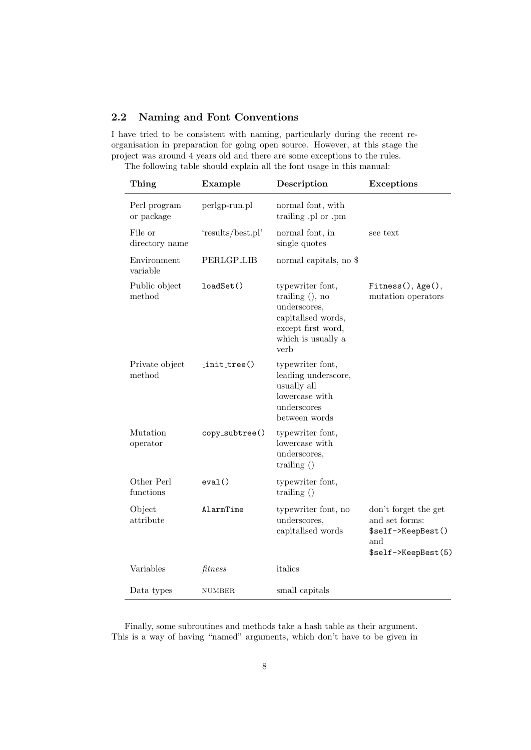### <span id="page-7-0"></span>2.2 Naming and Font Conventions

I have tried to be consistent with naming, particularly during the recent reorganisation in preparation for going open source. However, at this stage the project was around 4 years old and there are some exceptions to the rules. The following table should explain all the font usage in this manual:

| Thing                      | Example           | Description                                                                                                                     | <b>Exceptions</b>                                                                          |
|----------------------------|-------------------|---------------------------------------------------------------------------------------------------------------------------------|--------------------------------------------------------------------------------------------|
| Perl program<br>or package | perlgp-run.pl     | normal font, with<br>trailing .pl or .pm                                                                                        |                                                                                            |
| File or<br>directory name  | 'results/best.pl' | normal font, in<br>single quotes                                                                                                | see text                                                                                   |
| Environment<br>variable    | PERLGP_LIB        | normal capitals, no \$                                                                                                          |                                                                                            |
| Public object<br>method    | loadSet()         | typewriter font,<br>trailing $($ , no<br>underscores,<br>capitalised words,<br>except first word,<br>which is usually a<br>verb | Fitness(), Age(),<br>mutation operators                                                    |
| Private object<br>method   | $init-tree()$     | typewriter font,<br>leading underscore,<br>usually all<br>lowercase with<br>underscores<br>between words                        |                                                                                            |
| Mutation<br>operator       | copy_subtree()    | typewriter font,<br>lowercase with<br>underscores,<br>trailing $()$                                                             |                                                                                            |
| Other Perl<br>functions    | eval()            | typewriter font,<br>trailing $()$                                                                                               |                                                                                            |
| Object<br>attribute        | AlarmTime         | typewriter font, no<br>underscores,<br>capitalised words                                                                        | don't forget the get<br>and set forms:<br>\$self->KeepBest()<br>and<br>\$self->KeepBest(5) |
| Variables                  | fitness           | italics                                                                                                                         |                                                                                            |
| Data types                 | <b>NUMBER</b>     | small capitals                                                                                                                  |                                                                                            |

Finally, some subroutines and methods take a hash table as their argument. This is a way of having "named" arguments, which don't have to be given in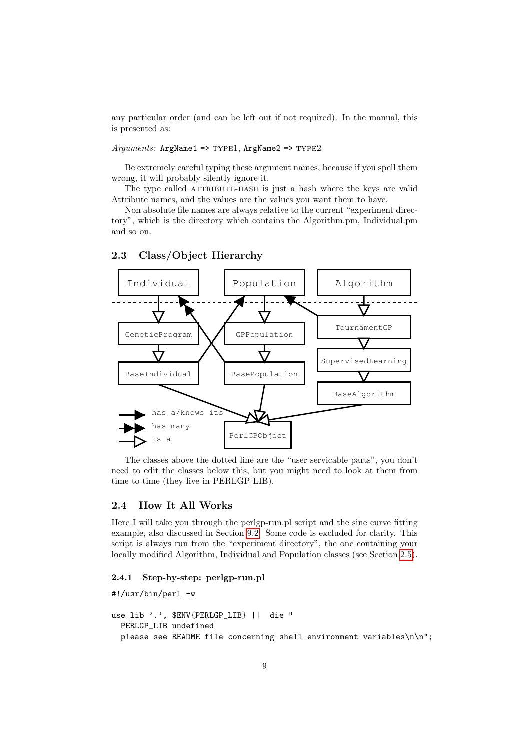any particular order (and can be left out if not required). In the manual, this is presented as:

 $A\eta\eta$ uments: ArgName1 => TYPE1, ArgName2 => TYPE2

Be extremely careful typing these argument names, because if you spell them wrong, it will probably silently ignore it.

The type called ATTRIBUTE-HASH is just a hash where the keys are valid Attribute names, and the values are the values you want them to have.

Non absolute file names are always relative to the current "experiment directory", which is the directory which contains the Algorithm.pm, Individual.pm and so on.



<span id="page-8-0"></span>2.3 Class/Object Hierarchy

The classes above the dotted line are the "user servicable parts", you don't need to edit the classes below this, but you might need to look at them from time to time (they live in PERLGP LIB).

### <span id="page-8-1"></span>2.4 How It All Works

Here I will take you through the perlgp-run.pl script and the sine curve fitting example, also discussed in Section [9.2.](#page-67-0) Some code is excluded for clarity. This script is always run from the "experiment directory", the one containing your locally modified Algorithm, Individual and Population classes (see Section [2.5\)](#page-11-1).

### <span id="page-8-2"></span>2.4.1 Step-by-step: perlgp-run.pl

```
#!/usr/bin/perl -w
use lib '.', $ENV{PERLGP_LIB} || die "
  PERLGP_LIB undefined
  please see README file concerning shell environment variables\n\n";
```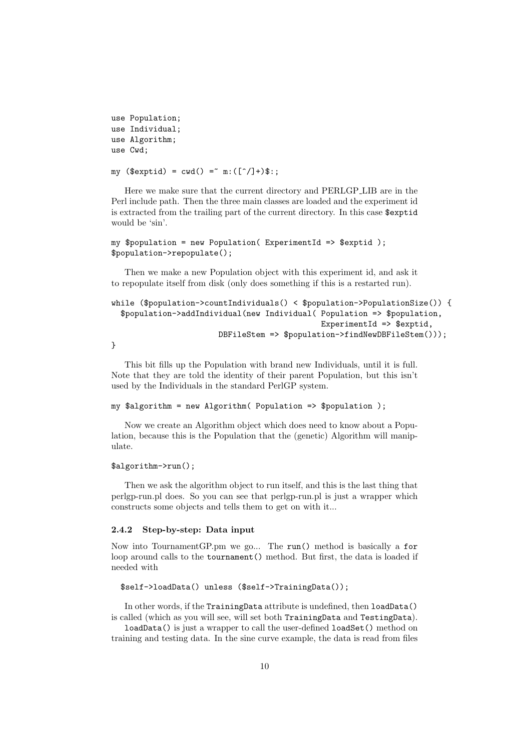```
use Population;
use Individual;
use Algorithm;
use Cwd;
```
my (\$exptid) =  $cwd() = m:([^(]/]+)$ \$:;

Here we make sure that the current directory and PERLGP LIB are in the Perl include path. Then the three main classes are loaded and the experiment id is extracted from the trailing part of the current directory. In this case \$exptid would be 'sin'.

```
my $population = new Population( ExperimentId => $exptid );
$population->repopulate();
```
Then we make a new Population object with this experiment id, and ask it to repopulate itself from disk (only does something if this is a restarted run).

```
while ($population->countIndividuals() < $population->PopulationSize()) {
  $population->addIndividual(new Individual( Population => $population,
                                               ExperimentId \Rightarrow $exptid,
                        DBFileStem => $population->findNewDBFileStem()));
```
}

This bit fills up the Population with brand new Individuals, until it is full. Note that they are told the identity of their parent Population, but this isn't used by the Individuals in the standard PerlGP system.

```
my $algorithm = new Algorithm( Population => $population );
```
Now we create an Algorithm object which does need to know about a Population, because this is the Population that the (genetic) Algorithm will manipulate.

### \$algorithm->run();

Then we ask the algorithm object to run itself, and this is the last thing that perlgp-run.pl does. So you can see that perlgp-run.pl is just a wrapper which constructs some objects and tells them to get on with it...

### <span id="page-9-0"></span>2.4.2 Step-by-step: Data input

Now into TournamentGP.pm we go... The run() method is basically a for loop around calls to the tournament() method. But first, the data is loaded if needed with

```
$self->loadData() unless ($self->TrainingData());
```
In other words, if the TrainingData attribute is undefined, then loadData() is called (which as you will see, will set both TrainingData and TestingData).

loadData() is just a wrapper to call the user-defined loadSet() method on training and testing data. In the sine curve example, the data is read from files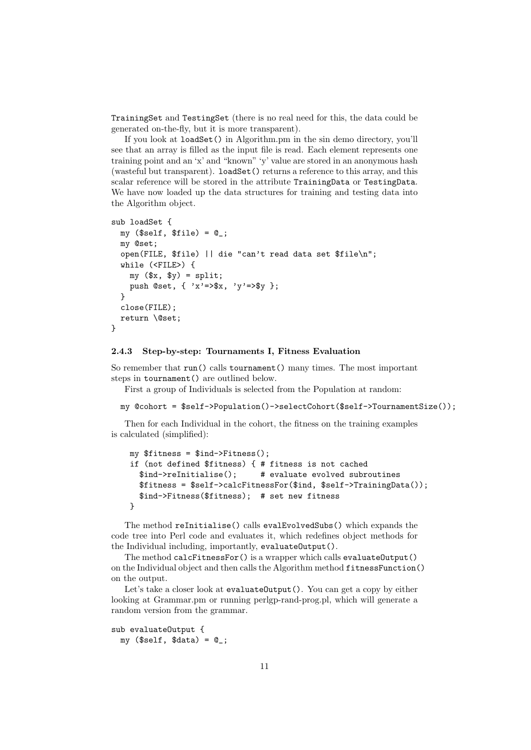TrainingSet and TestingSet (there is no real need for this, the data could be generated on-the-fly, but it is more transparent).

If you look at loadSet() in Algorithm.pm in the sin demo directory, you'll see that an array is filled as the input file is read. Each element represents one training point and an 'x' and "known" 'y' value are stored in an anonymous hash (wasteful but transparent). loadSet() returns a reference to this array, and this scalar reference will be stored in the attribute TrainingData or TestingData. We have now loaded up the data structures for training and testing data into the Algorithm object.

```
sub loadSet {
 my ($self, $file) = 0;
 my @set;
  open(FILE, $file) || die "can't read data set $file\n";
  while (<FILE>) {
   my ($x, $y) = split;
    push @set, { 'x'=>$x, 'y'=>$y };
  }
  close(FILE);
 return \@set;
}
```
#### <span id="page-10-0"></span>2.4.3 Step-by-step: Tournaments I, Fitness Evaluation

So remember that run() calls tournament() many times. The most important steps in tournament() are outlined below.

First a group of Individuals is selected from the Population at random:

```
my @cohort = $self->Population()->selectCohort($self->TournamentSize());
```
Then for each Individual in the cohort, the fitness on the training examples is calculated (simplified):

```
my $fitness = $ind->Fitness();
if (not defined $fitness) { # fitness is not cached
  $ind->reInitialise(); # evaluate evolved subroutines
  $fitness = $self->calcFitnessFor($ind, $self->TrainingData());
  $ind->Fitness($fitness); # set new fitness
}
```
The method reInitialise() calls evalEvolvedSubs() which expands the code tree into Perl code and evaluates it, which redefines object methods for the Individual including, importantly, evaluateOutput().

The method calcFitnessFor() is a wrapper which calls evaluateOutput() on the Individual object and then calls the Algorithm method fitnessFunction() on the output.

Let's take a closer look at evaluateOutput(). You can get a copy by either looking at Grammar.pm or running perlgp-rand-prog.pl, which will generate a random version from the grammar.

```
sub evaluateOutput {
 mv ($self, $data) = @ ;
```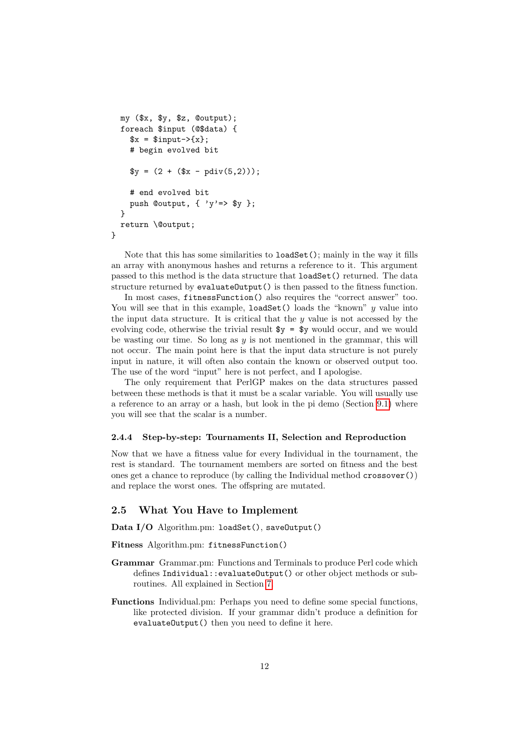```
my ($x, $y, $z, @output);
  foreach $input (@$data) {
    x = $input->{x};
    # begin evolved bit
    y = (2 + (x - pdiv(5,2)));
    # end evolved bit
    push Coutput, \{ 'y' => $y \};}
 return \@output;
}
```
Note that this has some similarities to loadSet(); mainly in the way it fills an array with anonymous hashes and returns a reference to it. This argument passed to this method is the data structure that loadSet() returned. The data structure returned by evaluateOutput() is then passed to the fitness function.

In most cases, fitnessFunction() also requires the "correct answer" too. You will see that in this example, loadSet() loads the "known"  $y$  value into the input data structure. It is critical that the  $y$  value is not accessed by the evolving code, otherwise the trivial result  $y = y$  would occur, and we would be wasting our time. So long as  $y$  is not mentioned in the grammar, this will not occur. The main point here is that the input data structure is not purely input in nature, it will often also contain the known or observed output too. The use of the word "input" here is not perfect, and I apologise.

The only requirement that PerlGP makes on the data structures passed between these methods is that it must be a scalar variable. You will usually use a reference to an array or a hash, but look in the pi demo (Section [9.1\)](#page-66-1) where you will see that the scalar is a number.

#### <span id="page-11-0"></span>2.4.4 Step-by-step: Tournaments II, Selection and Reproduction

Now that we have a fitness value for every Individual in the tournament, the rest is standard. The tournament members are sorted on fitness and the best ones get a chance to reproduce (by calling the Individual method crossover()) and replace the worst ones. The offspring are mutated.

### <span id="page-11-1"></span>2.5 What You Have to Implement

Data I/O Algorithm.pm: loadSet(), saveOutput()

Fitness Algorithm.pm: fitnessFunction()

- Grammar Grammar.pm: Functions and Terminals to produce Perl code which defines Individual::evaluateOutput() or other object methods or subroutines. All explained in Section [7.](#page-60-2)
- Functions Individual.pm: Perhaps you need to define some special functions, like protected division. If your grammar didn't produce a definition for evaluateOutput() then you need to define it here.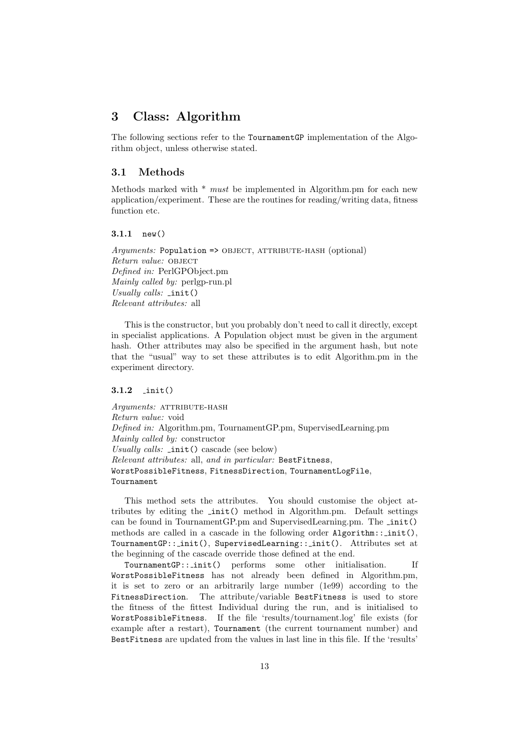# <span id="page-12-0"></span>3 Class: Algorithm

The following sections refer to the TournamentGP implementation of the Algorithm object, unless otherwise stated.

### <span id="page-12-1"></span>3.1 Methods

Methods marked with  $*$  must be implemented in Algorithm.pm for each new application/experiment. These are the routines for reading/writing data, fitness function etc.

### <span id="page-12-2"></span>3.1.1 new()

 $A\mathit{rquments:}$  Population => OBJECT, ATTRIBUTE-HASH (optional) Return value: OBJECT Defined in: PerlGPObject.pm Mainly called by: perlgp-run.pl Usually calls:  $\text{init}()$ Relevant attributes: all

This is the constructor, but you probably don't need to call it directly, except in specialist applications. A Population object must be given in the argument hash. Other attributes may also be specified in the argument hash, but note that the "usual" way to set these attributes is to edit Algorithm.pm in the experiment directory.

### <span id="page-12-3"></span>3.1.2 init()

Arguments: ATTRIBUTE-HASH Return value: void Defined in: Algorithm.pm, TournamentGP.pm, SupervisedLearning.pm Mainly called by: constructor Usually calls: \_init() cascade (see below) Relevant attributes: all, and in particular: BestFitness, WorstPossibleFitness, FitnessDirection, TournamentLogFile, Tournament

This method sets the attributes. You should customise the object attributes by editing the init() method in Algorithm.pm. Default settings can be found in TournamentGP.pm and SupervisedLearning.pm. The \_init() methods are called in a cascade in the following order  $\text{Algorithm}::init()$ . TournamentGP:: init(), SupervisedLearning:: init(). Attributes set at the beginning of the cascade override those defined at the end.

TournamentGP:: init() performs some other initialisation. If WorstPossibleFitness has not already been defined in Algorithm.pm, it is set to zero or an arbitrarily large number (1e99) according to the FitnessDirection. The attribute/variable BestFitness is used to store the fitness of the fittest Individual during the run, and is initialised to WorstPossibleFitness. If the file 'results/tournament.log' file exists (for example after a restart), Tournament (the current tournament number) and BestFitness are updated from the values in last line in this file. If the 'results'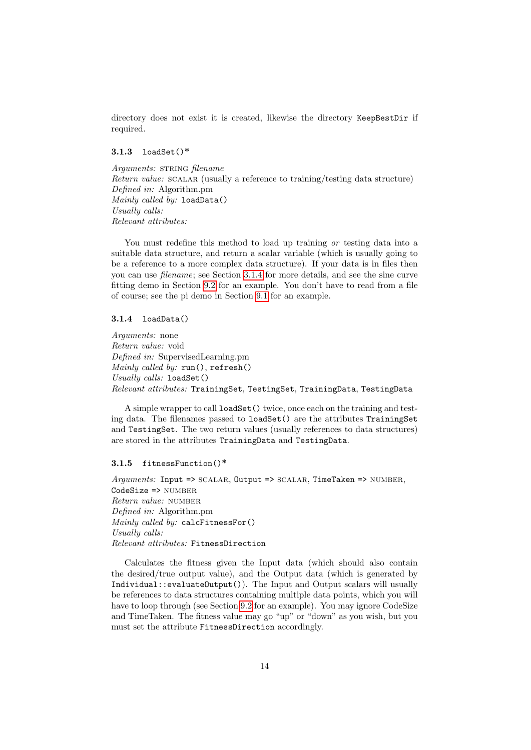directory does not exist it is created, likewise the directory KeepBestDir if required.

### <span id="page-13-0"></span>3.1.3 loadSet()\*

Arguments: STRING filename Return value: SCALAR (usually a reference to training/testing data structure) Defined in: Algorithm.pm Mainly called by: loadData() Usually calls: Relevant attributes:

You must redefine this method to load up training or testing data into a suitable data structure, and return a scalar variable (which is usually going to be a reference to a more complex data structure). If your data is in files then you can use filename; see Section [3.1.4](#page-13-1) for more details, and see the sine curve fitting demo in Section [9.2](#page-67-0) for an example. You don't have to read from a file of course; see the pi demo in Section [9.1](#page-66-1) for an example.

#### <span id="page-13-1"></span>3.1.4 loadData()

Arguments: none Return value: void Defined in: SupervisedLearning.pm Mainly called by: run(), refresh() Usually calls: loadSet() Relevant attributes: TrainingSet, TestingSet, TrainingData, TestingData

A simple wrapper to call loadSet() twice, once each on the training and testing data. The filenames passed to loadSet() are the attributes TrainingSet and TestingSet. The two return values (usually references to data structures) are stored in the attributes TrainingData and TestingData.

### <span id="page-13-2"></span>3.1.5 fitnessFunction()\*

 $Arguments: Input => SCALAR, Output => SCALAR, TimeTake = > NUMBER,$ CodeSize => NUMBER Return value: number Defined in: Algorithm.pm Mainly called by: calcFitnessFor() Usually calls: Relevant attributes: FitnessDirection

Calculates the fitness given the Input data (which should also contain the desired/true output value), and the Output data (which is generated by Individual::evaluateOutput()). The Input and Output scalars will usually be references to data structures containing multiple data points, which you will have to loop through (see Section [9.2](#page-67-0) for an example). You may ignore CodeSize and TimeTaken. The fitness value may go "up" or "down" as you wish, but you must set the attribute FitnessDirection accordingly.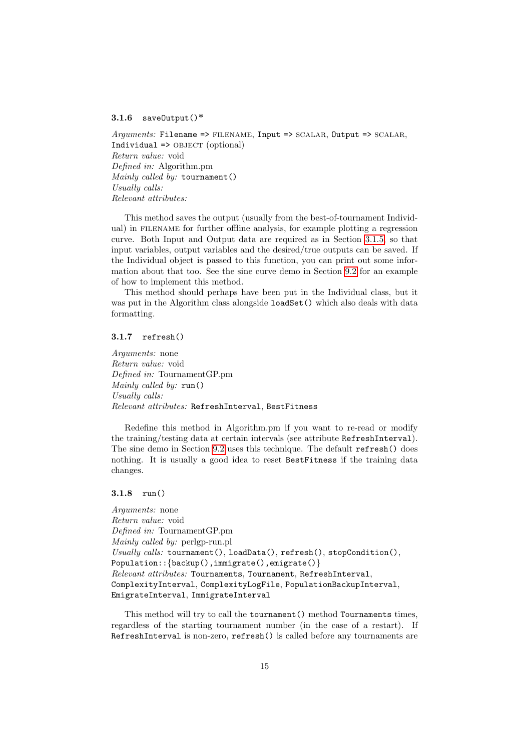### <span id="page-14-0"></span>3.1.6 save $Output()^*$

 $Arguments: Filename \implies \text{FILENAME}, \text{Input} \implies \text{SCALAR}, \text{Output} \implies \text{SCALAR},$  $Indivial \Rightarrow OBJECT (optional)$ Return value: void Defined in: Algorithm.pm Mainly called by: tournament() Usually calls: Relevant attributes:

This method saves the output (usually from the best-of-tournament Individual) in filename for further offline analysis, for example plotting a regression curve. Both Input and Output data are required as in Section [3.1.5,](#page-13-2) so that input variables, output variables and the desired/true outputs can be saved. If the Individual object is passed to this function, you can print out some information about that too. See the sine curve demo in Section [9.2](#page-67-0) for an example of how to implement this method.

This method should perhaps have been put in the Individual class, but it was put in the Algorithm class alongside loadSet() which also deals with data formatting.

#### <span id="page-14-1"></span>3.1.7 refresh()

Arguments: none Return value: void Defined in: TournamentGP.pm Mainly called by: run() Usually calls: Relevant attributes: RefreshInterval, BestFitness

Redefine this method in Algorithm.pm if you want to re-read or modify the training/testing data at certain intervals (see attribute RefreshInterval). The sine demo in Section [9.2](#page-67-0) uses this technique. The default refresh() does nothing. It is usually a good idea to reset BestFitness if the training data changes.

### <span id="page-14-2"></span>3.1.8 run()

Arguments: none Return value: void Defined in: TournamentGP.pm Mainly called by: perlgp-run.pl Usually calls:  $t$  cornament(), loadData(), refresh(), stopCondition(), Population:: {backup(),immigrate(),emigrate()} Relevant attributes: Tournaments, Tournament, RefreshInterval, ComplexityInterval, ComplexityLogFile, PopulationBackupInterval, EmigrateInterval, ImmigrateInterval

This method will try to call the tournament() method Tournaments times, regardless of the starting tournament number (in the case of a restart). If RefreshInterval is non-zero, refresh() is called before any tournaments are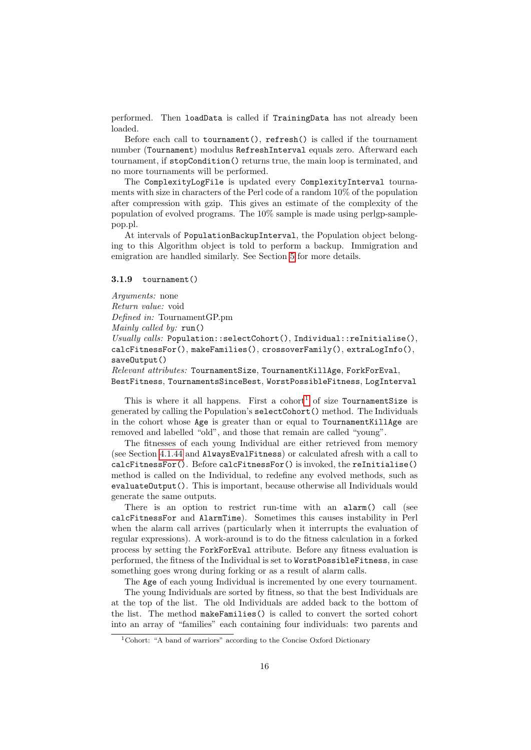performed. Then loadData is called if TrainingData has not already been loaded.

Before each call to tournament(), refresh() is called if the tournament number (Tournament) modulus RefreshInterval equals zero. Afterward each tournament, if stopCondition() returns true, the main loop is terminated, and no more tournaments will be performed.

The ComplexityLogFile is updated every ComplexityInterval tournaments with size in characters of the Perl code of a random 10% of the population after compression with gzip. This gives an estimate of the complexity of the population of evolved programs. The 10% sample is made using perlgp-samplepop.pl.

At intervals of PopulationBackupInterval, the Population object belonging to this Algorithm object is told to perform a backup. Immigration and emigration are handled similarly. See Section [5](#page-53-3) for more details.

### <span id="page-15-0"></span>3.1.9 tournament()

Arguments: none Return value: void Defined in: TournamentGP.pm Mainly called by: run() Usually calls: Population::selectCohort(), Individual::reInitialise(), calcFitnessFor(), makeFamilies(), crossoverFamily(), extraLogInfo(), save0utput() Relevant attributes: TournamentSize, TournamentKillAge, ForkForEval, BestFitness, TournamentsSinceBest, WorstPossibleFitness, LogInterval

This is where it all happens. First a cohort<sup>[1](#page-15-1)</sup> of size TournamentSize is generated by calling the Population's selectCohort() method. The Individuals in the cohort whose Age is greater than or equal to TournamentKillAge are removed and labelled "old", and those that remain are called "young".

The fitnesses of each young Individual are either retrieved from memory (see Section [4.1.44](#page-41-2) and AlwaysEvalFitness) or calculated afresh with a call to calcFitnessFor(). Before calcFitnessFor() is invoked, the reInitialise() method is called on the Individual, to redefine any evolved methods, such as evaluateOutput(). This is important, because otherwise all Individuals would generate the same outputs.

There is an option to restrict run-time with an alarm() call (see calcFitnessFor and AlarmTime). Sometimes this causes instability in Perl when the alarm call arrives (particularly when it interrupts the evaluation of regular expressions). A work-around is to do the fitness calculation in a forked process by setting the ForkForEval attribute. Before any fitness evaluation is performed, the fitness of the Individual is set to WorstPossibleFitness, in case something goes wrong during forking or as a result of alarm calls.

The Age of each young Individual is incremented by one every tournament.

The young Individuals are sorted by fitness, so that the best Individuals are at the top of the list. The old Individuals are added back to the bottom of the list. The method makeFamilies() is called to convert the sorted cohort into an array of "families" each containing four individuals: two parents and

<span id="page-15-1"></span><sup>1</sup>Cohort: "A band of warriors" according to the Concise Oxford Dictionary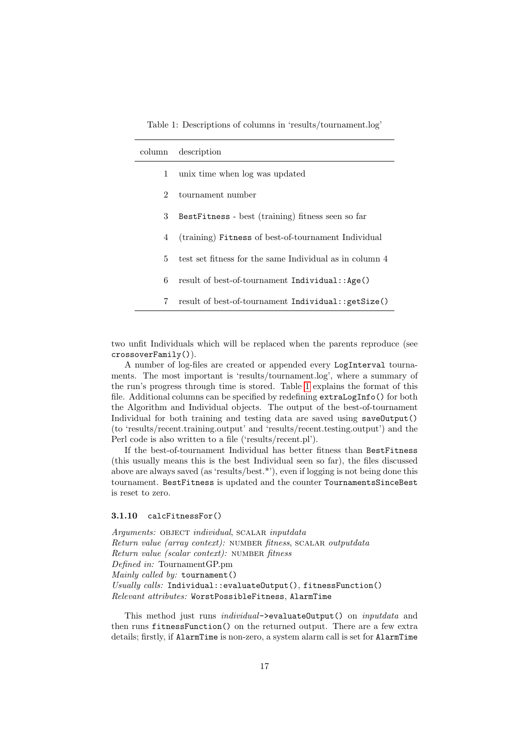<span id="page-16-1"></span>Table 1: Descriptions of columns in 'results/tournament.log'

| description<br>column |                                                         |
|-----------------------|---------------------------------------------------------|
| 1                     | unix time when log was updated                          |
| $\mathfrak{D}$        | tournament number                                       |
| 3                     | BestFitness - best (training) fitness seen so far       |
| 4                     | (training) Fitness of best-of-tournament Individual     |
| 5.                    | test set fitness for the same Individual as in column 4 |
| 6                     | result of best-of-tournament Individual::Age()          |
| 7                     | result of best-of-tournament Individual::getSize()      |

two unfit Individuals which will be replaced when the parents reproduce (see crossoverFamily()).

A number of log-files are created or appended every LogInterval tournaments. The most important is 'results/tournament.log', where a summary of the run's progress through time is stored. Table [1](#page-16-1) explains the format of this file. Additional columns can be specified by redefining extraLogInfo() for both the Algorithm and Individual objects. The output of the best-of-tournament Individual for both training and testing data are saved using saveOutput() (to 'results/recent.training.output' and 'results/recent.testing.output') and the Perl code is also written to a file ('results/recent.pl').

If the best-of-tournament Individual has better fitness than BestFitness (this usually means this is the best Individual seen so far), the files discussed above are always saved (as 'results/best.\*'), even if logging is not being done this tournament. BestFitness is updated and the counter TournamentsSinceBest is reset to zero.

### <span id="page-16-0"></span>3.1.10 calcFitnessFor()

Arguments: OBJECT individual, SCALAR inputdata Return value (array context): NUMBER fitness, SCALAR outputdata Return value (scalar context): NUMBER fitness Defined in: TournamentGP.pm Mainly called by: tournament() Usually calls: Individual::evaluateOutput(), fitnessFunction() Relevant attributes: WorstPossibleFitness, AlarmTime

This method just runs *individual*->evaluateOutput() on *inputdata* and then runs fitnessFunction() on the returned output. There are a few extra details; firstly, if AlarmTime is non-zero, a system alarm call is set for AlarmTime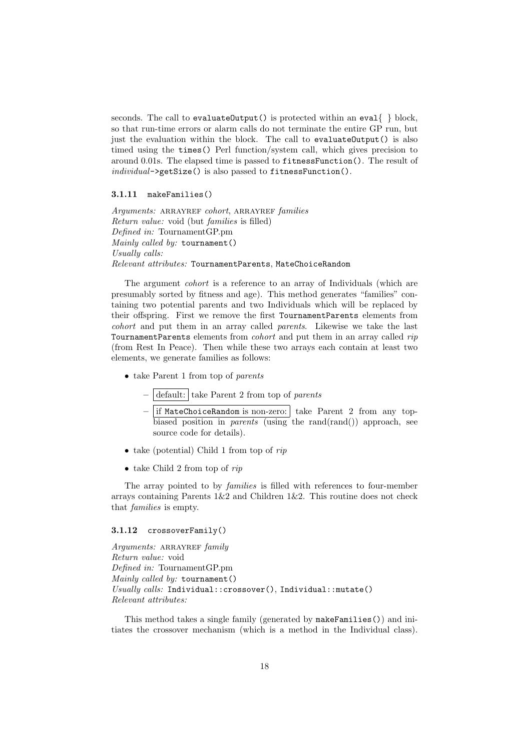seconds. The call to evaluateOutput() is protected within an eval  $\{\}$  block, so that run-time errors or alarm calls do not terminate the entire GP run, but just the evaluation within the block. The call to evaluateOutput() is also timed using the times() Perl function/system call, which gives precision to around 0.01s. The elapsed time is passed to fitnessFunction(). The result of individual->getSize() is also passed to fitnessFunction().

### <span id="page-17-0"></span>3.1.11 makeFamilies()

Arguments: ARRAYREF cohort, ARRAYREF families Return value: void (but families is filled) Defined in: TournamentGP.pm Mainly called by: tournament() Usually calls: Relevant attributes: TournamentParents, MateChoiceRandom

The argument cohort is a reference to an array of Individuals (which are presumably sorted by fitness and age). This method generates "families" containing two potential parents and two Individuals which will be replaced by their offspring. First we remove the first TournamentParents elements from cohort and put them in an array called parents. Likewise we take the last TournamentParents elements from *cohort* and put them in an array called rip (from Rest In Peace). Then while these two arrays each contain at least two elements, we generate families as follows:

- take Parent 1 from top of parents
	- $-$  default: take Parent 2 from top of parents
	- $-$  if MateChoiceRandom is non-zero: take Parent 2 from any topbiased position in *parents* (using the rand(rand()) approach, see source code for details).
- take (potential) Child 1 from top of  $rip$
- take Child 2 from top of  $rip$

The array pointed to by families is filled with references to four-member arrays containing Parents  $1\&2$  and Children  $1\&2$ . This routine does not check that families is empty.

### <span id="page-17-1"></span>3.1.12 crossoverFamily()

Arguments: ARRAYREF family Return value: void Defined in: TournamentGP.pm Mainly called by: tournament() Usually calls: Individual::crossover(), Individual::mutate() Relevant attributes:

This method takes a single family (generated by makeFamilies()) and initiates the crossover mechanism (which is a method in the Individual class).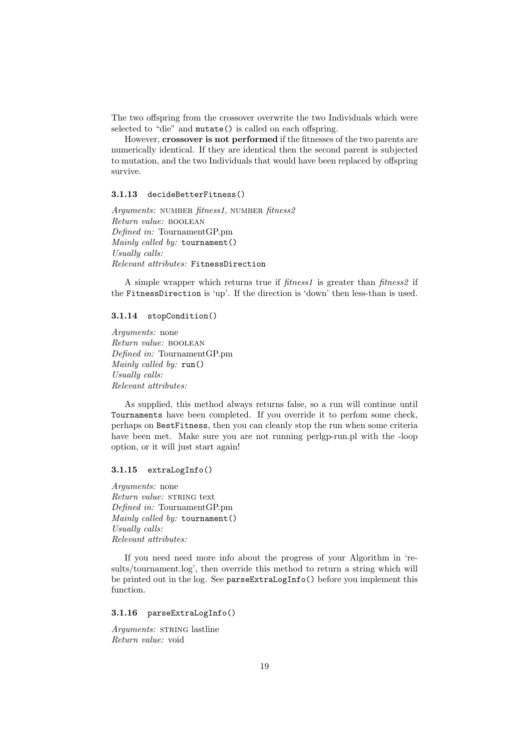The two offspring from the crossover overwrite the two Individuals which were selected to "die" and mutate() is called on each offspring.

However, crossover is not performed if the fitnesses of the two parents are numerically identical. If they are identical then the second parent is subjected to mutation, and the two Individuals that would have been replaced by offspring survive.

### <span id="page-18-0"></span>3.1.13 decideBetterFitness()

Arguments: NUMBER fitness1, NUMBER fitness2 Return value: boolean Defined in: TournamentGP.pm Mainly called by: tournament() Usually calls: Relevant attributes: FitnessDirection

A simple wrapper which returns true if *fitness1* is greater than *fitness2* if the FitnessDirection is 'up'. If the direction is 'down' then less-than is used.

### <span id="page-18-1"></span>3.1.14 stopCondition()

Arguments: none Return value: boolean Defined in: TournamentGP.pm Mainly called by: run() Usually calls: Relevant attributes:

As supplied, this method always returns false, so a run will continue until Tournaments have been completed. If you override it to perfom some check, perhaps on BestFitness, then you can cleanly stop the run when some criteria have been met. Make sure you are not running perlgp-run.pl with the -loop option, or it will just start again!

### <span id="page-18-2"></span>3.1.15 extraLogInfo()

Arguments: none Return value: STRING text Defined in: TournamentGP.pm Mainly called by: tournament() Usually calls: Relevant attributes:

If you need need more info about the progress of your Algorithm in 'results/tournament.log', then override this method to return a string which will be printed out in the log. See parseExtraLogInfo() before you implement this function.

### <span id="page-18-3"></span>3.1.16 parseExtraLogInfo()

Arguments: STRING lastline Return value: void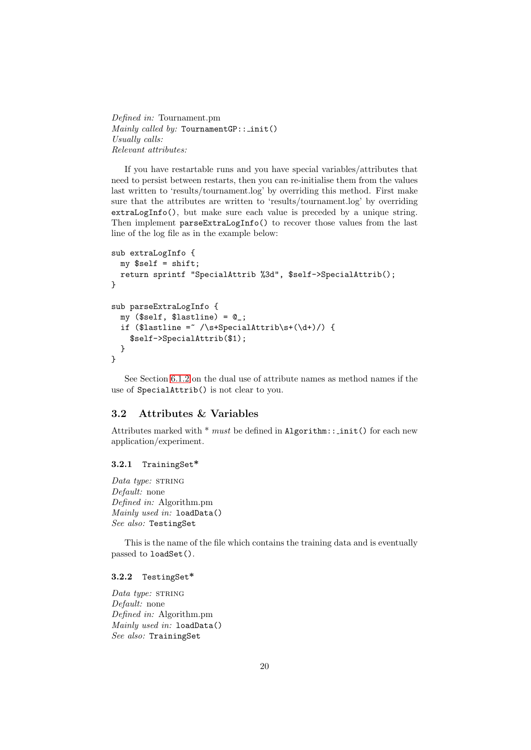Defined in: Tournament.pm  $\textit{Mainly called by:}$  TournamentGP:: \_init() Usually calls: Relevant attributes:

If you have restartable runs and you have special variables/attributes that need to persist between restarts, then you can re-initialise them from the values last written to 'results/tournament.log' by overriding this method. First make sure that the attributes are written to 'results/tournament.log' by overriding extraLogInfo(), but make sure each value is preceded by a unique string. Then implement parseExtraLogInfo() to recover those values from the last line of the log file as in the example below:

```
sub extraLogInfo {
 my $self = shift;
  return sprintf "SpecialAttrib %3d", $self->SpecialAttrib();
}
sub parseExtraLogInfo {
 my ($self, $lastline) = 0;
  if ($lastline = \sqrt{s+SpecialAttrib\sqrt{s}+(\d+)}) {
    $self->SpecialAttrib($1);
 }
}
```
See Section [6.1.2](#page-58-5) on the dual use of attribute names as method names if the use of SpecialAttrib() is not clear to you.

### <span id="page-19-0"></span>3.2 Attributes & Variables

Attributes marked with  $*$  must be defined in Algorithm:: init() for each new application/experiment.

#### <span id="page-19-1"></span>3.2.1 TrainingSet\*

Data type: STRING Default: none Defined in: Algorithm.pm Mainly used in: loadData() See also: TestingSet

This is the name of the file which contains the training data and is eventually passed to loadSet().

#### <span id="page-19-2"></span>3.2.2 TestingSet\*

Data type: STRING Default: none Defined in: Algorithm.pm Mainly used in: loadData() See also: TrainingSet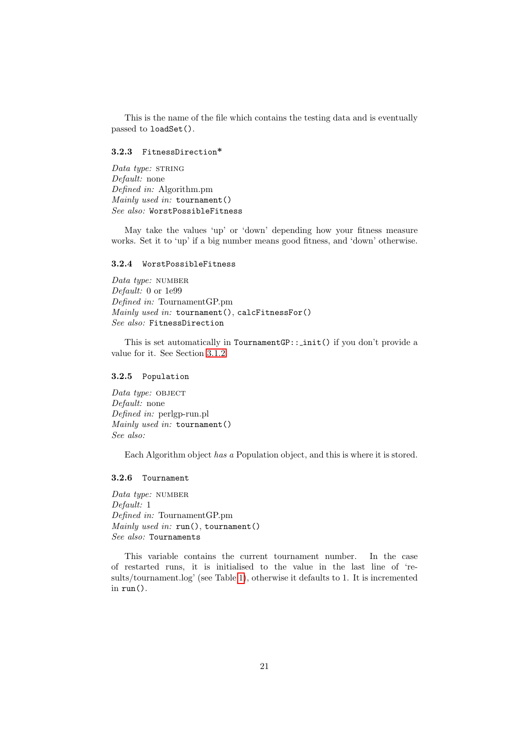This is the name of the file which contains the testing data and is eventually passed to loadSet().

### <span id="page-20-0"></span>3.2.3 FitnessDirection\*

 $Data$  type: STRING Default: none Defined in: Algorithm.pm Mainly used in: tournament() See also: WorstPossibleFitness

May take the values 'up' or 'down' depending how your fitness measure works. Set it to 'up' if a big number means good fitness, and 'down' otherwise.

#### <span id="page-20-1"></span>3.2.4 WorstPossibleFitness

Data type: NUMBER Default: 0 or 1e99 Defined in: TournamentGP.pm Mainly used in: tournament(), calcFitnessFor() See also: FitnessDirection

This is set automatically in  $T$ ournamentGP:: init() if you don't provide a value for it. See Section [3.1.2.](#page-12-3)

### <span id="page-20-2"></span>3.2.5 Population

 $Data type: OBJECT$ Default: none Defined in: perlgp-run.pl Mainly used in: tournament() See also:

Each Algorithm object has a Population object, and this is where it is stored.

#### <span id="page-20-3"></span>3.2.6 Tournament

Data type: NUMBER Default: 1 Defined in: TournamentGP.pm Mainly used in: run(), tournament() See also: Tournaments

This variable contains the current tournament number. In the case of restarted runs, it is initialised to the value in the last line of 'results/tournament.log' (see Table [1\)](#page-16-1), otherwise it defaults to 1. It is incremented in run().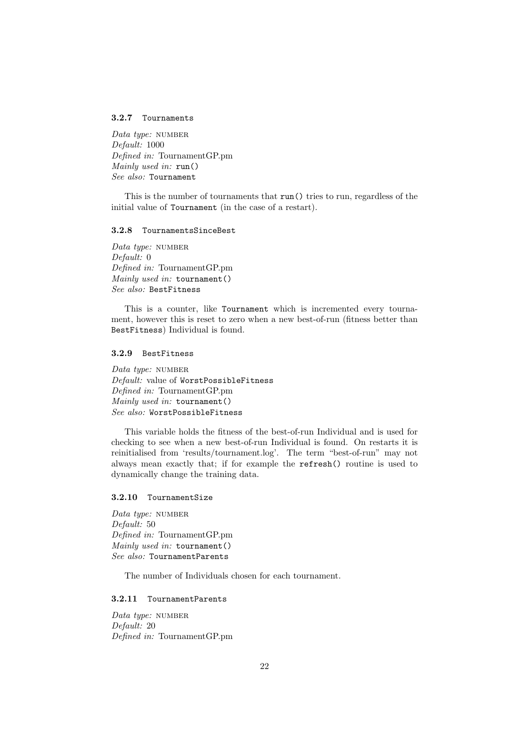#### <span id="page-21-0"></span>3.2.7 Tournaments

Data type: NUMBER Default: 1000 Defined in: TournamentGP.pm Mainly used in: run() See also: Tournament

This is the number of tournaments that run() tries to run, regardless of the initial value of Tournament (in the case of a restart).

### <span id="page-21-1"></span>3.2.8 TournamentsSinceBest

Data type: NUMBER Default: 0 Defined in: TournamentGP.pm Mainly used in: tournament() See also: BestFitness

This is a counter, like Tournament which is incremented every tournament, however this is reset to zero when a new best-of-run (fitness better than BestFitness) Individual is found.

### <span id="page-21-2"></span>3.2.9 BestFitness

Data type:  $NUMBER$ Default: value of WorstPossibleFitness Defined in: TournamentGP.pm Mainly used in: tournament() See also: WorstPossibleFitness

This variable holds the fitness of the best-of-run Individual and is used for checking to see when a new best-of-run Individual is found. On restarts it is reinitialised from 'results/tournament.log'. The term "best-of-run" may not always mean exactly that; if for example the refresh() routine is used to dynamically change the training data.

#### <span id="page-21-3"></span>3.2.10 TournamentSize

Data type: NUMBER Default: 50 Defined in: TournamentGP.pm Mainly used in: tournament() See also: TournamentParents

The number of Individuals chosen for each tournament.

### <span id="page-21-4"></span>3.2.11 TournamentParents

Data type: NUMBER Default: 20 Defined in: TournamentGP.pm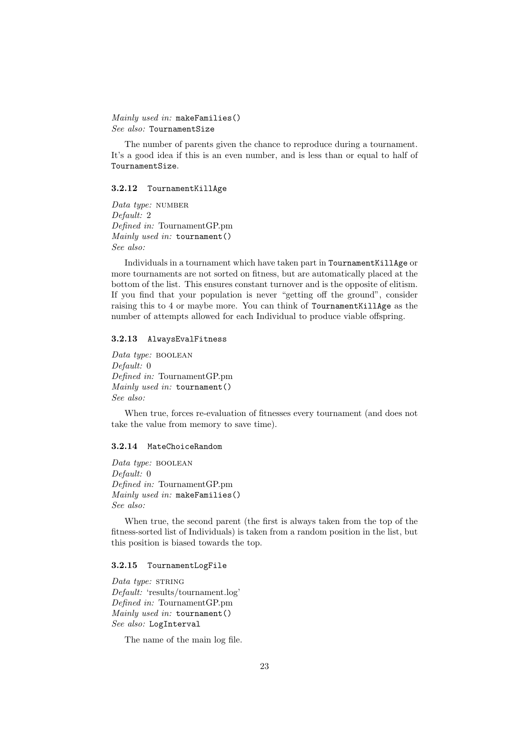Mainly used in: makeFamilies() See also: TournamentSize

The number of parents given the chance to reproduce during a tournament. It's a good idea if this is an even number, and is less than or equal to half of TournamentSize.

### <span id="page-22-0"></span>3.2.12 TournamentKillAge

Data type: NUMBER Default: 2 Defined in: TournamentGP.pm Mainly used in: tournament() See also:

Individuals in a tournament which have taken part in TournamentKillAge or more tournaments are not sorted on fitness, but are automatically placed at the bottom of the list. This ensures constant turnover and is the opposite of elitism. If you find that your population is never "getting off the ground", consider raising this to 4 or maybe more. You can think of TournamentKillAge as the number of attempts allowed for each Individual to produce viable offspring.

### <span id="page-22-1"></span>3.2.13 AlwaysEvalFitness

Data type: BOOLEAN Default: 0 Defined in: TournamentGP.pm Mainly used in: tournament() See also:

When true, forces re-evaluation of fitnesses every tournament (and does not take the value from memory to save time).

#### <span id="page-22-2"></span>3.2.14 MateChoiceRandom

Data type: BOOLEAN Default: 0 Defined in: TournamentGP.pm Mainly used in: makeFamilies() See also:

When true, the second parent (the first is always taken from the top of the fitness-sorted list of Individuals) is taken from a random position in the list, but this position is biased towards the top.

#### <span id="page-22-3"></span>3.2.15 TournamentLogFile

Data type: STRING Default: 'results/tournament.log' Defined in: TournamentGP.pm Mainly used in: tournament() See also: LogInterval

The name of the main log file.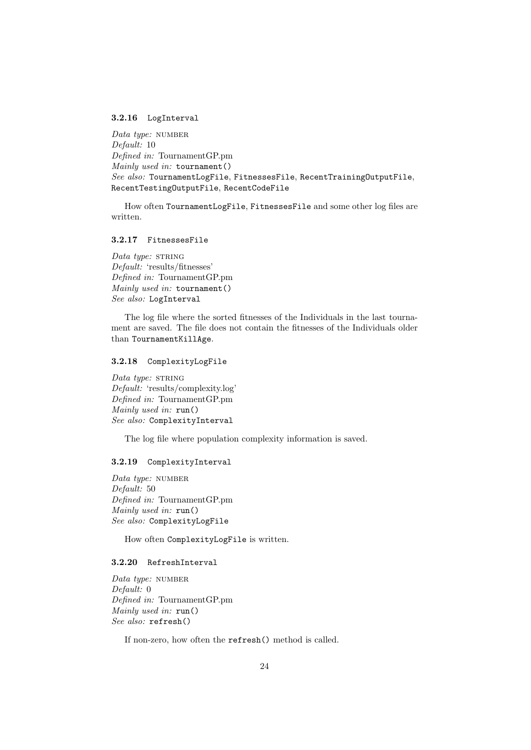#### <span id="page-23-0"></span>3.2.16 LogInterval

Data type: NUMBER Default: 10 Defined in: TournamentGP.pm Mainly used in: tournament() See also: TournamentLogFile, FitnessesFile, RecentTrainingOutputFile, RecentTestingOutputFile, RecentCodeFile

How often TournamentLogFile, FitnessesFile and some other log files are written.

### <span id="page-23-1"></span>3.2.17 FitnessesFile

Data type: STRING Default: 'results/fitnesses' Defined in: TournamentGP.pm Mainly used in: tournament() See also: LogInterval

The log file where the sorted fitnesses of the Individuals in the last tournament are saved. The file does not contain the fitnesses of the Individuals older than TournamentKillAge.

### <span id="page-23-2"></span>3.2.18 ComplexityLogFile

Data type: STRING Default: 'results/complexity.log' Defined in: TournamentGP.pm Mainly used in: run() See also: ComplexityInterval

The log file where population complexity information is saved.

### <span id="page-23-3"></span>3.2.19 ComplexityInterval

Data type: NUMBER Default: 50 Defined in: TournamentGP.pm Mainly used in: run() See also: ComplexityLogFile

How often ComplexityLogFile is written.

### <span id="page-23-4"></span>3.2.20 RefreshInterval

Data type: NUMBER Default: 0 Defined in: TournamentGP.pm Mainly used in: run() See also: refresh()

If non-zero, how often the refresh() method is called.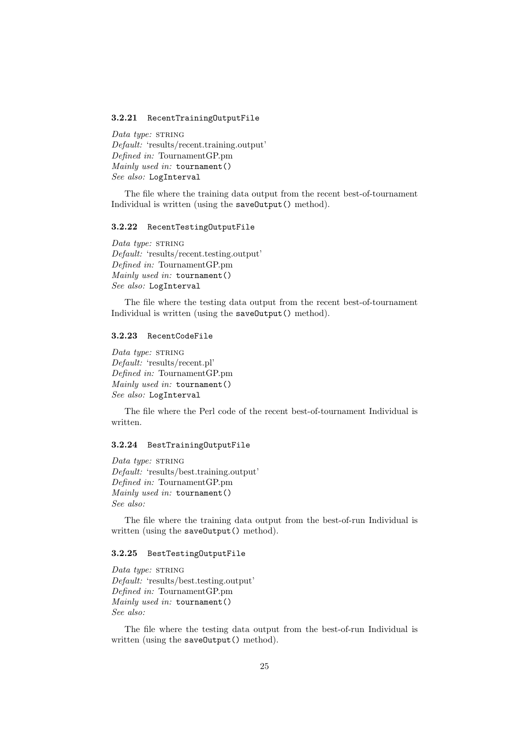#### <span id="page-24-0"></span>3.2.21 RecentTrainingOutputFile

Data type:  $STRING$ Default: 'results/recent.training.output' Defined in: TournamentGP.pm Mainly used in: tournament() See also: LogInterval

The file where the training data output from the recent best-of-tournament Individual is written (using the saveOutput() method).

#### <span id="page-24-1"></span>3.2.22 RecentTestingOutputFile

Data type: STRING Default: 'results/recent.testing.output' Defined in: TournamentGP.pm Mainly used in: tournament() See also: LogInterval

The file where the testing data output from the recent best-of-tournament Individual is written (using the saveOutput() method).

### <span id="page-24-2"></span>3.2.23 RecentCodeFile

Data type:  $STRING$ Default: 'results/recent.pl' Defined in: TournamentGP.pm Mainly used in: tournament() See also: LogInterval

The file where the Perl code of the recent best-of-tournament Individual is written.

#### <span id="page-24-3"></span>3.2.24 BestTrainingOutputFile

Data type: STRING Default: 'results/best.training.output' Defined in: TournamentGP.pm Mainly used in: tournament() See also:

The file where the training data output from the best-of-run Individual is written (using the saveOutput() method).

### <span id="page-24-4"></span>3.2.25 BestTestingOutputFile

Data type: STRING Default: 'results/best.testing.output' Defined in: TournamentGP.pm Mainly used in: tournament() See also:

The file where the testing data output from the best-of-run Individual is written (using the saveOutput() method).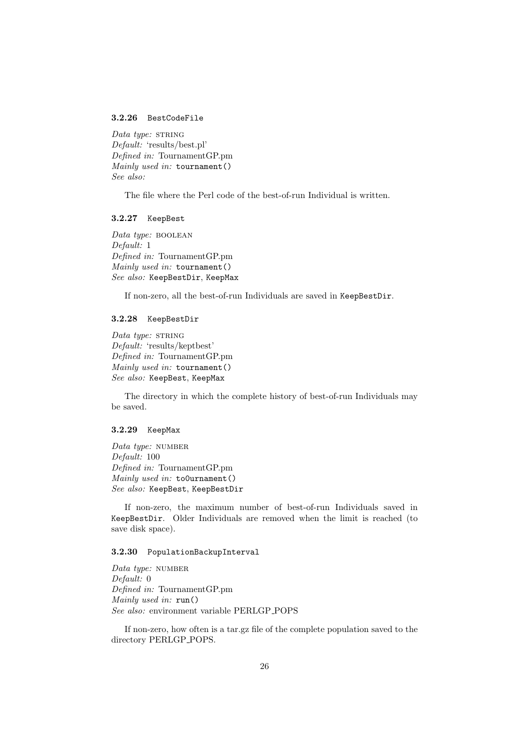### <span id="page-25-0"></span>3.2.26 BestCodeFile

Data type:  $STRING$ Default: 'results/best.pl' Defined in: TournamentGP.pm Mainly used in: tournament() See also:

The file where the Perl code of the best-of-run Individual is written.

### <span id="page-25-1"></span>3.2.27 KeepBest

Data type: BOOLEAN Default: 1 Defined in: TournamentGP.pm Mainly used in: tournament() See also: KeepBestDir, KeepMax

If non-zero, all the best-of-run Individuals are saved in KeepBestDir.

### <span id="page-25-2"></span>3.2.28 KeepBestDir

Data type: STRING Default: 'results/keptbest' Defined in: TournamentGP.pm Mainly used in: tournament() See also: KeepBest, KeepMax

The directory in which the complete history of best-of-run Individuals may be saved.

#### <span id="page-25-3"></span>3.2.29 KeepMax

Data type: NUMBER Default: 100 Defined in: TournamentGP.pm Mainly used in: to0urnament() See also: KeepBest, KeepBestDir

If non-zero, the maximum number of best-of-run Individuals saved in KeepBestDir. Older Individuals are removed when the limit is reached (to save disk space).

### <span id="page-25-4"></span>3.2.30 PopulationBackupInterval

Data type: NUMBER Default: 0 Defined in: TournamentGP.pm Mainly used in: run() See also: environment variable PERLGP POPS

If non-zero, how often is a tar.gz file of the complete population saved to the directory PERLGP POPS.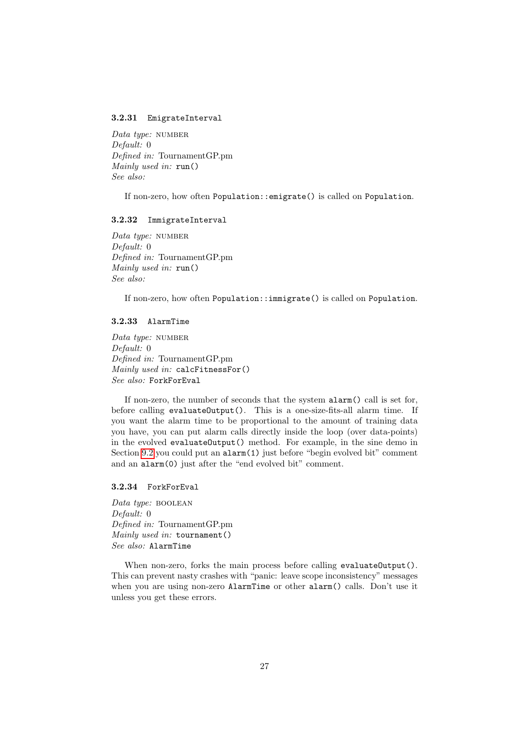#### <span id="page-26-0"></span>3.2.31 EmigrateInterval

Data type: NUMBER Default: 0 Defined in: TournamentGP.pm Mainly used in: run() See also:

If non-zero, how often Population::emigrate() is called on Population.

#### <span id="page-26-1"></span>3.2.32 ImmigrateInterval

Data type: NUMBER Default: 0 Defined in: TournamentGP.pm Mainly used in: run() See also:

If non-zero, how often Population::immigrate() is called on Population.

### <span id="page-26-2"></span>3.2.33 AlarmTime

Data type: NUMBER Default: 0 Defined in: TournamentGP.pm Mainly used in: calcFitnessFor() See also: ForkForEval

If non-zero, the number of seconds that the system alarm() call is set for, before calling evaluateOutput(). This is a one-size-fits-all alarm time. If you want the alarm time to be proportional to the amount of training data you have, you can put alarm calls directly inside the loop (over data-points) in the evolved evaluateOutput() method. For example, in the sine demo in Section [9.2](#page-67-0) you could put an alarm(1) just before "begin evolved bit" comment and an alarm(0) just after the "end evolved bit" comment.

<span id="page-26-3"></span>3.2.34 ForkForEval

Data type: BOOLEAN Default: 0 Defined in: TournamentGP.pm Mainly used in: tournament() See also: AlarmTime

When non-zero, forks the main process before calling evaluateOutput(). This can prevent nasty crashes with "panic: leave scope inconsistency" messages when you are using non-zero AlarmTime or other alarm() calls. Don't use it unless you get these errors.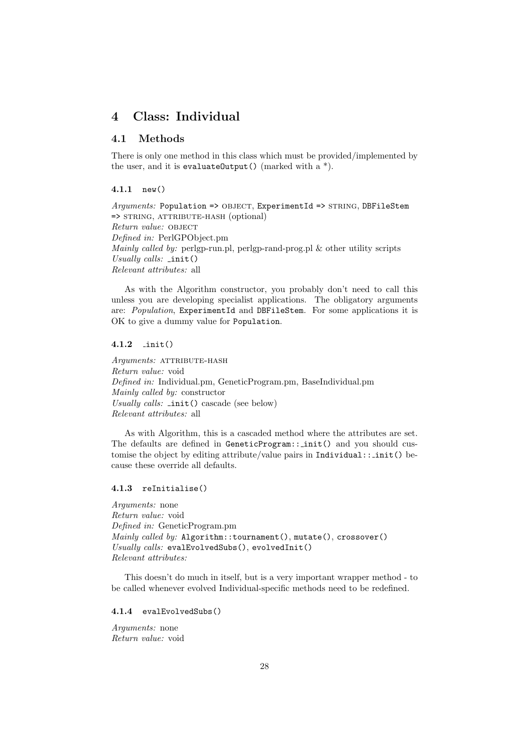# <span id="page-27-0"></span>4 Class: Individual

### <span id="page-27-1"></span>4.1 Methods

There is only one method in this class which must be provided/implemented by the user, and it is evaluateOutput() (marked with  $a^*$ ).

### <span id="page-27-2"></span>4.1.1 new()

 $Arguments: Population => OBJECT, ExperimentId => STRING, DBFilesStem$ => string, attribute-hash (optional) Return value: OBJECT Defined in: PerlGPObject.pm Mainly called by: perlgp-run.pl, perlgp-rand-prog.pl & other utility scripts Usually calls:  $\text{init}()$ Relevant attributes: all

As with the Algorithm constructor, you probably don't need to call this unless you are developing specialist applications. The obligatory arguments are: Population, ExperimentId and DBFileStem. For some applications it is OK to give a dummy value for Population.

### <span id="page-27-3"></span>4.1.2 init()

Arguments: ATTRIBUTE-HASH Return value: void Defined in: Individual.pm, GeneticProgram.pm, BaseIndividual.pm Mainly called by: constructor Usually calls: \_init() cascade (see below) Relevant attributes: all

As with Algorithm, this is a cascaded method where the attributes are set. The defaults are defined in GeneticProgram:: init() and you should customise the object by editing attribute/value pairs in Individual::  $\text{init}()$  because these override all defaults.

### <span id="page-27-4"></span>4.1.3 reInitialise()

Arguments: none Return value: void Defined in: GeneticProgram.pm Mainly called by: Algorithm::tournament(), mutate(), crossover() Usually calls: evalEvolvedSubs(), evolvedInit() Relevant attributes:

This doesn't do much in itself, but is a very important wrapper method - to be called whenever evolved Individual-specific methods need to be redefined.

#### <span id="page-27-5"></span>4.1.4 evalEvolvedSubs()

Arguments: none Return value: void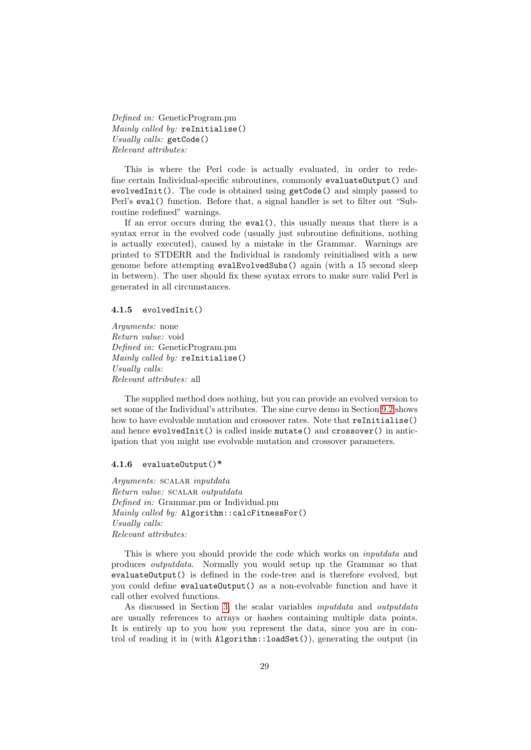Defined in: GeneticProgram.pm Mainly called by: reInitialise() Usually calls: getCode() Relevant attributes:

This is where the Perl code is actually evaluated, in order to redefine certain Individual-specific subroutines, commonly evaluateOutput() and evolvedInit(). The code is obtained using getCode() and simply passed to Perl's eval() function. Before that, a signal handler is set to filter out "Subroutine redefined" warnings.

If an error occurs during the eval(), this usually means that there is a syntax error in the evolved code (usually just subroutine definitions, nothing is actually executed), caused by a mistake in the Grammar. Warnings are printed to STDERR and the Individual is randomly reinitialised with a new genome before attempting evalEvolvedSubs() again (with a 15 second sleep in between). The user should fix these syntax errors to make sure valid Perl is generated in all circumstances.

#### <span id="page-28-0"></span>4.1.5 evolvedInit()

Arguments: none Return value: void Defined in: GeneticProgram.pm Mainly called by: reInitialise() Usually calls: Relevant attributes: all

The supplied method does nothing, but you can provide an evolved version to set some of the Individual's attributes. The sine curve demo in Section [9.2](#page-67-0) shows how to have evolvable mutation and crossover rates. Note that reInitialise() and hence evolvedInit() is called inside mutate() and crossover() in anticipation that you might use evolvable mutation and crossover parameters.

#### <span id="page-28-1"></span>4.1.6 evaluateOutput()\*

Arguments: SCALAR inputdata Return value: SCALAR outputdata Defined in: Grammar.pm or Individual.pm Mainly called by: Algorithm::calcFitnessFor() Usually calls: Relevant attributes:

This is where you should provide the code which works on inputdata and produces outputdata. Normally you would setup up the Grammar so that evaluateOutput() is defined in the code-tree and is therefore evolved, but you could define evaluateOutput() as a non-evolvable function and have it call other evolved functions.

As discussed in Section [3,](#page-12-0) the scalar variables inputdata and outputdata are usually references to arrays or hashes containing multiple data points. It is entirely up to you how you represent the data, since you are in control of reading it in (with Algorithm::loadSet()), generating the output (in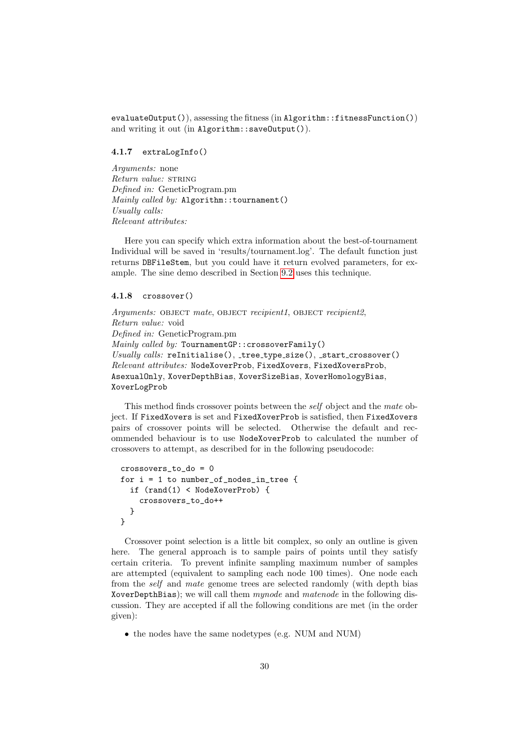evaluateOutput()), assessing the fitness (in Algorithm::fitnessFunction()) and writing it out (in Algorithm::saveOutput()).

### <span id="page-29-0"></span>4.1.7 extraLogInfo()

Arguments: none Return value: STRING Defined in: GeneticProgram.pm Mainly called by: Algorithm::tournament() Usually calls: Relevant attributes:

Here you can specify which extra information about the best-of-tournament Individual will be saved in 'results/tournament.log'. The default function just returns DBFileStem, but you could have it return evolved parameters, for example. The sine demo described in Section [9.2](#page-67-0) uses this technique.

### <span id="page-29-1"></span>4.1.8 crossover()

Arguments: OBJECT mate, OBJECT recipient1, OBJECT recipient2, Return value: void Defined in: GeneticProgram.pm Mainly called by: TournamentGP::crossoverFamily() Usually calls:  $\text{refinitialise}()$ ,  $\text{tree_type_size}()$ ,  $\text{start\_crossover()}$ Relevant attributes: NodeXoverProb, FixedXovers, FixedXoversProb, AsexualOnly, XoverDepthBias, XoverSizeBias, XoverHomologyBias, XoverLogProb

This method finds crossover points between the self object and the mate object. If FixedXovers is set and FixedXoverProb is satisfied, then FixedXovers pairs of crossover points will be selected. Otherwise the default and recommended behaviour is to use NodeXoverProb to calculated the number of crossovers to attempt, as described for in the following pseudocode:

```
crossovers_to_do = 0
for i = 1 to number_of_nodes_in_tree {
  if (rand(1) < NodeXoverProb) {
    crossovers_to_do++
  }
}
```
Crossover point selection is a little bit complex, so only an outline is given here. The general approach is to sample pairs of points until they satisfy certain criteria. To prevent infinite sampling maximum number of samples are attempted (equivalent to sampling each node 100 times). One node each from the self and mate genome trees are selected randomly (with depth bias XoverDepthBias); we will call them mynode and matenode in the following discussion. They are accepted if all the following conditions are met (in the order given):

• the nodes have the same nodetypes (e.g. NUM and NUM)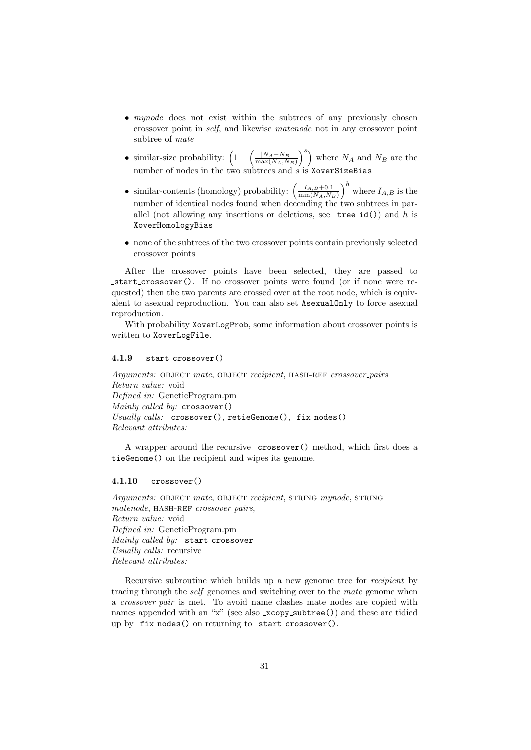- *mynode* does not exist within the subtrees of any previously chosen crossover point in self, and likewise matenode not in any crossover point subtree of mate
- similar-size probability:  $\left(1 \left(\frac{|N_A N_B|}{\max(N_A, N_B)}\right)\right)$  $\frac{|N_A - N_B|}{\max(N_A, N_B)}\right)^s$  where  $N_A$  and  $N_B$  are the number of nodes in the two subtrees and  $s$  is XoverSizeBias
- similar-contents (homology) probability:  $\left(\frac{I_{A,B}+0.1}{\min(N_A N_A)}\right)$  $\left(\frac{I_{A,B}+0.1}{\min(N_A,N_B)}\right)^h$  where  $I_{A,B}$  is the number of identical nodes found when decending the two subtrees in parallel (not allowing any insertions or deletions, see  $\text{\texttt{tree_id()}}$ ) and h is XoverHomologyBias
- none of the subtrees of the two crossover points contain previously selected crossover points

After the crossover points have been selected, they are passed to start crossover(). If no crossover points were found (or if none were requested) then the two parents are crossed over at the root node, which is equivalent to asexual reproduction. You can also set AsexualOnly to force asexual reproduction.

With probability XoverLogProb, some information about crossover points is written to XoverLogFile.

### <span id="page-30-0"></span>4.1.9 start crossover()

Arguments: OBJECT mate, OBJECT recipient, HASH-REF crossover\_pairs Return value: void Defined in: GeneticProgram.pm Mainly called by: crossover() Usually calls:  $\text{crossover}()$ , retieGenome $()$ ,  $\text{fix nodes}()$ Relevant attributes:

A wrapper around the recursive crossover() method, which first does a tieGenome() on the recipient and wipes its genome.

### <span id="page-30-1"></span>4.1.10 crossover()

Arguments: OBJECT mate, OBJECT recipient, STRING mynode, STRING matenode, HASH-REF crossover\_pairs, Return value: void Defined in: GeneticProgram.pm Mainly called by:  $_5$ start\_crossover Usually calls: recursive Relevant attributes:

Recursive subroutine which builds up a new genome tree for recipient by tracing through the self genomes and switching over to the mate genome when a crossover pair is met. To avoid name clashes mate nodes are copied with names appended with an "x" (see also xcopy\_subtree()) and these are tidied up by fix nodes() on returning to start crossover().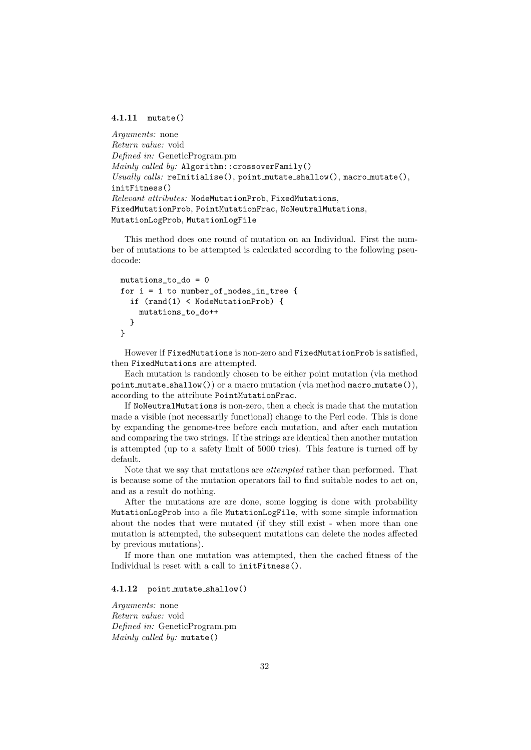#### <span id="page-31-0"></span>4.1.11 mutate()

```
Arguments: none
Return value: void
Defined in: GeneticProgram.pm
\textit{Mainly called by: Algorithm: crossoverFamily()}Usually calls: reInitialise(), point mutate shallow(), macro mutate(),
initFitness()
Relevant attributes: NodeMutationProb, FixedMutations,
FixedMutationProb, PointMutationFrac, NoNeutralMutations,
MutationLogProb, MutationLogFile
```
This method does one round of mutation on an Individual. First the number of mutations to be attempted is calculated according to the following pseudocode:

```
mutations_to_do = 0
for i = 1 to number_of_nodes_in_tree {
  if (rand(1) < NodeMutationProb) {
   mutations_to_do++
  }
}
```
However if FixedMutations is non-zero and FixedMutationProb is satisfied, then FixedMutations are attempted.

Each mutation is randomly chosen to be either point mutation (via method point mutate shallow()) or a macro mutation (via method macro mutate()), according to the attribute PointMutationFrac.

If NoNeutralMutations is non-zero, then a check is made that the mutation made a visible (not necessarily functional) change to the Perl code. This is done by expanding the genome-tree before each mutation, and after each mutation and comparing the two strings. If the strings are identical then another mutation is attempted (up to a safety limit of 5000 tries). This feature is turned off by default.

Note that we say that mutations are attempted rather than performed. That is because some of the mutation operators fail to find suitable nodes to act on, and as a result do nothing.

After the mutations are are done, some logging is done with probability MutationLogProb into a file MutationLogFile, with some simple information about the nodes that were mutated (if they still exist - when more than one mutation is attempted, the subsequent mutations can delete the nodes affected by previous mutations).

If more than one mutation was attempted, then the cached fitness of the Individual is reset with a call to initFitness().

### <span id="page-31-1"></span>4.1.12 point mutate shallow()

Arguments: none Return value: void Defined in: GeneticProgram.pm Mainly called by: mutate()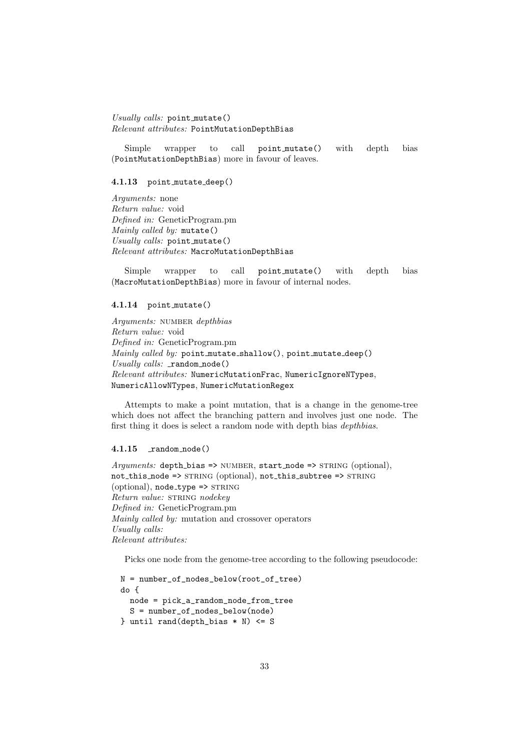Usually calls: point\_mutate() Relevant attributes: PointMutationDepthBias

Simple wrapper to call point mutate() with depth bias (PointMutationDepthBias) more in favour of leaves.

#### <span id="page-32-0"></span>4.1.13 point mutate deep()

Arguments: none Return value: void Defined in: GeneticProgram.pm Mainly called by: mutate() Usually calls: point mutate() Relevant attributes: MacroMutationDepthBias

Simple wrapper to call point mutate() with depth bias (MacroMutationDepthBias) more in favour of internal nodes.

### <span id="page-32-1"></span>4.1.14 point mutate()

Arguments: NUMBER depthbias Return value: void Defined in: GeneticProgram.pm Mainly called by: point\_mutate\_shallow(), point\_mutate\_deep()  $Usually calls: \mathsf{random\_node}()$ Relevant attributes: NumericMutationFrac, NumericIgnoreNTypes, NumericAllowNTypes, NumericMutationRegex

Attempts to make a point mutation, that is a change in the genome-tree which does not affect the branching pattern and involves just one node. The first thing it does is select a random node with depth bias depthbias.

### <span id="page-32-2"></span> $4.1.15$   $\_random\_node()$

Arguments: depth\_bias => NUMBER, start\_node => STRING (optional), not\_this\_node => STRING (optional), not\_this\_subtree => STRING  $(optional)$ , node\_type => STRING Return value: STRING nodekey Defined in: GeneticProgram.pm Mainly called by: mutation and crossover operators Usually calls: Relevant attributes:

Picks one node from the genome-tree according to the following pseudocode:

```
N = number_of_nodes_below(root_of_tree)
do {
 node = pick_a_random_node_from_tree
  S = number_of_nodes_below(node)
} until rand(depth_bias * N) <= S
```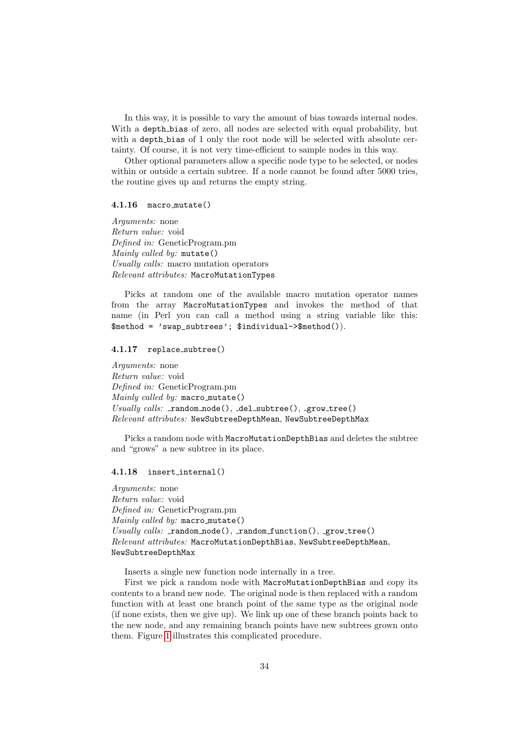In this way, it is possible to vary the amount of bias towards internal nodes. With a depth bias of zero, all nodes are selected with equal probability, but with a depth bias of 1 only the root node will be selected with absolute certainty. Of course, it is not very time-efficient to sample nodes in this way.

Other optional parameters allow a specific node type to be selected, or nodes within or outside a certain subtree. If a node cannot be found after 5000 tries, the routine gives up and returns the empty string.

#### <span id="page-33-0"></span>4.1.16 macro mutate()

Arguments: none Return value: void Defined in: GeneticProgram.pm Mainly called by: mutate() Usually calls: macro mutation operators Relevant attributes: MacroMutationTypes

Picks at random one of the available macro mutation operator names from the array MacroMutationTypes and invokes the method of that name (in Perl you can call a method using a string variable like this: \$method = 'swap\_subtrees'; \$individual->\$method()).

### <span id="page-33-1"></span>4.1.17 replace subtree()

Arguments: none Return value: void Defined in: GeneticProgram.pm Mainly called by: macro\_mutate()  $Usually \ calls: \ random\_node(), \ delta\_subtree(), \ _grow\_tree()$ Relevant attributes: NewSubtreeDepthMean, NewSubtreeDepthMax

Picks a random node with MacroMutationDepthBias and deletes the subtree and "grows" a new subtree in its place.

#### <span id="page-33-2"></span>4.1.18 insert internal()

Arguments: none Return value: void Defined in: GeneticProgram.pm Mainly called by: macro mutate() Usually calls:  $r$  random node(),  $r$  random function(),  $r$  grow tree() Relevant attributes: MacroMutationDepthBias, NewSubtreeDepthMean, NewSubtreeDepthMax

Inserts a single new function node internally in a tree.

First we pick a random node with MacroMutationDepthBias and copy its contents to a brand new node. The original node is then replaced with a random function with at least one branch point of the same type as the original node (if none exists, then we give up). We link up one of these branch points back to the new node, and any remaining branch points have new subtrees grown onto them. Figure [1](#page-34-3) illustrates this complicated procedure.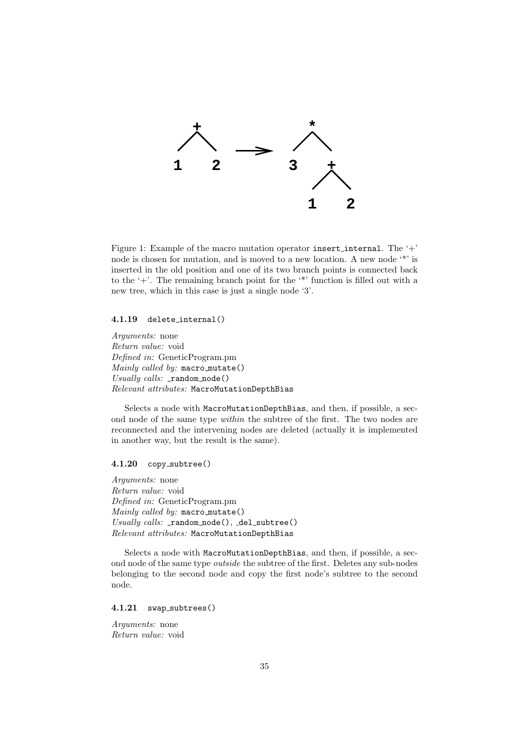

<span id="page-34-3"></span>Figure 1: Example of the macro mutation operator insert\_internal. The  $'+$ node is chosen for mutation, and is moved to a new location. A new node '\*' is inserted in the old position and one of its two branch points is connected back to the '+'. The remaining branch point for the '\*' function is filled out with a new tree, which in this case is just a single node '3'.

#### <span id="page-34-0"></span>4.1.19 delete internal()

Arguments: none Return value: void Defined in: GeneticProgram.pm Mainly called by: macro\_mutate() Usually calls:  $\text{random node}()$ Relevant attributes: MacroMutationDepthBias

Selects a node with MacroMutationDepthBias, and then, if possible, a second node of the same type within the subtree of the first. The two nodes are reconnected and the intervening nodes are deleted (actually it is implemented in another way, but the result is the same).

### <span id="page-34-1"></span>4.1.20 copy subtree()

Arguments: none Return value: void Defined in: GeneticProgram.pm Mainly called by: macro mutate() Usually calls:  $r$  random node(),  $de$ l subtree() Relevant attributes: MacroMutationDepthBias

Selects a node with MacroMutationDepthBias, and then, if possible, a second node of the same type outside the subtree of the first. Deletes any sub-nodes belonging to the second node and copy the first node's subtree to the second node.

#### <span id="page-34-2"></span>4.1.21 swap\_subtrees()

Arguments: none Return value: void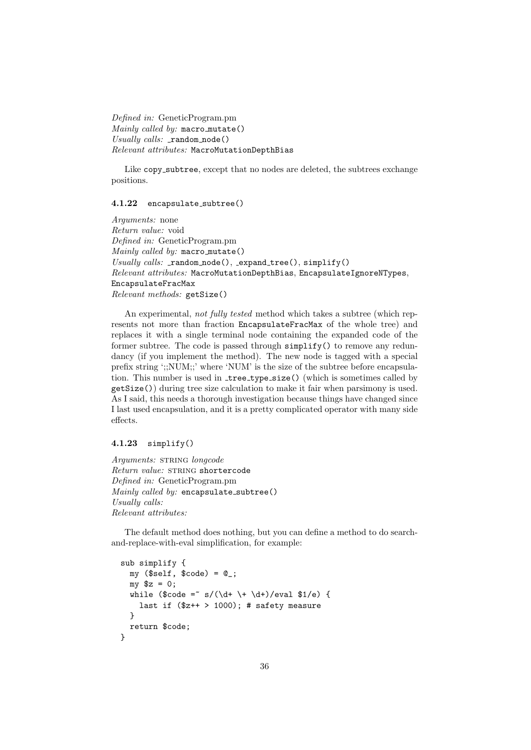Defined in: GeneticProgram.pm Mainly called by: macro\_mutate() Usually calls:  $\text{random node}()$ Relevant attributes: MacroMutationDepthBias

Like copy\_subtree, except that no nodes are deleted, the subtrees exchange positions.

### <span id="page-35-0"></span>4.1.22 encapsulate subtree()

Arguments: none Return value: void Defined in: GeneticProgram.pm  $\textit{Mainly called by: macro\_mutate}()$ Usually calls:  $r$  random node(), expand tree(), simplify() Relevant attributes: MacroMutationDepthBias, EncapsulateIgnoreNTypes, EncapsulateFracMax Relevant methods: getSize()

An experimental, not fully tested method which takes a subtree (which represents not more than fraction EncapsulateFracMax of the whole tree) and replaces it with a single terminal node containing the expanded code of the former subtree. The code is passed through simplify() to remove any redundancy (if you implement the method). The new node is tagged with a special prefix string ';;NUM;;' where 'NUM' is the size of the subtree before encapsulation. This number is used in \_tree\_type\_size() (which is sometimes called by getSize()) during tree size calculation to make it fair when parsimony is used. As I said, this needs a thorough investigation because things have changed since I last used encapsulation, and it is a pretty complicated operator with many side effects.

### <span id="page-35-1"></span>4.1.23 simplify()

Arguments: STRING longcode Return value: STRING shortercode Defined in: GeneticProgram.pm Mainly called by: encapsulate\_subtree() Usually calls: Relevant attributes:

The default method does nothing, but you can define a method to do searchand-replace-with-eval simplification, for example:

```
sub simplify {
 my ($self, $code) = 0;my $z = 0;while ($code = s/(\dagger + \dagger)/eval $1/e) {
    last if ($z++ > 1000); # safety measure
 }
 return $code;
}
```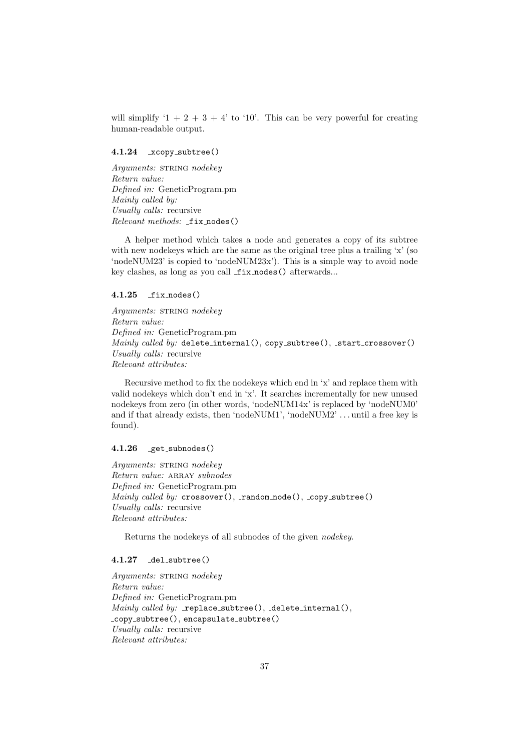will simplify ' $1 + 2 + 3 + 4$ ' to '10'. This can be very powerful for creating human-readable output.

### <span id="page-36-0"></span>4.1.24 xcopy\_subtree()

Arguments: STRING nodekey Return value: Defined in: GeneticProgram.pm Mainly called by: Usually calls: recursive Relevant methods: fix nodes()

A helper method which takes a node and generates a copy of its subtree with new node keys which are the same as the original tree plus a trailing 'x' (so 'nodeNUM23' is copied to 'nodeNUM23x'). This is a simple way to avoid node key clashes, as long as you call  $fix\_nodes()$  afterwards...

### <span id="page-36-1"></span> $4.1.25$   $fix\_nodes()$

Arguments: STRING nodekey Return value: Defined in: GeneticProgram.pm Mainly called by: delete\_internal(), copy\_subtree(), \_start\_crossover() Usually calls: recursive Relevant attributes:

Recursive method to fix the nodekeys which end in 'x' and replace them with valid nodekeys which don't end in 'x'. It searches incrementally for new unused nodekeys from zero (in other words, 'nodeNUM14x' is replaced by 'nodeNUM0' and if that already exists, then 'nodeNUM1', 'nodeNUM2' . . . until a free key is found).

#### <span id="page-36-2"></span> $4.1.26$  get\_subnodes()

Arguments: STRING nodekey Return value: ARRAY subnodes Defined in: GeneticProgram.pm  $\textit{Mainly called by: crossover}()$ , random node(), copy subtree() Usually calls: recursive Relevant attributes:

Returns the nodekeys of all subnodes of the given nodekey.

### <span id="page-36-3"></span>4.1.27 del\_subtree()

Arguments: STRING nodekey Return value: Defined in: GeneticProgram.pm Mainly called by:  $\text{\tt \_replace\_subtree}()$ ,  $\text{\tt \_delete\_internal()}$ , \_copy\_subtree(), encapsulate\_subtree() Usually calls: recursive Relevant attributes: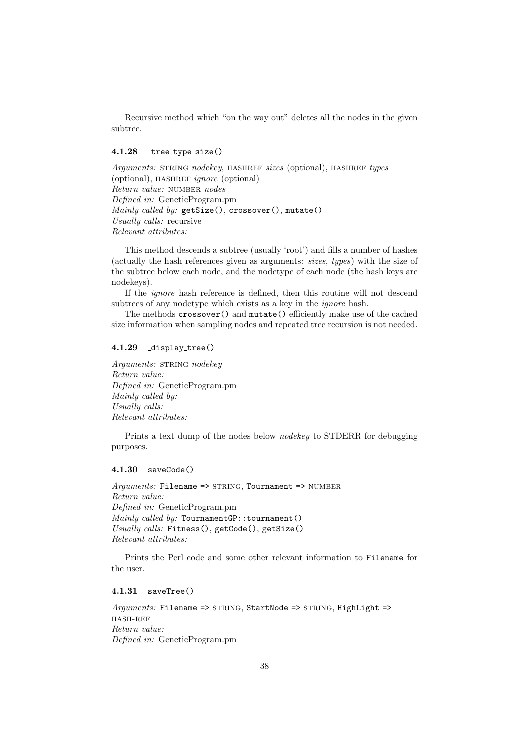Recursive method which "on the way out" deletes all the nodes in the given subtree.

### <span id="page-37-0"></span> $4.1.28$   $true_type_size()$

Arguments: STRING nodekey, HASHREF sizes (optional), HASHREF types  $(optional)$ , HASHREF *ignore* (optional) Return value: NUMBER nodes Defined in: GeneticProgram.pm Mainly called by: getSize(), crossover(), mutate() Usually calls: recursive Relevant attributes:

This method descends a subtree (usually 'root') and fills a number of hashes (actually the hash references given as arguments: sizes, types) with the size of the subtree below each node, and the nodetype of each node (the hash keys are nodekeys).

If the ignore hash reference is defined, then this routine will not descend subtrees of any nodetype which exists as a key in the ignore hash.

The methods crossover() and mutate() efficiently make use of the cached size information when sampling nodes and repeated tree recursion is not needed.

### <span id="page-37-1"></span>4.1.29 display tree()

Arguments: STRING nodekey Return value: Defined in: GeneticProgram.pm Mainly called by: Usually calls: Relevant attributes:

Prints a text dump of the nodes below nodekey to STDERR for debugging purposes.

#### <span id="page-37-2"></span>4.1.30 saveCode()

 $Arguments: \texttt{Filename} \implies \texttt{STRING}, \texttt{Tournament} \implies \texttt{NUMBER}$ Return value: Defined in: GeneticProgram.pm Mainly called by: TournamentGP::tournament() Usually calls: Fitness(), getCode(), getSize() Relevant attributes:

Prints the Perl code and some other relevant information to Filename for the user.

### <span id="page-37-3"></span>4.1.31 saveTree()

Arguments: Filename => STRING, StartNode => STRING, HighLight => hash-ref Return value: Defined in: GeneticProgram.pm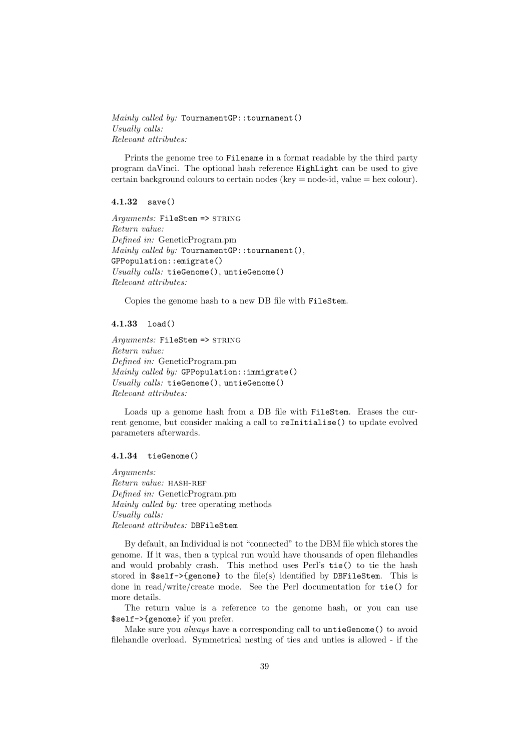Mainly called by: TournamentGP::tournament() Usually calls: Relevant attributes:

Prints the genome tree to Filename in a format readable by the third party program daVinci. The optional hash reference HighLight can be used to give certain background colours to certain nodes (key  $=$  node-id, value  $=$  hex colour).

#### <span id="page-38-0"></span>4.1.32 save()

Arguments: FileStem => STRING Return value: Defined in: GeneticProgram.pm Mainly called by: TournamentGP::tournament(), GPPopulation::emigrate() Usually calls: tieGenome(), untieGenome() Relevant attributes:

Copies the genome hash to a new DB file with FileStem.

### <span id="page-38-1"></span>4.1.33 load()

Arguments: FileStem => STRING Return value: Defined in: GeneticProgram.pm  $\textit{Mainly called } by: \text{ GPPopulation}: \text{immigrate}()$ Usually calls: tieGenome(), untieGenome() Relevant attributes:

Loads up a genome hash from a DB file with FileStem. Erases the current genome, but consider making a call to reInitialise() to update evolved parameters afterwards.

### <span id="page-38-2"></span>4.1.34 tieGenome()

Arguments: Return value: HASH-REF Defined in: GeneticProgram.pm Mainly called by: tree operating methods Usually calls: Relevant attributes: DBFileStem

By default, an Individual is not "connected" to the DBM file which stores the genome. If it was, then a typical run would have thousands of open filehandles and would probably crash. This method uses Perl's tie() to tie the hash stored in \$self->{genome} to the file(s) identified by DBFileStem. This is done in read/write/create mode. See the Perl documentation for tie() for more details.

The return value is a reference to the genome hash, or you can use \$self->{genome} if you prefer.

Make sure you always have a corresponding call to untieGenome() to avoid filehandle overload. Symmetrical nesting of ties and unties is allowed - if the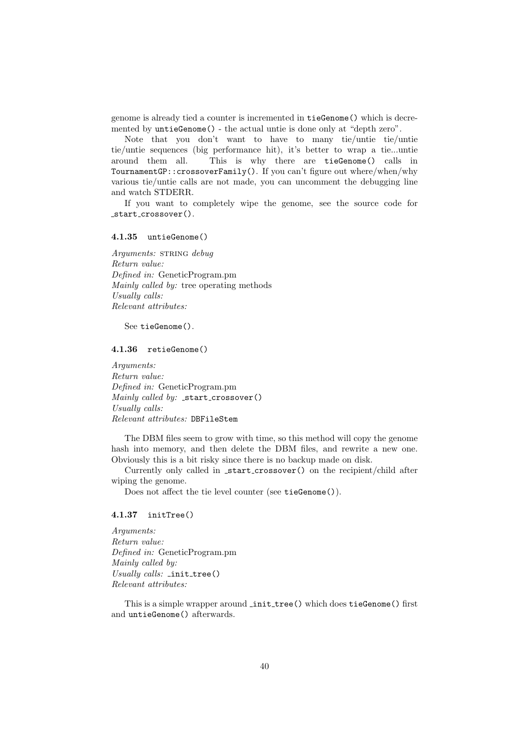genome is already tied a counter is incremented in tieGenome() which is decremented by untieGenome() - the actual untie is done only at "depth zero".

Note that you don't want to have to many tie/untie tie/untie tie/untie sequences (big performance hit), it's better to wrap a tie...untie around them all. This is why there are tieGenome() calls in TournamentGP::crossoverFamily(). If you can't figure out where/when/why various tie/untie calls are not made, you can uncomment the debugging line and watch STDERR.

If you want to completely wipe the genome, see the source code for start crossover().

<span id="page-39-0"></span>4.1.35 untieGenome()

Arguments: STRING debug Return value: Defined in: GeneticProgram.pm Mainly called by: tree operating methods Usually calls: Relevant attributes:

See tieGenome().

### <span id="page-39-1"></span>4.1.36 retieGenome()

Arguments: Return value: Defined in: GeneticProgram.pm Mainly called by:  $_3$ start\_crossover() Usually calls: Relevant attributes: DBFileStem

The DBM files seem to grow with time, so this method will copy the genome hash into memory, and then delete the DBM files, and rewrite a new one. Obviously this is a bit risky since there is no backup made on disk.

Currently only called in start crossover() on the recipient/child after wiping the genome.

Does not affect the tie level counter (see tieGenome()).

#### <span id="page-39-2"></span>4.1.37 initTree()

Arguments: Return value: Defined in: GeneticProgram.pm Mainly called by: Usually calls:  $\text{init-tree}()$ Relevant attributes:

This is a simple wrapper around *init tree*() which does tieGenome() first and untieGenome() afterwards.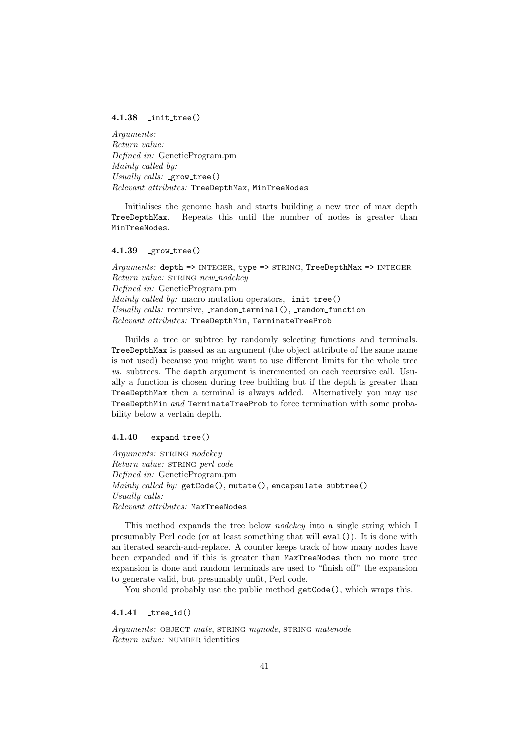### <span id="page-40-0"></span>4.1.38 init tree()

Arguments: Return value: Defined in: GeneticProgram.pm Mainly called by: Usually calls:  $_{\text{grow-tree}}()$ Relevant attributes: TreeDepthMax, MinTreeNodes

Initialises the genome hash and starts building a new tree of max depth TreeDepthMax. Repeats this until the number of nodes is greater than MinTreeNodes.

### <span id="page-40-1"></span> $4.1.39$  grow\_tree()

Arguments: depth => INTEGER, type => STRING, TreeDepthMax => INTEGER Return value: STRING new\_nodekey Defined in: GeneticProgram.pm Mainly called by: macro mutation operators,  $\text{init-tree}()$ Usually calls: recursive,  $\text{\texttt{random}+terminal}()$ ,  $\text{\texttt{random}+function}$ Relevant attributes: TreeDepthMin, TerminateTreeProb

Builds a tree or subtree by randomly selecting functions and terminals. TreeDepthMax is passed as an argument (the object attribute of the same name is not used) because you might want to use different limits for the whole tree vs. subtrees. The depth argument is incremented on each recursive call. Usually a function is chosen during tree building but if the depth is greater than TreeDepthMax then a terminal is always added. Alternatively you may use TreeDepthMin and TerminateTreeProb to force termination with some probability below a vertain depth.

### <span id="page-40-2"></span>4.1.40 \_expand\_tree()

Arguments: STRING nodekey Return value: STRING perl\_code Defined in: GeneticProgram.pm  $\textit{Mainly called by: getCode}()$ , mutate $()$ , encapsulate\_subtree $()$ Usually calls: Relevant attributes: MaxTreeNodes

This method expands the tree below nodekey into a single string which I presumably Perl code (or at least something that will eval()). It is done with an iterated search-and-replace. A counter keeps track of how many nodes have been expanded and if this is greater than MaxTreeNodes then no more tree expansion is done and random terminals are used to "finish off" the expansion to generate valid, but presumably unfit, Perl code.

You should probably use the public method  $getCode()$ , which wraps this.

<span id="page-40-3"></span> $4.1.41$   $tree_id()$ 

Arguments: OBJECT mate, STRING mynode, STRING matenode Return value: NUMBER identities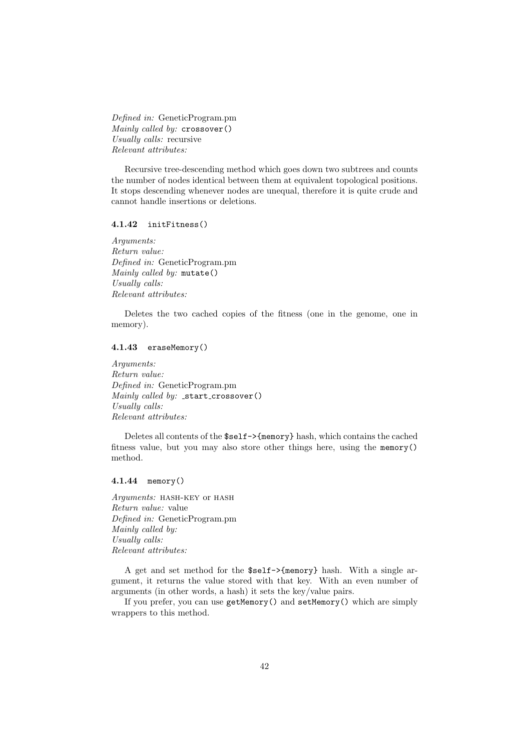Defined in: GeneticProgram.pm Mainly called by: crossover() Usually calls: recursive Relevant attributes:

Recursive tree-descending method which goes down two subtrees and counts the number of nodes identical between them at equivalent topological positions. It stops descending whenever nodes are unequal, therefore it is quite crude and cannot handle insertions or deletions.

### <span id="page-41-0"></span>4.1.42 initFitness()

Arguments: Return value: Defined in: GeneticProgram.pm Mainly called by: mutate() Usually calls: Relevant attributes:

Deletes the two cached copies of the fitness (one in the genome, one in memory).

### <span id="page-41-1"></span>4.1.43 eraseMemory()

Arguments: Return value: Defined in: GeneticProgram.pm Mainly called by:  $_5$ start\_crossover() Usually calls: Relevant attributes:

Deletes all contents of the \$self->{memory} hash, which contains the cached fitness value, but you may also store other things here, using the memory() method.

### <span id="page-41-2"></span>4.1.44 memory()

Arguments: HASH-KEY OF HASH Return value: value Defined in: GeneticProgram.pm Mainly called by: Usually calls: Relevant attributes:

A get and set method for the \$self->{memory} hash. With a single argument, it returns the value stored with that key. With an even number of arguments (in other words, a hash) it sets the key/value pairs.

If you prefer, you can use getMemory() and setMemory() which are simply wrappers to this method.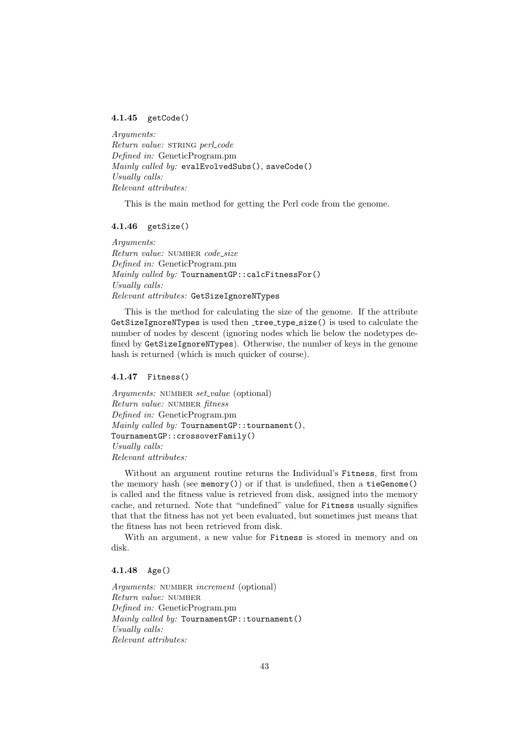### <span id="page-42-0"></span>4.1.45 getCode()

Arguments: Return value: STRING perl\_code Defined in: GeneticProgram.pm Mainly called by: evalEvolvedSubs(), saveCode() Usually calls: Relevant attributes:

This is the main method for getting the Perl code from the genome.

### <span id="page-42-1"></span>4.1.46 getSize()

Arguments: Return value: NUMBER code\_size Defined in: GeneticProgram.pm Mainly called by: TournamentGP::calcFitnessFor() Usually calls: Relevant attributes: GetSizeIgnoreNTypes

This is the method for calculating the size of the genome. If the attribute GetSizeIgnoreNTypes is used then \_tree\_type\_size() is used to calculate the number of nodes by descent (ignoring nodes which lie below the nodetypes defined by GetSizeIgnoreNTypes). Otherwise, the number of keys in the genome hash is returned (which is much quicker of course).

#### <span id="page-42-2"></span>4.1.47 Fitness()

Arguments: NUMBER set\_value (optional) Return value: NUMBER fitness Defined in: GeneticProgram.pm Mainly called by: TournamentGP:: tournament(), TournamentGP::crossoverFamily() Usually calls: Relevant attributes:

Without an argument routine returns the Individual's Fitness, first from the memory hash (see memory()) or if that is undefined, then a  $tieGenome()$ is called and the fitness value is retrieved from disk, assigned into the memory cache, and returned. Note that "undefined" value for Fitness usually signifies that that the fitness has not yet been evaluated, but sometimes just means that the fitness has not been retrieved from disk.

With an argument, a new value for Fitness is stored in memory and on disk.

### <span id="page-42-3"></span>4.1.48 Age()

Arguments: NUMBER increment (optional) Return value: number Defined in: GeneticProgram.pm Mainly called by: TournamentGP::tournament() Usually calls: Relevant attributes: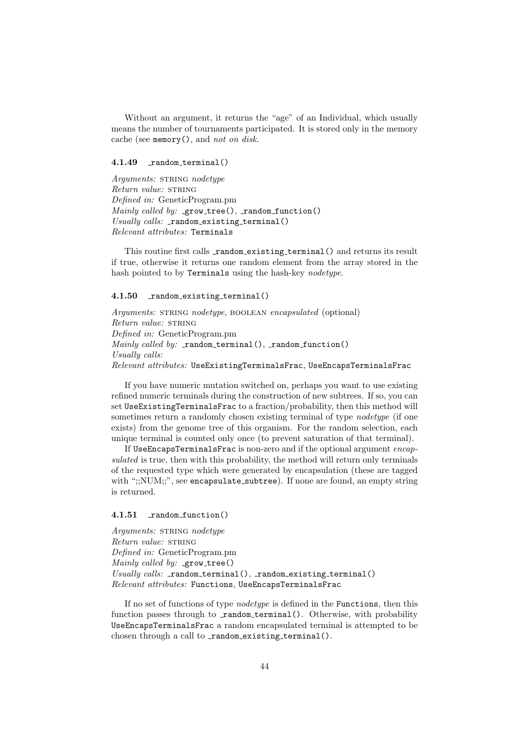Without an argument, it returns the "age" of an Individual, which usually means the number of tournaments participated. It is stored only in the memory cache (see memory(), and not on disk.

### <span id="page-43-0"></span>4.1.49 random\_terminal()

Arguments: STRING nodetype Return value: STRING Defined in: GeneticProgram.pm Mainly called by:  $_{\text{growth}}$  (), random function()  $Usually calls:$   $\_random\_existing\_terminal()$ Relevant attributes: Terminals

This routine first calls random existing terminal () and returns its result if true, otherwise it returns one random element from the array stored in the hash pointed to by Terminals using the hash-key nodetype.

### <span id="page-43-1"></span>4.1.50 \_random\_existing\_terminal()

Arguments: STRING nodetype, BOOLEAN encapsulated (optional) Return value: STRING Defined in: GeneticProgram.pm  $\textit{Mainly called by: } \bot$ random $\bot$ terminal(),  $\bot$ random $\bot$ function() Usually calls:  $Relevant~attributes:~Use \texttt{ExistingTerminalsFrac},~Use \texttt{EncapsTerminalsFrac}$ 

If you have numeric mutation switched on, perhaps you want to use existing refined numeric terminals during the construction of new subtrees. If so, you can set UseExistingTerminalsFrac to a fraction/probability, then this method will sometimes return a randomly chosen existing terminal of type *nodetype* (if one exists) from the genome tree of this organism. For the random selection, each unique terminal is counted only once (to prevent saturation of that terminal).

If UseEncapsTerminalsFrac is non-zero and if the optional argument encapsulated is true, then with this probability, the method will return only terminals of the requested type which were generated by encapsulation (these are tagged with ";;NUM;;", see encapsulate\_subtree). If none are found, an empty string is returned.

#### <span id="page-43-2"></span>4.1.51 random\_function()

Arguments: STRING nodetype Return value: STRING Defined in: GeneticProgram.pm Mainly called by:  $\text{\tt qrow\_tree}()$ Usually calls:  $r$  random terminal(),  $r$  random existing terminal() Relevant attributes: Functions, UseEncapsTerminalsFrac

If no set of functions of type nodetype is defined in the Functions, then this function passes through to random terminal(). Otherwise, with probability UseEncapsTerminalsFrac a random encapsulated terminal is attempted to be chosen through a call to  $\text{\texttt{random}{}_{\texttt{existing}{}_{\texttt{terminal}}}()$ .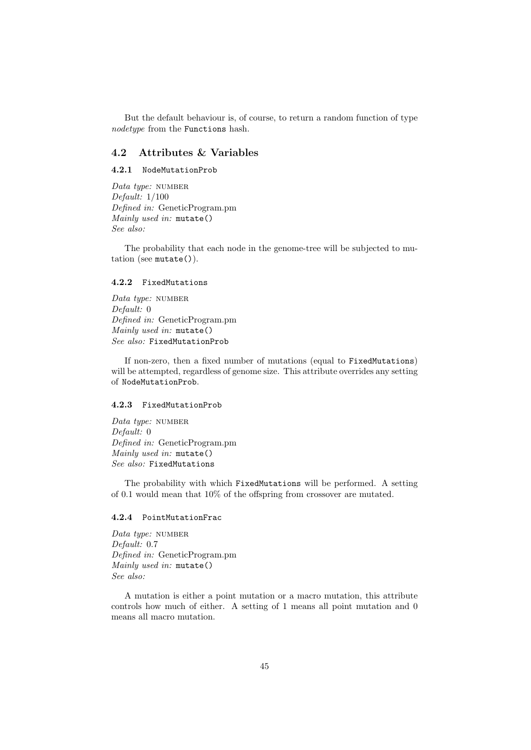But the default behaviour is, of course, to return a random function of type nodetype from the Functions hash.

### <span id="page-44-0"></span>4.2 Attributes & Variables

### <span id="page-44-1"></span>4.2.1 NodeMutationProb

Data type: NUMBER Default: 1/100 Defined in: GeneticProgram.pm Mainly used in: mutate() See also:

The probability that each node in the genome-tree will be subjected to mutation (see mutate()).

#### <span id="page-44-2"></span>4.2.2 FixedMutations

Data type: NUMBER Default: 0 Defined in: GeneticProgram.pm Mainly used in: mutate() See also: FixedMutationProb

If non-zero, then a fixed number of mutations (equal to FixedMutations) will be attempted, regardless of genome size. This attribute overrides any setting of NodeMutationProb.

### <span id="page-44-3"></span>4.2.3 FixedMutationProb

Data type: NUMBER Default: 0 Defined in: GeneticProgram.pm Mainly used in: mutate() See also: FixedMutations

The probability with which FixedMutations will be performed. A setting of 0.1 would mean that 10% of the offspring from crossover are mutated.

#### <span id="page-44-4"></span>4.2.4 PointMutationFrac

Data type: NUMBER Default: 0.7 Defined in: GeneticProgram.pm Mainly used in: mutate() See also:

A mutation is either a point mutation or a macro mutation, this attribute controls how much of either. A setting of 1 means all point mutation and 0 means all macro mutation.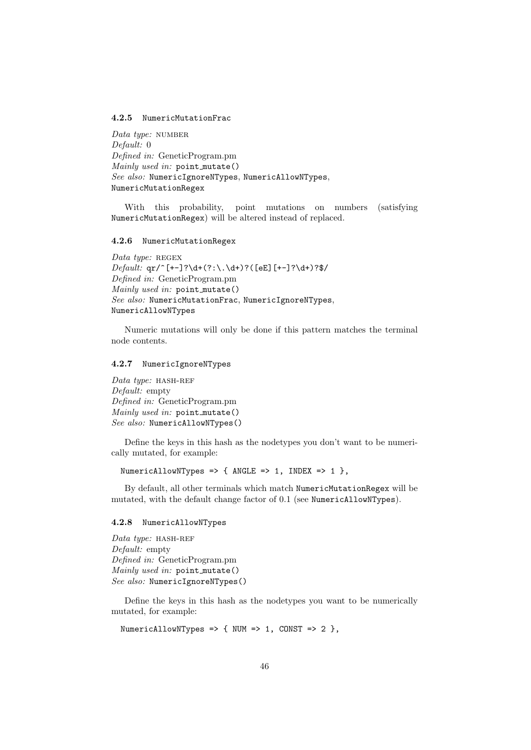#### <span id="page-45-0"></span>4.2.5 NumericMutationFrac

Data type: NUMBER Default: 0 Defined in: GeneticProgram.pm Mainly used in: point mutate() See also: NumericIgnoreNTypes, NumericAllowNTypes, NumericMutationRegex

With this probability, point mutations on numbers (satisfying NumericMutationRegex) will be altered instead of replaced.

#### <span id="page-45-1"></span>4.2.6 NumericMutationRegex

Data type: REGEX  $\text{Default: }$ qr/^[+-]?\d+(?:\.\d+)?([eE][+-]?\d+)?\$/ Defined in: GeneticProgram.pm Mainly used in: point mutate() See also: NumericMutationFrac, NumericIgnoreNTypes, NumericAllowNTypes

Numeric mutations will only be done if this pattern matches the terminal node contents.

### <span id="page-45-2"></span>4.2.7 NumericIgnoreNTypes

Data type: HASH-REF Default: empty Defined in: GeneticProgram.pm Mainly used in: point mutate() See also: NumericAllowNTypes()

Define the keys in this hash as the nodetypes you don't want to be numerically mutated, for example:

NumericAllowNTypes => { ANGLE => 1, INDEX => 1 },

By default, all other terminals which match NumericMutationRegex will be mutated, with the default change factor of 0.1 (see NumericAllowNTypes).

#### <span id="page-45-3"></span>4.2.8 NumericAllowNTypes

Data type:  $HASH-REF$ Default: empty Defined in: GeneticProgram.pm Mainly used in: point mutate() See also: NumericIgnoreNTypes()

Define the keys in this hash as the nodetypes you want to be numerically mutated, for example:

```
NumericAllowNTypes => { NUM => 1, CONST => 2 },
```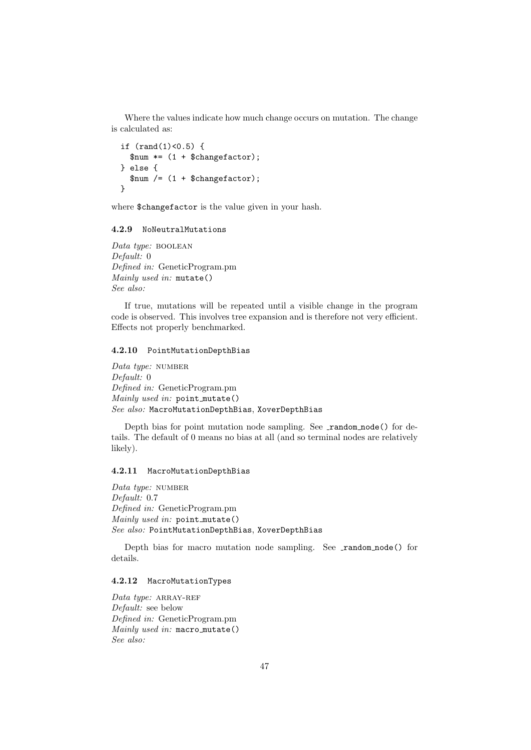Where the values indicate how much change occurs on mutation. The change is calculated as:

```
if (rand(1)<0.5) {
 $num * = (1 + $changefactor);} else {
  $num / = (1 + $changefactor);}
```
where \$changefactor is the value given in your hash.

### <span id="page-46-0"></span>4.2.9 NoNeutralMutations

Data type: BOOLEAN Default: 0 Defined in: GeneticProgram.pm Mainly used in: mutate() See also:

If true, mutations will be repeated until a visible change in the program code is observed. This involves tree expansion and is therefore not very efficient. Effects not properly benchmarked.

### <span id="page-46-1"></span>4.2.10 PointMutationDepthBias

Data type: NUMBER Default: 0 Defined in: GeneticProgram.pm Mainly used in: point mutate() See also: MacroMutationDepthBias, XoverDepthBias

Depth bias for point mutation node sampling. See random node() for details. The default of 0 means no bias at all (and so terminal nodes are relatively likely).

#### <span id="page-46-2"></span>4.2.11 MacroMutationDepthBias

Data type: NUMBER Default: 0.7 Defined in: GeneticProgram.pm Mainly used in: point mutate() See also: PointMutationDepthBias, XoverDepthBias

Depth bias for macro mutation node sampling. See random node() for details.

### <span id="page-46-3"></span>4.2.12 MacroMutationTypes

 $Data$  type: ARRAY-REF Default: see below Defined in: GeneticProgram.pm Mainly used in: macro\_mutate() See also: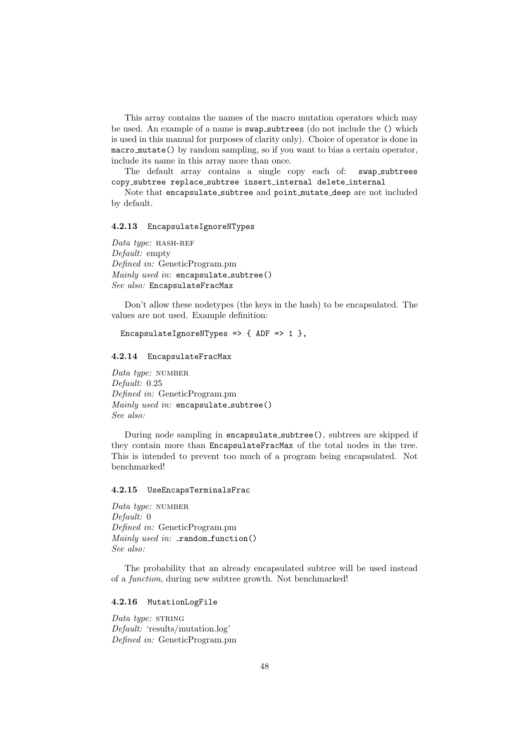This array contains the names of the macro mutation operators which may be used. An example of a name is swap subtrees (do not include the () which is used in this manual for purposes of clarity only). Choice of operator is done in macro mutate() by random sampling, so if you want to bias a certain operator, include its name in this array more than once.

The default array contains a single copy each of: swap subtrees copy subtree replace subtree insert internal delete internal

Note that encapsulate\_subtree and point\_mutate\_deep are not included by default.

#### <span id="page-47-0"></span>4.2.13 EncapsulateIgnoreNTypes

Data type: HASH-REF Default: empty Defined in: GeneticProgram.pm  $\textit{Mainly used in:}$  encapsulate\_subtree() See also: EncapsulateFracMax

Don't allow these nodetypes (the keys in the hash) to be encapsulated. The values are not used. Example definition:

### EncapsulateIgnoreNTypes =>  $\{$  ADF => 1  $\}$ ,

#### <span id="page-47-1"></span>4.2.14 EncapsulateFracMax

Data type: NUMBER Default: 0.25 Defined in: GeneticProgram.pm  $\textit{Mainly used in:}$  encapsulate\_subtree() See also:

During node sampling in encapsulate subtree(), subtrees are skipped if they contain more than EncapsulateFracMax of the total nodes in the tree. This is intended to prevent too much of a program being encapsulated. Not benchmarked!

### <span id="page-47-2"></span>4.2.15 UseEncapsTerminalsFrac

Data type: NUMBER Default: 0 Defined in: GeneticProgram.pm  $\textit{Mainly used in: } \texttt{\_random\_function()}$ See also:

The probability that an already encapsulated subtree will be used instead of a function, during new subtree growth. Not benchmarked!

### <span id="page-47-3"></span>4.2.16 MutationLogFile

Data type: STRING Default: 'results/mutation.log' Defined in: GeneticProgram.pm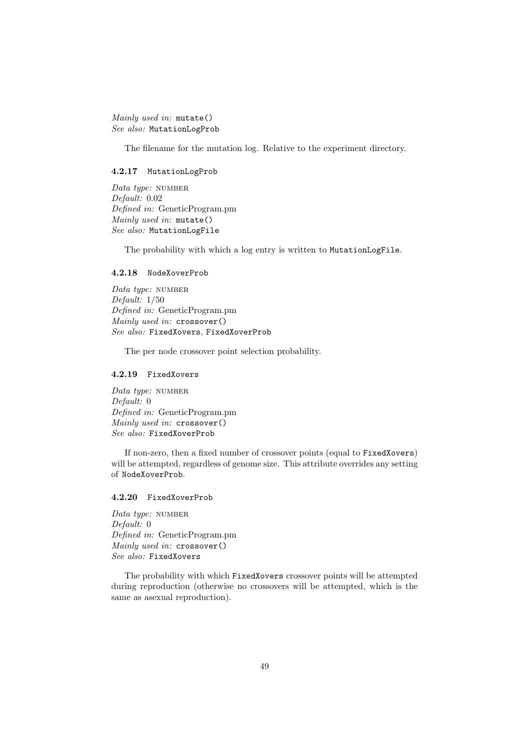Mainly used in: mutate() See also: MutationLogProb

The filename for the mutation log. Relative to the experiment directory.

### <span id="page-48-0"></span>4.2.17 MutationLogProb

Data type: NUMBER Default: 0.02 Defined in: GeneticProgram.pm Mainly used in: mutate() See also: MutationLogFile

The probability with which a log entry is written to MutationLogFile.

#### <span id="page-48-1"></span>4.2.18 NodeXoverProb

Data type: NUMBER Default: 1/50 Defined in: GeneticProgram.pm Mainly used in: crossover() See also: FixedXovers, FixedXoverProb

The per node crossover point selection probability.

### <span id="page-48-2"></span>4.2.19 FixedXovers

Data type: NUMBER Default: 0 Defined in: GeneticProgram.pm Mainly used in: crossover() See also: FixedXoverProb

If non-zero, then a fixed number of crossover points (equal to FixedXovers) will be attempted, regardless of genome size. This attribute overrides any setting of NodeXoverProb.

#### <span id="page-48-3"></span>4.2.20 FixedXoverProb

Data type: NUMBER Default: 0 Defined in: GeneticProgram.pm Mainly used in: crossover() See also: FixedXovers

The probability with which FixedXovers crossover points will be attempted during reproduction (otherwise no crossovers will be attempted, which is the same as asexual reproduction).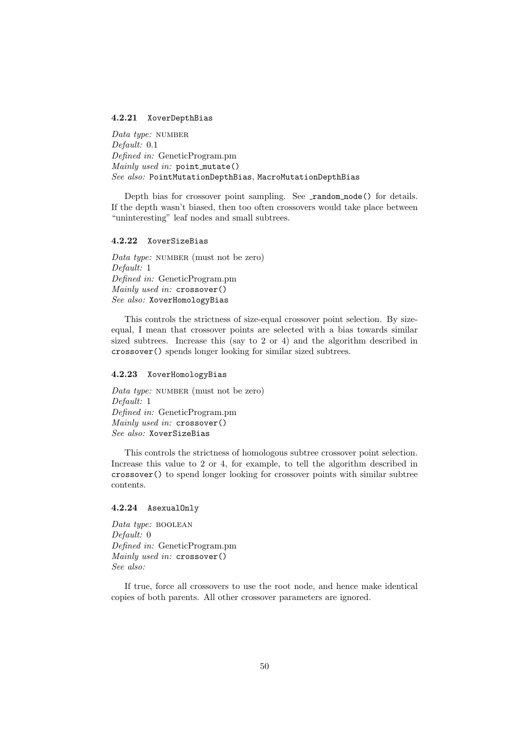#### <span id="page-49-0"></span>4.2.21 XoverDepthBias

Data type: NUMBER Default: 0.1 Defined in: GeneticProgram.pm Mainly used in: point mutate() See also: PointMutationDepthBias, MacroMutationDepthBias

Depth bias for crossover point sampling. See **random node**() for details. If the depth wasn't biased, then too often crossovers would take place between "uninteresting" leaf nodes and small subtrees.

### <span id="page-49-1"></span>4.2.22 XoverSizeBias

Data type: NUMBER (must not be zero) Default: 1 Defined in: GeneticProgram.pm Mainly used in: crossover() See also: XoverHomologyBias

This controls the strictness of size-equal crossover point selection. By sizeequal, I mean that crossover points are selected with a bias towards similar sized subtrees. Increase this (say to 2 or 4) and the algorithm described in crossover() spends longer looking for similar sized subtrees.

#### <span id="page-49-2"></span>4.2.23 XoverHomologyBias

Data type: NUMBER (must not be zero) Default: 1 Defined in: GeneticProgram.pm Mainly used in: crossover() See also: XoverSizeBias

This controls the strictness of homologous subtree crossover point selection. Increase this value to 2 or 4, for example, to tell the algorithm described in crossover() to spend longer looking for crossover points with similar subtree contents.

#### <span id="page-49-3"></span>4.2.24 AsexualOnly

Data type: BOOLEAN Default: 0 Defined in: GeneticProgram.pm Mainly used in: crossover() See also:

If true, force all crossovers to use the root node, and hence make identical copies of both parents. All other crossover parameters are ignored.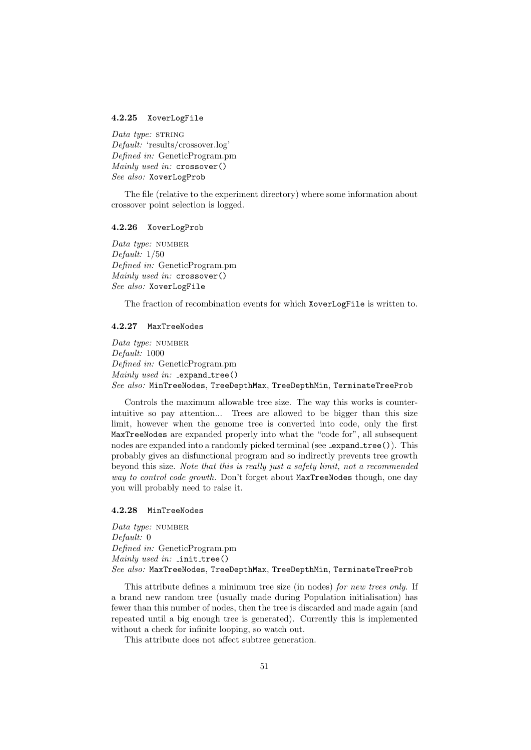#### <span id="page-50-0"></span>4.2.25 XoverLogFile

Data type:  $STRING$ Default: 'results/crossover.log' Defined in: GeneticProgram.pm Mainly used in: crossover() See also: XoverLogProb

The file (relative to the experiment directory) where some information about crossover point selection is logged.

### <span id="page-50-1"></span>4.2.26 XoverLogProb

Data type: NUMBER Default: 1/50 Defined in: GeneticProgram.pm Mainly used in: crossover() See also: XoverLogFile

The fraction of recombination events for which XoverLogFile is written to.

### <span id="page-50-2"></span>4.2.27 MaxTreeNodes

Data type: NUMBER Default: 1000 Defined in: GeneticProgram.pm Mainly used in:  $expand-tree()$ See also: MinTreeNodes, TreeDepthMax, TreeDepthMin, TerminateTreeProb

Controls the maximum allowable tree size. The way this works is counterintuitive so pay attention... Trees are allowed to be bigger than this size limit, however when the genome tree is converted into code, only the first MaxTreeNodes are expanded properly into what the "code for", all subsequent nodes are expanded into a randomly picked terminal (see \_expand\_tree()). This probably gives an disfunctional program and so indirectly prevents tree growth beyond this size. Note that this is really just a safety limit, not a recommended way to control code growth. Don't forget about MaxTreeNodes though, one day you will probably need to raise it.

### <span id="page-50-3"></span>4.2.28 MinTreeNodes

Data type: NUMBER Default: 0 Defined in: GeneticProgram.pm Mainly used in: \_init\_tree() See also: MaxTreeNodes, TreeDepthMax, TreeDepthMin, TerminateTreeProb

This attribute defines a minimum tree size (in nodes) for new trees only. If a brand new random tree (usually made during Population initialisation) has fewer than this number of nodes, then the tree is discarded and made again (and repeated until a big enough tree is generated). Currently this is implemented without a check for infinite looping, so watch out.

This attribute does not affect subtree generation.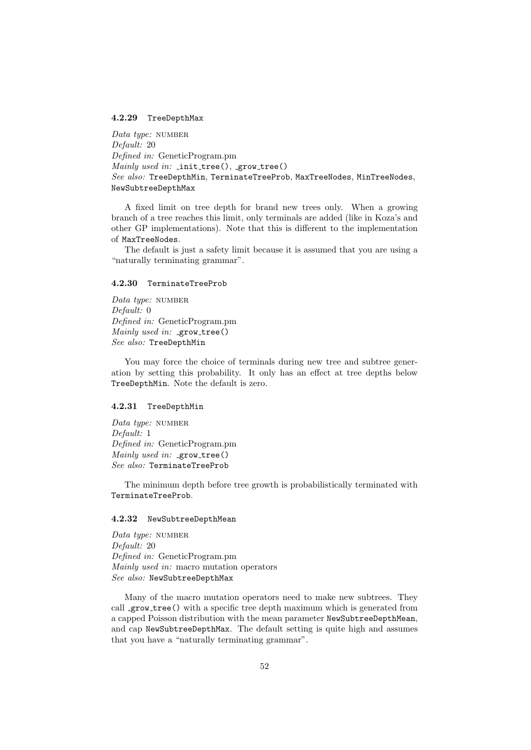### <span id="page-51-0"></span>4.2.29 TreeDepthMax

Data type: NUMBER Default: 20 Defined in: GeneticProgram.pm Mainly used in:  $\text{init-tree}()$ ,  $\text{grow-tree}()$ See also: TreeDepthMin, TerminateTreeProb, MaxTreeNodes, MinTreeNodes, NewSubtreeDepthMax

A fixed limit on tree depth for brand new trees only. When a growing branch of a tree reaches this limit, only terminals are added (like in Koza's and other GP implementations). Note that this is different to the implementation of MaxTreeNodes.

The default is just a safety limit because it is assumed that you are using a "naturally terminating grammar".

#### <span id="page-51-1"></span>4.2.30 TerminateTreeProb

Data type: NUMBER Default: 0 Defined in: GeneticProgram.pm Mainly used in:  $_{\text{grow\_tree}}()$ See also: TreeDepthMin

You may force the choice of terminals during new tree and subtree generation by setting this probability. It only has an effect at tree depths below TreeDepthMin. Note the default is zero.

#### <span id="page-51-2"></span>4.2.31 TreeDepthMin

Data type: NUMBER Default: 1 Defined in: GeneticProgram.pm  $\textit{Mainly used in: \text{\texttt{\_}row\_tree}}()$ See also: TerminateTreeProb

The minimum depth before tree growth is probabilistically terminated with TerminateTreeProb.

#### <span id="page-51-3"></span>4.2.32 NewSubtreeDepthMean

Data type: NUMBER Default: 20 Defined in: GeneticProgram.pm Mainly used in: macro mutation operators See also: NewSubtreeDepthMax

Many of the macro mutation operators need to make new subtrees. They call **grow** tree() with a specific tree depth maximum which is generated from a capped Poisson distribution with the mean parameter NewSubtreeDepthMean, and cap NewSubtreeDepthMax. The default setting is quite high and assumes that you have a "naturally terminating grammar".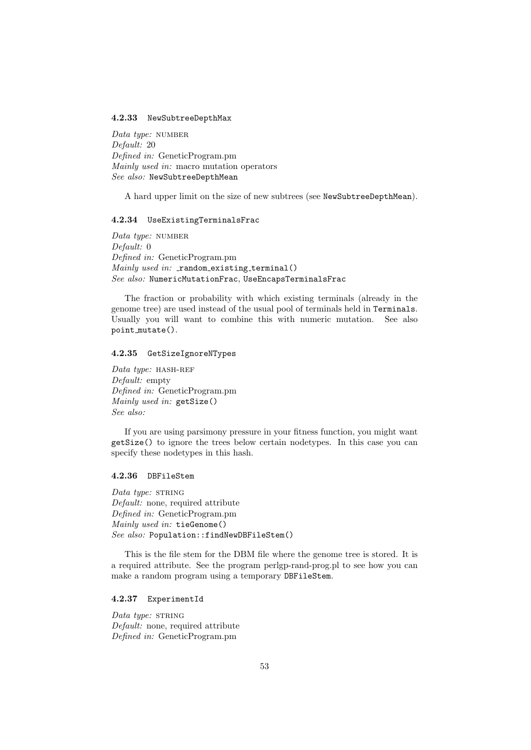#### <span id="page-52-0"></span>4.2.33 NewSubtreeDepthMax

Data type: NUMBER Default: 20 Defined in: GeneticProgram.pm Mainly used in: macro mutation operators See also: NewSubtreeDepthMean

A hard upper limit on the size of new subtrees (see NewSubtreeDepthMean).

#### <span id="page-52-1"></span>4.2.34 UseExistingTerminalsFrac

Data type:  $NUMBER$ Default: 0 Defined in: GeneticProgram.pm  $\textit{mainly used in:}$  random existing terminal() See also: NumericMutationFrac, UseEncapsTerminalsFrac

The fraction or probability with which existing terminals (already in the genome tree) are used instead of the usual pool of terminals held in Terminals. Usually you will want to combine this with numeric mutation. See also point mutate().

#### <span id="page-52-2"></span>4.2.35 GetSizeIgnoreNTypes

Data type:  $HASH-REF$ Default: empty Defined in: GeneticProgram.pm Mainly used in: getSize() See also:

If you are using parsimony pressure in your fitness function, you might want getSize() to ignore the trees below certain nodetypes. In this case you can specify these nodetypes in this hash.

### <span id="page-52-3"></span>4.2.36 DBFileStem

Data type:  $STRING$ Default: none, required attribute Defined in: GeneticProgram.pm Mainly used in: tieGenome() See also: Population::findNewDBFileStem()

This is the file stem for the DBM file where the genome tree is stored. It is a required attribute. See the program perlgp-rand-prog.pl to see how you can make a random program using a temporary DBFileStem.

### <span id="page-52-4"></span>4.2.37 ExperimentId

Data type: STRING Default: none, required attribute Defined in: GeneticProgram.pm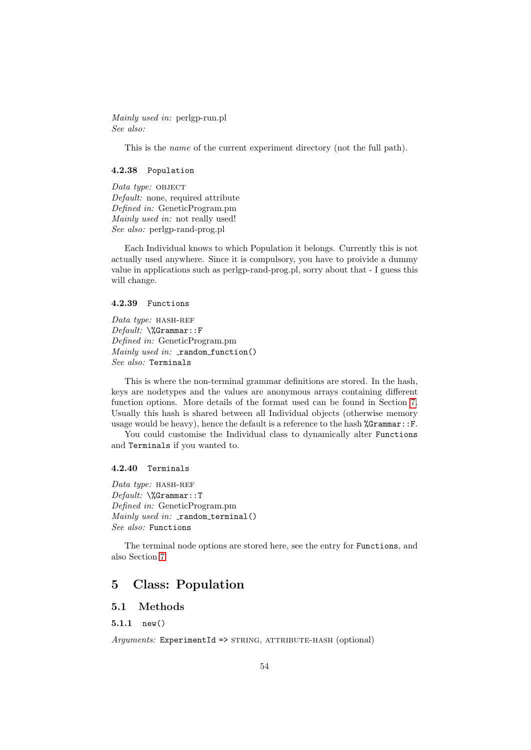Mainly used in: perlgp-run.pl See also:

This is the name of the current experiment directory (not the full path).

### <span id="page-53-0"></span>4.2.38 Population

 $Data type: OBJECT$ Default: none, required attribute Defined in: GeneticProgram.pm Mainly used in: not really used! See also: perlgp-rand-prog.pl

Each Individual knows to which Population it belongs. Currently this is not actually used anywhere. Since it is compulsory, you have to proivide a dummy value in applications such as perlgp-rand-prog.pl, sorry about that - I guess this will change.

### <span id="page-53-1"></span>4.2.39 Functions

Data type:  $HASH-REF$ Default: \%Grammar::F Defined in: GeneticProgram.pm  $\textit{Mainly used in:}$  random function() See also: Terminals

This is where the non-terminal grammar definitions are stored. In the hash, keys are nodetypes and the values are anonymous arrays containing different function options. More details of the format used can be found in Section [7.](#page-60-2) Usually this hash is shared between all Individual objects (otherwise memory usage would be heavy), hence the default is a reference to the hash  $\%\text{Grammar}:F$ .

You could customise the Individual class to dynamically alter Functions and Terminals if you wanted to.

#### <span id="page-53-2"></span>4.2.40 Terminals

Data type:  $HASH-REF$ Default: \%Grammar::T Defined in: GeneticProgram.pm  $\textit{Mainly used in:}$  random terminal() See also: Functions

The terminal node options are stored here, see the entry for Functions, and also Section [7.](#page-60-2)

## <span id="page-53-3"></span>5 Class: Population

### <span id="page-53-4"></span>5.1 Methods

<span id="page-53-5"></span>5.1.1 new()

 $A\textit{rnumbers:}\$  ExperimentId => STRING, ATTRIBUTE-HASH (optional)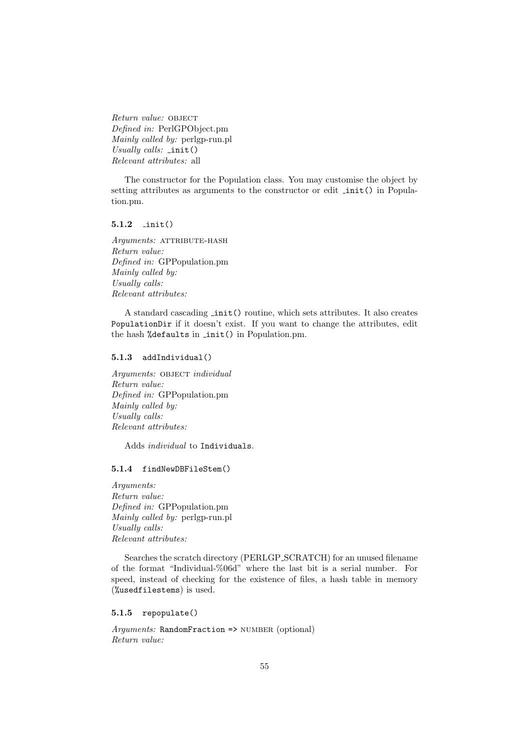Return value: OBJECT Defined in: PerlGPObject.pm Mainly called by: perlgp-run.pl Usually calls:  $\text{init}()$ Relevant attributes: all

The constructor for the Population class. You may customise the object by setting attributes as arguments to the constructor or edit  $\text{init}()$  in Population.pm.

### <span id="page-54-0"></span>5.1.2 init()

Arguments: ATTRIBUTE-HASH Return value: Defined in: GPPopulation.pm Mainly called by: Usually calls: Relevant attributes:

A standard cascading init() routine, which sets attributes. It also creates PopulationDir if it doesn't exist. If you want to change the attributes, edit the hash %defaults in init() in Population.pm.

### <span id="page-54-1"></span>5.1.3 addIndividual()

Arguments: OBJECT individual Return value: Defined in: GPPopulation.pm Mainly called by: Usually calls: Relevant attributes:

Adds individual to Individuals.

#### <span id="page-54-2"></span>5.1.4 findNewDBFileStem()

Arguments: Return value: Defined in: GPPopulation.pm Mainly called by: perlgp-run.pl Usually calls: Relevant attributes:

Searches the scratch directory (PERLGP SCRATCH) for an unused filename of the format "Individual-%06d" where the last bit is a serial number. For speed, instead of checking for the existence of files, a hash table in memory (%usedfilestems) is used.

#### <span id="page-54-3"></span>5.1.5 repopulate()

 $A\eta\eta$ *ments:* RandomFraction => NUMBER (optional) Return value: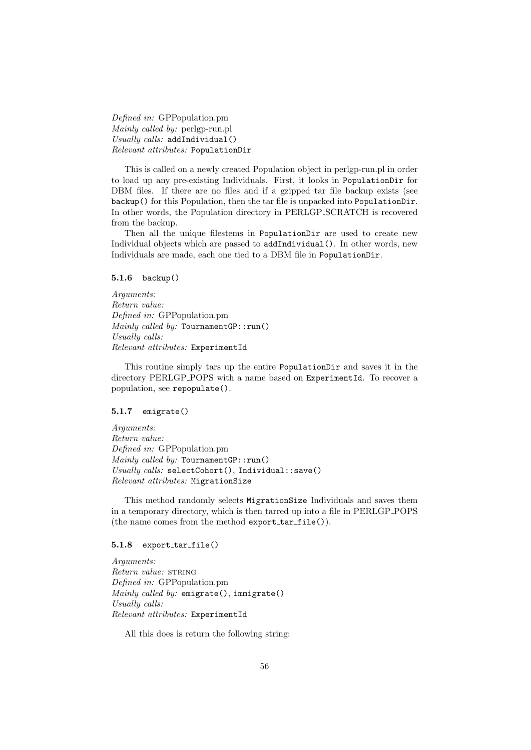Defined in: GPPopulation.pm Mainly called by: perlgp-run.pl Usually calls: addIndividual() Relevant attributes: PopulationDir

This is called on a newly created Population object in perlgp-run.pl in order to load up any pre-existing Individuals. First, it looks in PopulationDir for DBM files. If there are no files and if a gzipped tar file backup exists (see backup() for this Population, then the tar file is unpacked into PopulationDir. In other words, the Population directory in PERLGP SCRATCH is recovered from the backup.

Then all the unique filestems in PopulationDir are used to create new Individual objects which are passed to addIndividual(). In other words, new Individuals are made, each one tied to a DBM file in PopulationDir.

### <span id="page-55-0"></span>5.1.6 backup()

Arguments: Return value: Defined in: GPPopulation.pm Mainly called by: TournamentGP::run() Usually calls: Relevant attributes: ExperimentId

This routine simply tars up the entire PopulationDir and saves it in the directory PERLGP POPS with a name based on ExperimentId. To recover a population, see repopulate().

### <span id="page-55-1"></span>5.1.7 emigrate()

Arguments: Return value: Defined in: GPPopulation.pm Mainly called by: TournamentGP::run() Usually calls: selectCohort(), Individual::save() Relevant attributes: MigrationSize

This method randomly selects MigrationSize Individuals and saves them in a temporary directory, which is then tarred up into a file in PERLGP POPS (the name comes from the method  $\epsilon$ xport\_tar\_file()).

#### <span id="page-55-2"></span>5.1.8 export\_tar\_file()

Arguments: Return value: STRING Defined in: GPPopulation.pm Mainly called by: emigrate(), immigrate() Usually calls: Relevant attributes: ExperimentId

All this does is return the following string: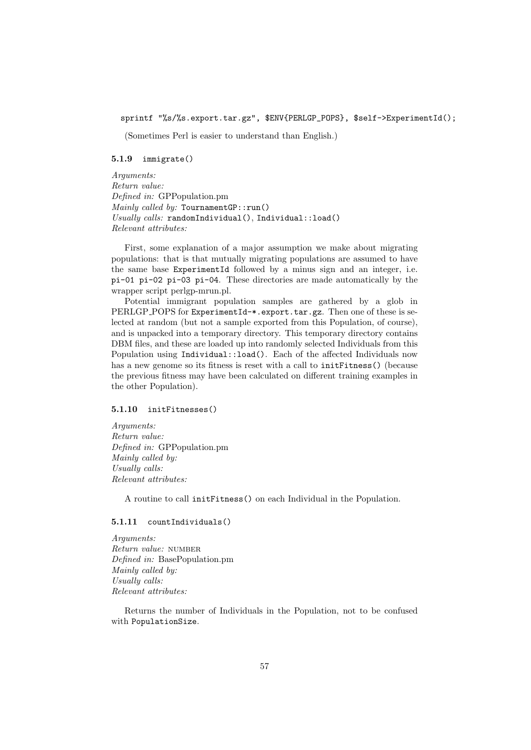sprintf "%s/%s.export.tar.gz", \$ENV{PERLGP\_POPS}, \$self->ExperimentId();

(Sometimes Perl is easier to understand than English.)

#### <span id="page-56-0"></span>5.1.9 immigrate()

Arguments: Return value: Defined in: GPPopulation.pm Mainly called by:  $T$ ournament $GP: run()$ Usually calls: randomIndividual(), Individual::load() Relevant attributes:

First, some explanation of a major assumption we make about migrating populations: that is that mutually migrating populations are assumed to have the same base ExperimentId followed by a minus sign and an integer, i.e. pi-01 pi-02 pi-03 pi-04. These directories are made automatically by the wrapper script perlgp-mrun.pl.

Potential immigrant population samples are gathered by a glob in PERLGP POPS for ExperimentId-\*.export.tar.gz. Then one of these is selected at random (but not a sample exported from this Population, of course), and is unpacked into a temporary directory. This temporary directory contains DBM files, and these are loaded up into randomly selected Individuals from this Population using Individual::load(). Each of the affected Individuals now has a new genome so its fitness is reset with a call to initFitness() (because the previous fitness may have been calculated on different training examples in the other Population).

#### <span id="page-56-1"></span>5.1.10 initFitnesses()

Arguments: Return value: Defined in: GPPopulation.pm Mainly called by: Usually calls: Relevant attributes:

A routine to call initFitness() on each Individual in the Population.

### <span id="page-56-2"></span>5.1.11 countIndividuals()

Arguments: Return value: NUMBER Defined in: BasePopulation.pm Mainly called by: Usually calls: Relevant attributes:

Returns the number of Individuals in the Population, not to be confused with PopulationSize.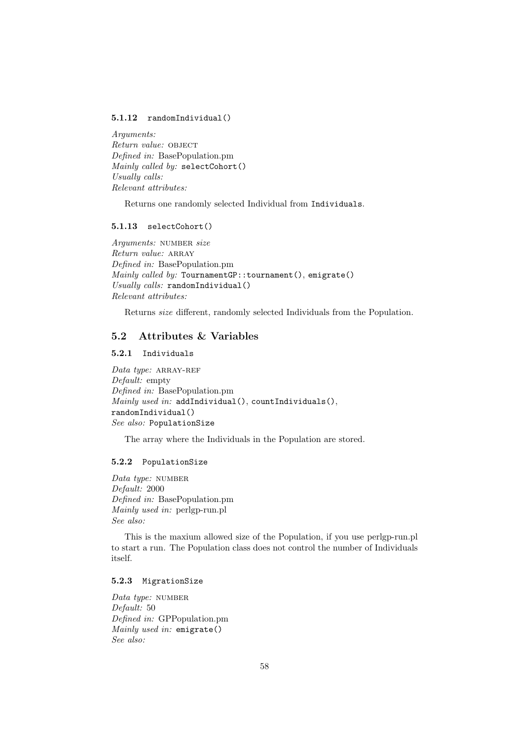### <span id="page-57-0"></span>5.1.12 randomIndividual()

Arguments: Return value: OBJECT Defined in: BasePopulation.pm Mainly called by: selectCohort() Usually calls: Relevant attributes:

Returns one randomly selected Individual from Individuals.

#### <span id="page-57-1"></span>5.1.13 selectCohort()

Arguments: NUMBER size Return value: ARRAY Defined in: BasePopulation.pm Mainly called by: TournamentGP::tournament(), emigrate() Usually calls: randomIndividual() Relevant attributes:

Returns size different, randomly selected Individuals from the Population.

### <span id="page-57-2"></span>5.2 Attributes & Variables

### <span id="page-57-3"></span>5.2.1 Individuals

 $Data$  type: ARRAY-REF Default: empty Defined in: BasePopulation.pm  $\textit{Mainly used in: } \textit{addIndivial(), } \textit{countIndivials(),}$ randomIndividual() See also: PopulationSize

The array where the Individuals in the Population are stored.

#### <span id="page-57-4"></span>5.2.2 PopulationSize

Data type: NUMBER Default: 2000 Defined in: BasePopulation.pm Mainly used in: perlgp-run.pl See also:

This is the maxium allowed size of the Population, if you use perlgp-run.pl to start a run. The Population class does not control the number of Individuals itself.

### <span id="page-57-5"></span>5.2.3 MigrationSize

Data type: NUMBER Default: 50 Defined in: GPPopulation.pm Mainly used in: emigrate() See also: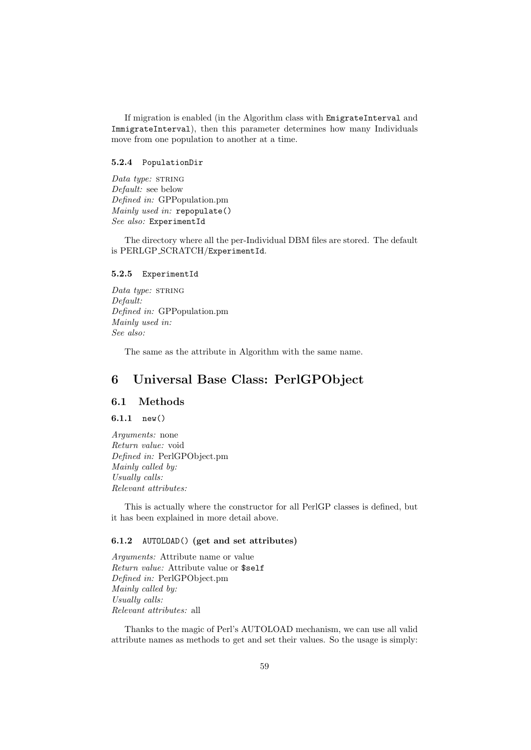If migration is enabled (in the Algorithm class with EmigrateInterval and ImmigrateInterval), then this parameter determines how many Individuals move from one population to another at a time.

### <span id="page-58-0"></span>5.2.4 PopulationDir

Data type: STRING Default: see below Defined in: GPPopulation.pm Mainly used in: repopulate() See also: ExperimentId

The directory where all the per-Individual DBM files are stored. The default is PERLGP SCRATCH/ExperimentId.

### <span id="page-58-1"></span>5.2.5 ExperimentId

Data type: STRING Default: Defined in: GPPopulation.pm Mainly used in: See also:

The same as the attribute in Algorithm with the same name.

# <span id="page-58-2"></span>6 Universal Base Class: PerlGPObject

### <span id="page-58-3"></span>6.1 Methods

### <span id="page-58-4"></span> $6.1.1$  new()

Arguments: none Return value: void Defined in: PerlGPObject.pm Mainly called by: Usually calls: Relevant attributes:

This is actually where the constructor for all PerlGP classes is defined, but it has been explained in more detail above.

### <span id="page-58-5"></span>6.1.2 AUTOLOAD() (get and set attributes)

Arguments: Attribute name or value Return value: Attribute value or \$self Defined in: PerlGPObject.pm Mainly called by: Usually calls: Relevant attributes: all

Thanks to the magic of Perl's AUTOLOAD mechanism, we can use all valid attribute names as methods to get and set their values. So the usage is simply: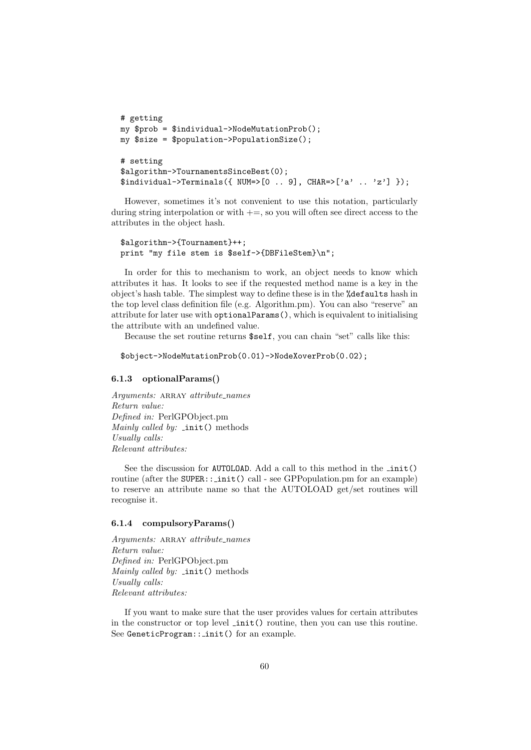```
# getting
my $prob = $individual->NodeMutationProb();
my $size = $population->PopulationSize();
# setting
$algorithm->TournamentsSinceBest(0);
$indivial->Terminals({ WM=>[0 .. 9], CHAR=>['a', . . 'z'] });
```
However, sometimes it's not convenient to use this notation, particularly during string interpolation or with  $+=$ , so you will often see direct access to the attributes in the object hash.

```
$algorithm->{Tournament}++;
print "my file stem is $self->{DBFileStem}\n";
```
In order for this to mechanism to work, an object needs to know which attributes it has. It looks to see if the requested method name is a key in the object's hash table. The simplest way to define these is in the %defaults hash in the top level class definition file (e.g. Algorithm.pm). You can also "reserve" an attribute for later use with optionalParams(), which is equivalent to initialising the attribute with an undefined value.

Because the set routine returns \$self, you can chain "set" calls like this:

```
$object->NodeMutationProb(0.01)->NodeXoverProb(0.02);
```
### <span id="page-59-0"></span>6.1.3 optionalParams()

Arguments: ARRAY attribute\_names Return value: Defined in: PerlGPObject.pm Mainly called by:  $\text{init}()$  methods Usually calls: Relevant attributes:

See the discussion for AUTOLOAD. Add a call to this method in the  $\text{init}()$ routine (after the SUPER:: \_init() call - see GPPopulation.pm for an example) to reserve an attribute name so that the AUTOLOAD get/set routines will recognise it.

### <span id="page-59-1"></span>6.1.4 compulsoryParams()

Arguments: ARRAY attribute\_names Return value: Defined in: PerlGPObject.pm Mainly called by:  $\text{init}()$  methods Usually calls: Relevant attributes:

If you want to make sure that the user provides values for certain attributes in the constructor or top level init() routine, then you can use this routine. See GeneticProgram:: init() for an example.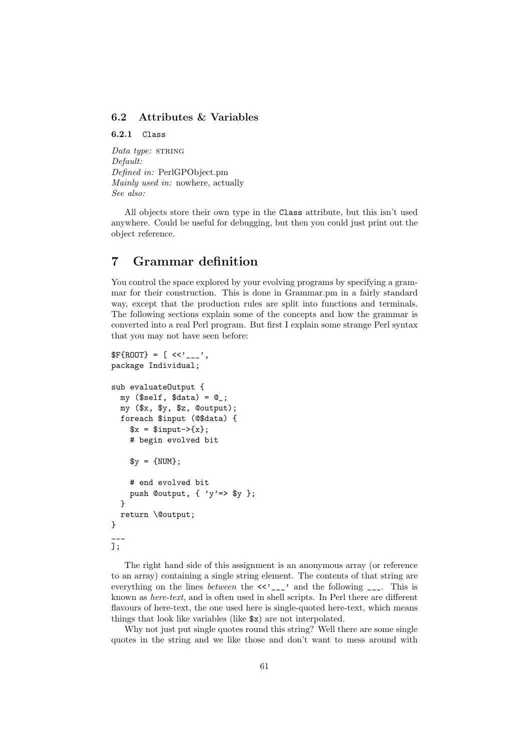### <span id="page-60-0"></span>6.2 Attributes & Variables

<span id="page-60-1"></span>6.2.1 Class

Data type: STRING Default: Defined in: PerlGPObject.pm Mainly used in: nowhere, actually See also:

All objects store their own type in the Class attribute, but this isn't used anywhere. Could be useful for debugging, but then you could just print out the object reference.

# <span id="page-60-2"></span>7 Grammar definition

You control the space explored by your evolving programs by specifying a grammar for their construction. This is done in Grammar.pm in a fairly standard way, except that the production rules are split into functions and terminals. The following sections explain some of the concepts and how the grammar is converted into a real Perl program. But first I explain some strange Perl syntax that you may not have seen before:

```
F{ROOT} = [ <<'_{---}',
package Individual;
sub evaluateOutput {
  my ($self, $data) = 0;
  my ($x, $y, $z, @output);
  foreach $input (@$data) {
    x = $input->{x};
    # begin evolved bit
    *y = {NUM};# end evolved bit
    push Coutput, \{ \gamma y \implies y \};
  }
  return \@output;
}
___
];
```
The right hand side of this assignment is an anonymous array (or reference to an array) containing a single string element. The contents of that string are everything on the lines *between* the  $\langle \langle \cdot \rangle_{---}$  and the following  $---$ . This is known as here-text, and is often used in shell scripts. In Perl there are different flavours of here-text, the one used here is single-quoted here-text, which means things that look like variables (like \$x) are not interpolated.

Why not just put single quotes round this string? Well there are some single quotes in the string and we like those and don't want to mess around with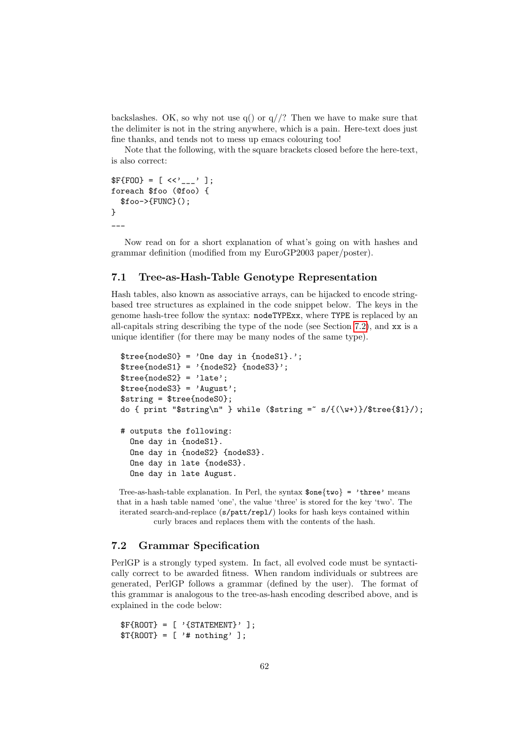backslashes. OK, so why not use  $q()$  or  $q//?$  Then we have to make sure that the delimiter is not in the string anywhere, which is a pain. Here-text does just fine thanks, and tends not to mess up emacs colouring too!

Note that the following, with the square brackets closed before the here-text, is also correct:

```
F{F00} = [ <<'_{---}''];
foreach $foo (@foo) {
  $foo->{FUNC}();
}
\overline{\phantom{a}}
```
Now read on for a short explanation of what's going on with hashes and grammar definition (modified from my EuroGP2003 paper/poster).

### <span id="page-61-0"></span>7.1 Tree-as-Hash-Table Genotype Representation

Hash tables, also known as associative arrays, can be hijacked to encode stringbased tree structures as explained in the code snippet below. The keys in the genome hash-tree follow the syntax: nodeTYPExx, where TYPE is replaced by an all-capitals string describing the type of the node (see Section [7.2\)](#page-61-1), and xx is a unique identifier (for there may be many nodes of the same type).

```
\frac{\text{stree} \{ \text{nodes0} \} = ' \text{One day in } \{ \text{nodes1} \}.';
\{tree{nodes1} = '{nodes2} { nodes3}';
$tree{nodes2} = 'late';$tree{nodeS3} = 'August';
$string = $tree{nodeS0};
do { print "$string\n" } while ($string = s/{(N+)}); stree{$1}/);
# outputs the following:
  One day in {nodeS1}.
  One day in {nodeS2} {nodeS3}.
  One day in late {nodeS3}.
  One day in late August.
```
Tree-as-hash-table explanation. In Perl, the syntax  $\text{Some}$ {two} = 'three' means that in a hash table named 'one', the value 'three' is stored for the key 'two'. The iterated search-and-replace (s/patt/repl/) looks for hash keys contained within curly braces and replaces them with the contents of the hash.

### <span id="page-61-1"></span>7.2 Grammar Specification

PerlGP is a strongly typed system. In fact, all evolved code must be syntactically correct to be awarded fitness. When random individuals or subtrees are generated, PerlGP follows a grammar (defined by the user). The format of this grammar is analogous to the tree-as-hash encoding described above, and is explained in the code below:

```
F{ROOT} = [\quad '{STATEMENT}'];
T{ROOT} = ['# nothing'];
```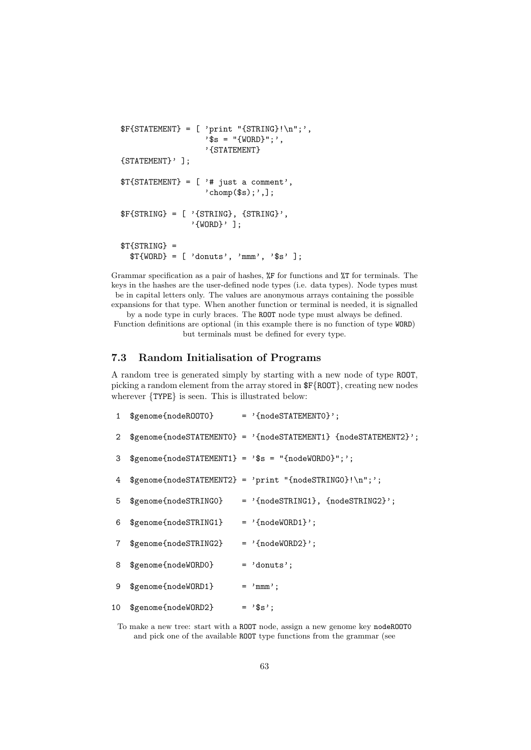```
F{STATEMENT} = [ 'print "{STRING}! \n', ]'$s = "{WORD}";',
                  '{STATEMENT}
{STATEMENT}' ];
T{STATEMENT} = ['# just a comment','chomp(\$s);',];
$F{STRING} = [ '{STRING}, {STRING}' ,'{WORD}' ];
$T{STRING} =
 T{WORD} = [\n'donuts', 'mmm', '$s'];
```
Grammar specification as a pair of hashes, %F for functions and %T for terminals. The keys in the hashes are the user-defined node types (i.e. data types). Node types must be in capital letters only. The values are anonymous arrays containing the possible expansions for that type. When another function or terminal is needed, it is signalled

by a node type in curly braces. The ROOT node type must always be defined. Function definitions are optional (in this example there is no function of type WORD) but terminals must be defined for every type.

### <span id="page-62-0"></span>7.3 Random Initialisation of Programs

A random tree is generated simply by starting with a new node of type ROOT, picking a random element from the array stored in \$F{ROOT}, creating new nodes wherever {TYPE} is seen. This is illustrated below:

|                | 1 \$genome{nodeROOTO}                            | $=$ '{nodeSTATEMENTO}';                                           |
|----------------|--------------------------------------------------|-------------------------------------------------------------------|
|                |                                                  | 2 \$genome{nodeSTATEMENTO} = '{nodeSTATEMENT1} {nodeSTATEMENT2}'; |
| 3              | $$genome[nodesTATEMENT1] = '$$ = "[nodeWORD0]";$ |                                                                   |
| 4              |                                                  | $$genome[nodesTATEMENT2] = 'print "[nodesTRING0]! \n'$            |
| 5              |                                                  | $$genome{} {nodeSTRING0} = 'fnodeSTRING1, {nodeSTRING2}' ;$       |
| 6              | $$genome[nodesTRING1] = '[nodeWORD1]'$ ;         |                                                                   |
| $7\phantom{.}$ | $$genome{[nodesTRING2]} = '[nodeWORD2]'$ ;       |                                                                   |
| 8              | \$genome{nodeWORDO}                              | $= 'donuts';$                                                     |
| 9              | \$genome{nodeWORD1}                              | $=$ 'mmm';                                                        |
| 10             | \$genome{nodeWORD2}                              | $=$ '\$s';                                                        |

To make a new tree: start with a ROOT node, assign a new genome key nodeROOT0 and pick one of the available ROOT type functions from the grammar (see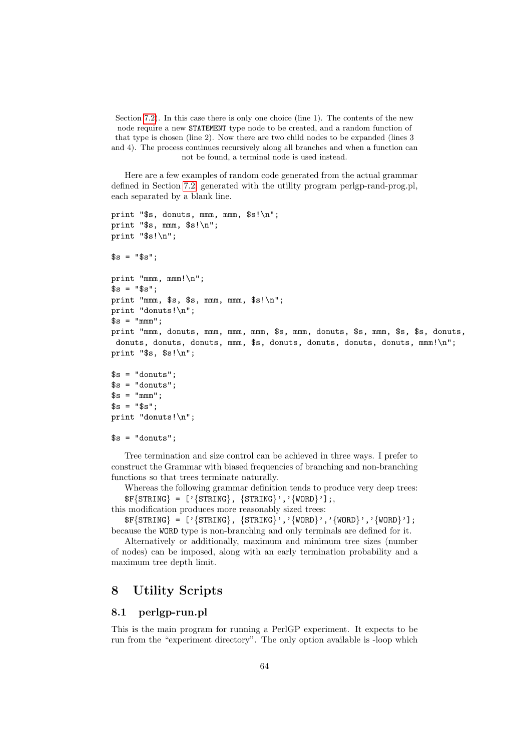Section [7.2\)](#page-61-1). In this case there is only one choice (line 1). The contents of the new node require a new STATEMENT type node to be created, and a random function of that type is chosen (line 2). Now there are two child nodes to be expanded (lines 3 and 4). The process continues recursively along all branches and when a function can not be found, a terminal node is used instead.

Here are a few examples of random code generated from the actual grammar defined in Section [7.2,](#page-61-1) generated with the utility program perlgp-rand-prog.pl, each separated by a blank line.

```
print "$s, donuts, mmm, mmm, $s!\n";
print "$s, mmm, $s!\n";
print "$s!\n";
$s = "$s";
print "mmm, mmm!\n";
s = "s";
print "mmm, s, s, \nmm, mm, \nsin\print "donuts!\n";
$s = "mm";
print "mmm, donuts, mmm, mmm, mmm, $s, mmm, donuts, $s, mmm, $s, $s, donuts,
donuts, donuts, donuts, mmm, $s, donuts, donuts, donuts, donuts, mmm!\n";
print "$s, $s!\n";
s = "donuts";s = "donuts";$s = "mm"s = "s";
```

```
print "donuts!\n";
```

```
s = "donuts":
```
Tree termination and size control can be achieved in three ways. I prefer to construct the Grammar with biased frequencies of branching and non-branching functions so that trees terminate naturally.

Whereas the following grammar definition tends to produce very deep trees:  $\{STRING\} = [\text{'} \{STRING\}, \{STRING\}', \text{'} \{WORD\}']$ ;

this modification produces more reasonably sized trees:

 $F{STRING} = [\text{'} {STRING}, {STRING}', '{WORD}', {'WORD}', '{WORD}','.$ because the WORD type is non-branching and only terminals are defined for it.

Alternatively or additionally, maximum and minimum tree sizes (number of nodes) can be imposed, along with an early termination probability and a maximum tree depth limit.

# <span id="page-63-0"></span>8 Utility Scripts

### <span id="page-63-1"></span>8.1 perlgp-run.pl

This is the main program for running a PerlGP experiment. It expects to be run from the "experiment directory". The only option available is -loop which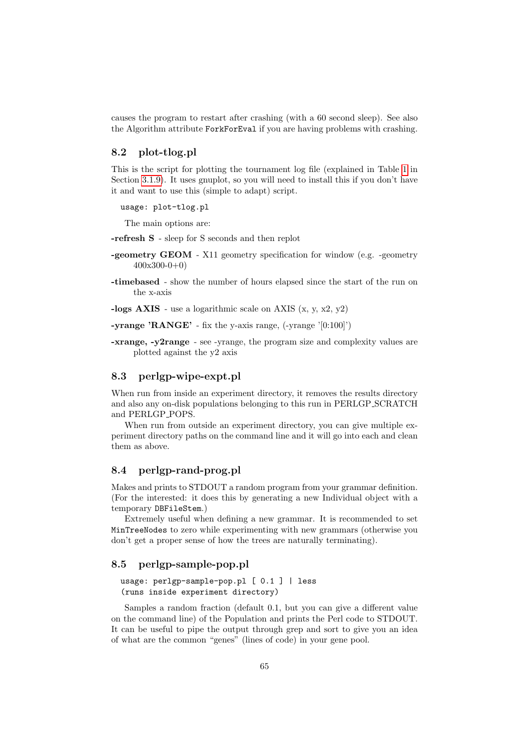causes the program to restart after crashing (with a 60 second sleep). See also the Algorithm attribute ForkForEval if you are having problems with crashing.

### <span id="page-64-0"></span>8.2 plot-tlog.pl

This is the script for plotting the tournament log file (explained in Table [1](#page-16-1) in Section [3.1.9\)](#page-15-0). It uses gnuplot, so you will need to install this if you don't have it and want to use this (simple to adapt) script.

usage: plot-tlog.pl

The main options are:

-refresh S - sleep for S seconds and then replot

- -geometry GEOM X11 geometry specification for window (e.g. -geometry 400x300-0+0)
- -timebased show the number of hours elapsed since the start of the run on the x-axis

-logs  $AXIS$  - use a logarithmic scale on  $AXIS$  (x, y, x2, y2)

-yrange 'RANGE' - fix the y-axis range, (-yrange '[0:100]')

-xrange, -y2range - see -yrange, the program size and complexity values are plotted against the y2 axis

### <span id="page-64-1"></span>8.3 perlgp-wipe-expt.pl

When run from inside an experiment directory, it removes the results directory and also any on-disk populations belonging to this run in PERLGP SCRATCH and PERLGP POPS.

When run from outside an experiment directory, you can give multiple experiment directory paths on the command line and it will go into each and clean them as above.

### <span id="page-64-2"></span>8.4 perlgp-rand-prog.pl

Makes and prints to STDOUT a random program from your grammar definition. (For the interested: it does this by generating a new Individual object with a temporary DBFileStem.)

Extremely useful when defining a new grammar. It is recommended to set MinTreeNodes to zero while experimenting with new grammars (otherwise you don't get a proper sense of how the trees are naturally terminating).

### <span id="page-64-3"></span>8.5 perlgp-sample-pop.pl

usage: perlgp-sample-pop.pl [ 0.1 ] | less (runs inside experiment directory)

Samples a random fraction (default 0.1, but you can give a different value on the command line) of the Population and prints the Perl code to STDOUT. It can be useful to pipe the output through grep and sort to give you an idea of what are the common "genes" (lines of code) in your gene pool.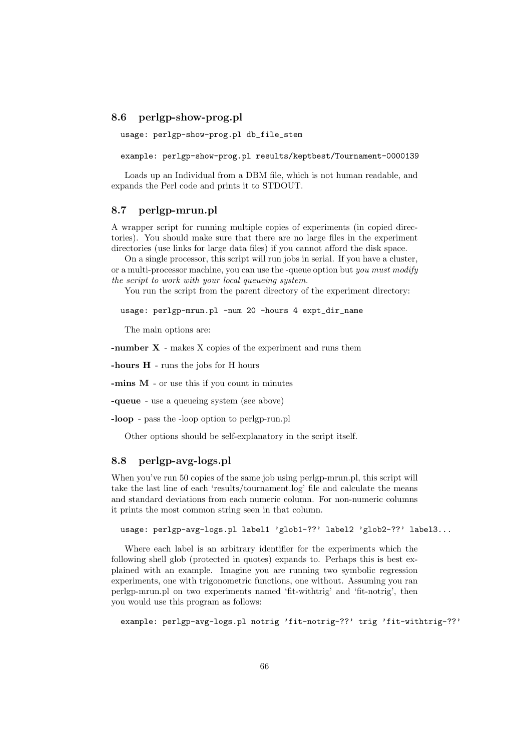### <span id="page-65-0"></span>8.6 perlgp-show-prog.pl

```
usage: perlgp-show-prog.pl db_file_stem
```
example: perlgp-show-prog.pl results/keptbest/Tournament-0000139

Loads up an Individual from a DBM file, which is not human readable, and expands the Perl code and prints it to STDOUT.

### <span id="page-65-1"></span>8.7 perlgp-mrun.pl

A wrapper script for running multiple copies of experiments (in copied directories). You should make sure that there are no large files in the experiment directories (use links for large data files) if you cannot afford the disk space.

On a single processor, this script will run jobs in serial. If you have a cluster, or a multi-processor machine, you can use the -queue option but you must modify the script to work with your local queueing system.

You run the script from the parent directory of the experiment directory:

usage: perlgp-mrun.pl -num 20 -hours 4 expt\_dir\_name

The main options are:

-number X - makes X copies of the experiment and runs them

-hours H - runs the jobs for H hours

-mins M - or use this if you count in minutes

-queue - use a queueing system (see above)

-loop - pass the -loop option to perlgp-run.pl

Other options should be self-explanatory in the script itself.

### <span id="page-65-2"></span>8.8 perlgp-avg-logs.pl

When you've run 50 copies of the same job using perlgp-mrun.pl, this script will take the last line of each 'results/tournament.log' file and calculate the means and standard deviations from each numeric column. For non-numeric columns it prints the most common string seen in that column.

```
usage: perlgp-avg-logs.pl label1 'glob1-??' label2 'glob2-??' label3...
```
Where each label is an arbitrary identifier for the experiments which the following shell glob (protected in quotes) expands to. Perhaps this is best explained with an example. Imagine you are running two symbolic regression experiments, one with trigonometric functions, one without. Assuming you ran perlgp-mrun.pl on two experiments named 'fit-withtrig' and 'fit-notrig', then you would use this program as follows:

```
example: perlgp-avg-logs.pl notrig 'fit-notrig-??' trig 'fit-withtrig-??'
```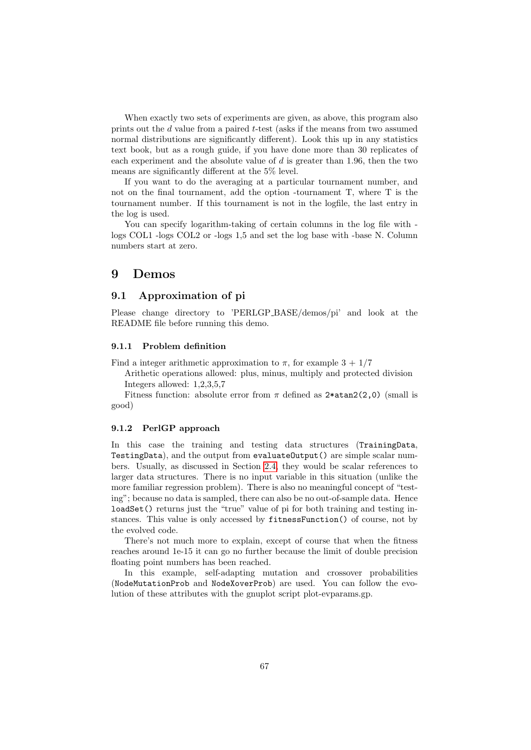When exactly two sets of experiments are given, as above, this program also prints out the d value from a paired t-test (asks if the means from two assumed normal distributions are significantly different). Look this up in any statistics text book, but as a rough guide, if you have done more than 30 replicates of each experiment and the absolute value of  $d$  is greater than 1.96, then the two means are significantly different at the 5% level.

If you want to do the averaging at a particular tournament number, and not on the final tournament, add the option -tournament T, where T is the tournament number. If this tournament is not in the logfile, the last entry in the log is used.

You can specify logarithm-taking of certain columns in the log file with logs COL1 -logs COL2 or -logs 1,5 and set the log base with -base N. Column numbers start at zero.

### <span id="page-66-0"></span>9 Demos

### <span id="page-66-1"></span>9.1 Approximation of pi

Please change directory to 'PERLGP BASE/demos/pi' and look at the README file before running this demo.

#### <span id="page-66-2"></span>9.1.1 Problem definition

Find a integer arithmetic approximation to  $\pi$ , for example  $3 + 1/7$ 

Arithetic operations allowed: plus, minus, multiply and protected division Integers allowed: 1,2,3,5,7

Fitness function: absolute error from  $\pi$  defined as 2\*atan2(2,0) (small is good)

### <span id="page-66-3"></span>9.1.2 PerlGP approach

In this case the training and testing data structures (TrainingData, TestingData), and the output from evaluateOutput() are simple scalar numbers. Usually, as discussed in Section [2.4,](#page-8-1) they would be scalar references to larger data structures. There is no input variable in this situation (unlike the more familiar regression problem). There is also no meaningful concept of "testing"; because no data is sampled, there can also be no out-of-sample data. Hence loadSet() returns just the "true" value of pi for both training and testing instances. This value is only accessed by fitnessFunction() of course, not by the evolved code.

There's not much more to explain, except of course that when the fitness reaches around 1e-15 it can go no further because the limit of double precision floating point numbers has been reached.

In this example, self-adapting mutation and crossover probabilities (NodeMutationProb and NodeXoverProb) are used. You can follow the evolution of these attributes with the gnuplot script plot-evparams.gp.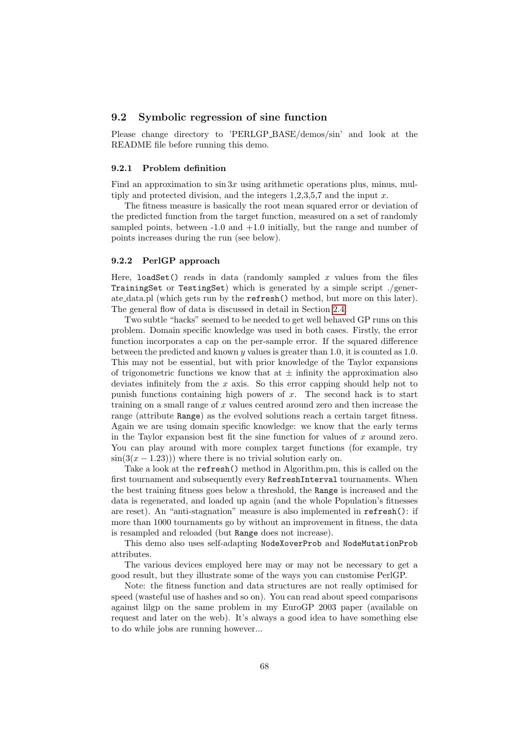### <span id="page-67-0"></span>9.2 Symbolic regression of sine function

Please change directory to 'PERLGP BASE/demos/sin' and look at the README file before running this demo.

#### <span id="page-67-1"></span>9.2.1 Problem definition

Find an approximation to  $\sin 3x$  using arithmetic operations plus, minus, multiply and protected division, and the integers  $1,2,3,5,7$  and the input x.

The fitness measure is basically the root mean squared error or deviation of the predicted function from the target function, measured on a set of randomly sampled points, between  $-1.0$  and  $+1.0$  initially, but the range and number of points increases during the run (see below).

#### <span id="page-67-2"></span>9.2.2 PerlGP approach

Here, loadSet() reads in data (randomly sampled  $x$  values from the files TrainingSet or TestingSet) which is generated by a simple script ./generate data.pl (which gets run by the refresh() method, but more on this later). The general flow of data is discussed in detail in Section [2.4.](#page-8-1)

Two subtle "hacks" seemed to be needed to get well behaved GP runs on this problem. Domain specific knowledge was used in both cases. Firstly, the error function incorporates a cap on the per-sample error. If the squared difference between the predicted and known  $y$  values is greater than 1.0, it is counted as 1.0. This may not be essential, but with prior knowledge of the Taylor expansions of trigonometric functions we know that at  $\pm$  infinity the approximation also deviates infinitely from the  $x$  axis. So this error capping should help not to punish functions containing high powers of  $x$ . The second hack is to start training on a small range of  $x$  values centred around zero and then increase the range (attribute Range) as the evolved solutions reach a certain target fitness. Again we are using domain specific knowledge: we know that the early terms in the Taylor expansion best fit the sine function for values of  $x$  around zero. You can play around with more complex target functions (for example, try  $\sin(3(x-1.23))$  where there is no trivial solution early on.

Take a look at the refresh() method in Algorithm.pm, this is called on the first tournament and subsequently every RefreshInterval tournaments. When the best training fitness goes below a threshold, the Range is increased and the data is regenerated, and loaded up again (and the whole Population's fitnesses are reset). An "anti-stagnation" measure is also implemented in refresh(): if more than 1000 tournaments go by without an improvement in fitness, the data is resampled and reloaded (but Range does not increase).

This demo also uses self-adapting NodeXoverProb and NodeMutationProb attributes.

The various devices employed here may or may not be necessary to get a good result, but they illustrate some of the ways you can customise PerlGP.

Note: the fitness function and data structures are not really optimised for speed (wasteful use of hashes and so on). You can read about speed comparisons against lilgp on the same problem in my EuroGP 2003 paper (available on request and later on the web). It's always a good idea to have something else to do while jobs are running however...